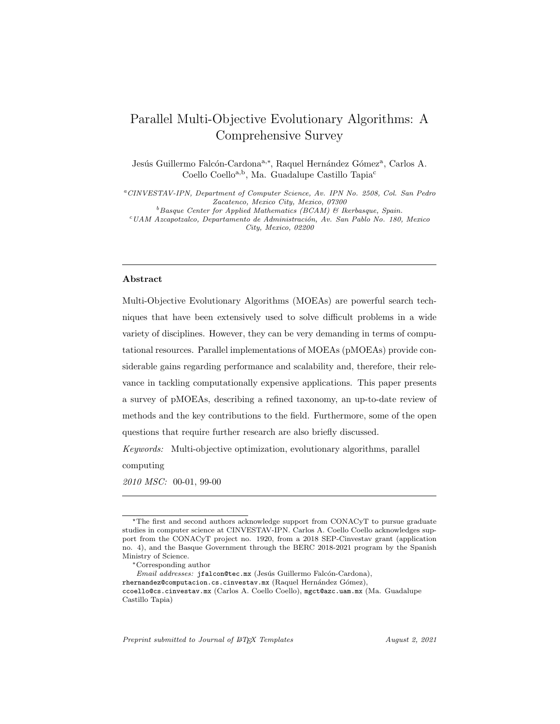# Parallel Multi-Objective Evolutionary Algorithms: A Comprehensive Survey

Jesús Guillermo Falcón-Cardona<sup>a,∗</sup>, Raquel Hernández Gómez<sup>a</sup>, Carlos A. Coello Coello<sup>a,b</sup>, Ma. Guadalupe Castillo Tapia<sup>c</sup>

<sup>a</sup>CINVESTAV-IPN, Department of Computer Science, Av. IPN No. 2508, Col. San Pedro Zacatenco, Mexico City, Mexico, 07300  $^{b}$ Basque Center for Applied Mathematics (BCAM) & Ikerbasque, Spain.

 $c$ UAM Azcapotzalco, Departamento de Administración, Av. San Pablo No. 180, Mexico City, Mexico, 02200

#### Abstract

Multi-Objective Evolutionary Algorithms (MOEAs) are powerful search techniques that have been extensively used to solve difficult problems in a wide variety of disciplines. However, they can be very demanding in terms of computational resources. Parallel implementations of MOEAs (pMOEAs) provide considerable gains regarding performance and scalability and, therefore, their relevance in tackling computationally expensive applications. This paper presents a survey of pMOEAs, describing a refined taxonomy, an up-to-date review of methods and the key contributions to the field. Furthermore, some of the open questions that require further research are also briefly discussed.

Keywords: Multi-objective optimization, evolutionary algorithms, parallel computing

2010 MSC: 00-01, 99-00

Preprint submitted to Journal of LATEX Templates August 2, 2021

<sup>⋆</sup>The first and second authors acknowledge support from CONACyT to pursue graduate studies in computer science at CINVESTAV-IPN. Carlos A. Coello Coello acknowledges support from the CONACyT project no. 1920, from a 2018 SEP-Cinvestav grant (application no. 4), and the Basque Government through the BERC 2018-2021 program by the Spanish Ministry of Science.

<sup>∗</sup>Corresponding author

Email addresses: jfalcon@tec.mx (Jesús Guillermo Falcón-Cardona), rhernandez@computacion.cs.cinvestav.mx (Raquel Hernández Gómez), ccoello@cs.cinvestav.mx (Carlos A. Coello Coello), mgct@azc.uam.mx (Ma. Guadalupe Castillo Tapia)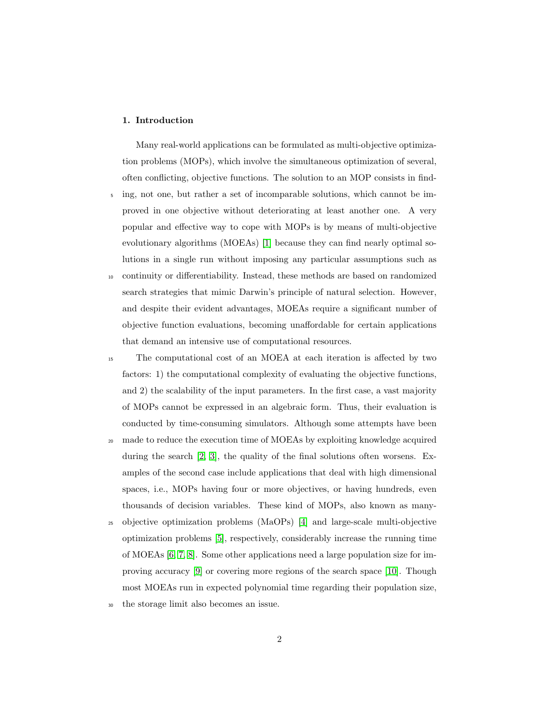## 1. Introduction

Many real-world applications can be formulated as multi-objective optimization problems (MOPs), which involve the simultaneous optimization of several, often conflicting, objective functions. The solution to an MOP consists in find-

- <sup>5</sup> ing, not one, but rather a set of incomparable solutions, which cannot be improved in one objective without deteriorating at least another one. A very popular and effective way to cope with MOPs is by means of multi-objective evolutionary algorithms (MOEAs) [\[1\]](#page-65-0) because they can find nearly optimal solutions in a single run without imposing any particular assumptions such as
- <sup>10</sup> continuity or differentiability. Instead, these methods are based on randomized search strategies that mimic Darwin's principle of natural selection. However, and despite their evident advantages, MOEAs require a significant number of objective function evaluations, becoming unaffordable for certain applications that demand an intensive use of computational resources.
- <sup>15</sup> The computational cost of an MOEA at each iteration is affected by two factors: 1) the computational complexity of evaluating the objective functions, and 2) the scalability of the input parameters. In the first case, a vast majority of MOPs cannot be expressed in an algebraic form. Thus, their evaluation is conducted by time-consuming simulators. Although some attempts have been
- <sup>20</sup> made to reduce the execution time of MOEAs by exploiting knowledge acquired during the search [\[2,](#page-65-1) [3\]](#page-66-0), the quality of the final solutions often worsens. Examples of the second case include applications that deal with high dimensional spaces, i.e., MOPs having four or more objectives, or having hundreds, even thousands of decision variables. These kind of MOPs, also known as many-
- <sup>25</sup> objective optimization problems (MaOPs) [\[4\]](#page-66-1) and large-scale multi-objective optimization problems [\[5\]](#page-66-2), respectively, considerably increase the running time of MOEAs [\[6,](#page-66-3) [7,](#page-66-4) [8\]](#page-66-5). Some other applications need a large population size for improving accuracy [\[9\]](#page-67-0) or covering more regions of the search space [\[10\]](#page-67-1). Though most MOEAs run in expected polynomial time regarding their population size,
- <sup>30</sup> the storage limit also becomes an issue.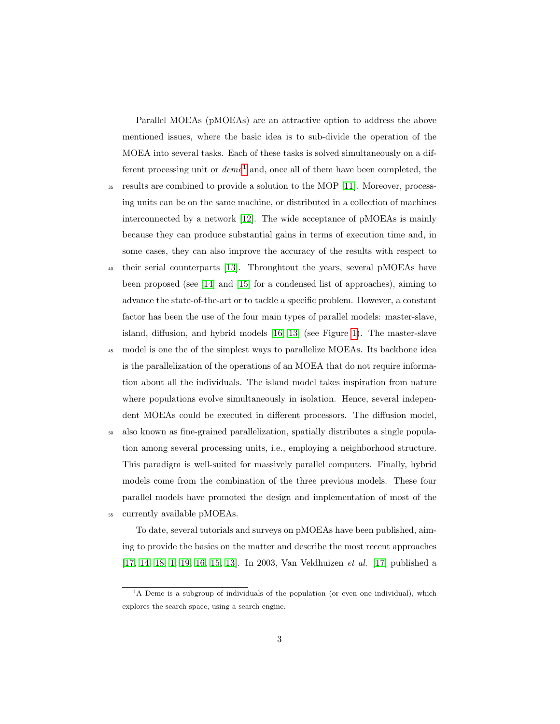Parallel MOEAs (pMOEAs) are an attractive option to address the above mentioned issues, where the basic idea is to sub-divide the operation of the MOEA into several tasks. Each of these tasks is solved simultaneously on a different processing unit or  $deme<sup>1</sup>$  $deme<sup>1</sup>$  $deme<sup>1</sup>$  and, once all of them have been completed, the

- <sup>35</sup> results are combined to provide a solution to the MOP [\[11\]](#page-67-2). Moreover, processing units can be on the same machine, or distributed in a collection of machines interconnected by a network [\[12\]](#page-67-3). The wide acceptance of pMOEAs is mainly because they can produce substantial gains in terms of execution time and, in some cases, they can also improve the accuracy of the results with respect to
- <sup>40</sup> their serial counterparts [\[13\]](#page-67-4). Throughtout the years, several pMOEAs have been proposed (see [\[14\]](#page-67-5) and [\[15\]](#page-67-6) for a condensed list of approaches), aiming to advance the state-of-the-art or to tackle a specific problem. However, a constant factor has been the use of the four main types of parallel models: master-slave, island, diffusion, and hybrid models [\[16,](#page-67-7) [13\]](#page-67-4) (see Figure [1\)](#page-10-0). The master-slave
- <sup>45</sup> model is one the of the simplest ways to parallelize MOEAs. Its backbone idea is the parallelization of the operations of an MOEA that do not require information about all the individuals. The island model takes inspiration from nature where populations evolve simultaneously in isolation. Hence, several independent MOEAs could be executed in different processors. The diffusion model,
- <sup>50</sup> also known as fine-grained parallelization, spatially distributes a single population among several processing units, i.e., employing a neighborhood structure. This paradigm is well-suited for massively parallel computers. Finally, hybrid models come from the combination of the three previous models. These four parallel models have promoted the design and implementation of most of the <sup>55</sup> currently available pMOEAs.

To date, several tutorials and surveys on pMOEAs have been published, aiming to provide the basics on the matter and describe the most recent approaches [\[17,](#page-68-0) [14,](#page-67-5) [18,](#page-68-1) [1,](#page-65-0) [19,](#page-68-2) [16,](#page-67-7) [15,](#page-67-6) [13\]](#page-67-4). In 2003, Van Veldhuizen et al. [\[17\]](#page-68-0) published a

<span id="page-2-0"></span><sup>&</sup>lt;sup>1</sup>A Deme is a subgroup of individuals of the population (or even one individual), which explores the search space, using a search engine.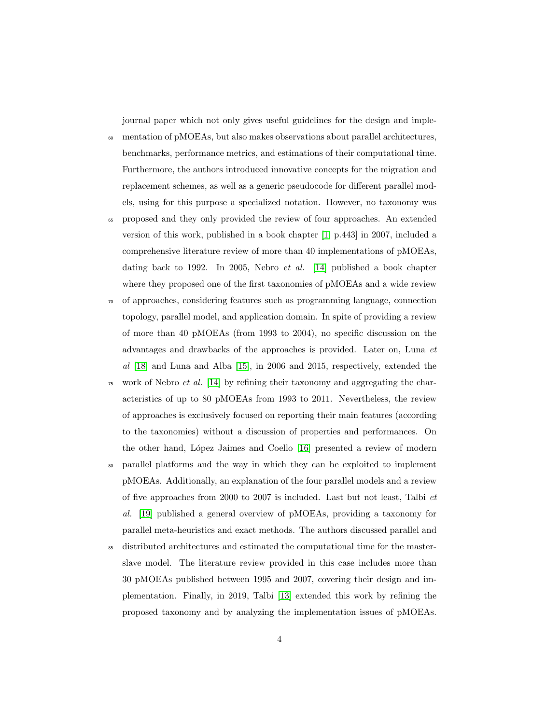journal paper which not only gives useful guidelines for the design and imple-

- <sup>60</sup> mentation of pMOEAs, but also makes observations about parallel architectures, benchmarks, performance metrics, and estimations of their computational time. Furthermore, the authors introduced innovative concepts for the migration and replacement schemes, as well as a generic pseudocode for different parallel models, using for this purpose a specialized notation. However, no taxonomy was
- <sup>65</sup> proposed and they only provided the review of four approaches. An extended version of this work, published in a book chapter [\[1,](#page-65-0) p.443] in 2007, included a comprehensive literature review of more than 40 implementations of pMOEAs, dating back to 1992. In 2005, Nebro et al. [\[14\]](#page-67-5) published a book chapter where they proposed one of the first taxonomies of pMOEAs and a wide review
- <sup>70</sup> of approaches, considering features such as programming language, connection topology, parallel model, and application domain. In spite of providing a review of more than 40 pMOEAs (from 1993 to 2004), no specific discussion on the advantages and drawbacks of the approaches is provided. Later on, Luna et al [\[18\]](#page-68-1) and Luna and Alba [\[15\]](#page-67-6), in 2006 and 2015, respectively, extended the
- $75$  work of Nebro *et al.* [\[14\]](#page-67-5) by refining their taxonomy and aggregating the characteristics of up to 80 pMOEAs from 1993 to 2011. Nevertheless, the review of approaches is exclusively focused on reporting their main features (according to the taxonomies) without a discussion of properties and performances. On the other hand, López Jaimes and Coello [\[16\]](#page-67-7) presented a review of modern
- <sup>80</sup> parallel platforms and the way in which they can be exploited to implement pMOEAs. Additionally, an explanation of the four parallel models and a review of five approaches from 2000 to 2007 is included. Last but not least, Talbi et al. [\[19\]](#page-68-2) published a general overview of pMOEAs, providing a taxonomy for parallel meta-heuristics and exact methods. The authors discussed parallel and
- <sup>85</sup> distributed architectures and estimated the computational time for the masterslave model. The literature review provided in this case includes more than 30 pMOEAs published between 1995 and 2007, covering their design and implementation. Finally, in 2019, Talbi [\[13\]](#page-67-4) extended this work by refining the proposed taxonomy and by analyzing the implementation issues of pMOEAs.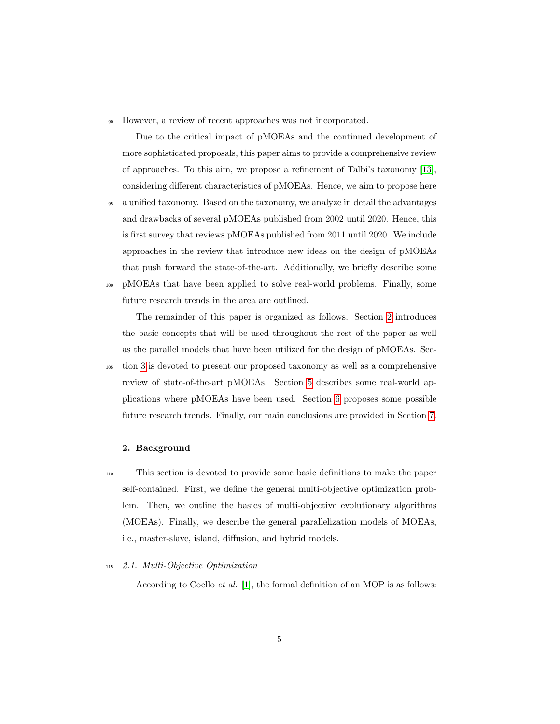<sup>90</sup> However, a review of recent approaches was not incorporated.

Due to the critical impact of pMOEAs and the continued development of more sophisticated proposals, this paper aims to provide a comprehensive review of approaches. To this aim, we propose a refinement of Talbi's taxonomy [\[13\]](#page-67-4), considering different characteristics of pMOEAs. Hence, we aim to propose here

<sup>95</sup> a unified taxonomy. Based on the taxonomy, we analyze in detail the advantages and drawbacks of several pMOEAs published from 2002 until 2020. Hence, this is first survey that reviews pMOEAs published from 2011 until 2020. We include approaches in the review that introduce new ideas on the design of pMOEAs that push forward the state-of-the-art. Additionally, we briefly describe some <sup>100</sup> pMOEAs that have been applied to solve real-world problems. Finally, some future research trends in the area are outlined.

The remainder of this paper is organized as follows. Section [2](#page-4-0) introduces the basic concepts that will be used throughout the rest of the paper as well as the parallel models that have been utilized for the design of pMOEAs. Sec-

<sup>105</sup> tion [3](#page-14-0) is devoted to present our proposed taxonomy as well as a comprehensive review of state-of-the-art pMOEAs. Section [5](#page-58-0) describes some real-world applications where pMOEAs have been used. Section [6](#page-61-0) proposes some possible future research trends. Finally, our main conclusions are provided in Section [7.](#page-65-2)

#### <span id="page-4-0"></span>2. Background

<sup>110</sup> This section is devoted to provide some basic definitions to make the paper self-contained. First, we define the general multi-objective optimization problem. Then, we outline the basics of multi-objective evolutionary algorithms (MOEAs). Finally, we describe the general parallelization models of MOEAs, i.e., master-slave, island, diffusion, and hybrid models.

#### <sup>115</sup> 2.1. Multi-Objective Optimization

According to Coello et al. [\[1\]](#page-65-0), the formal definition of an MOP is as follows: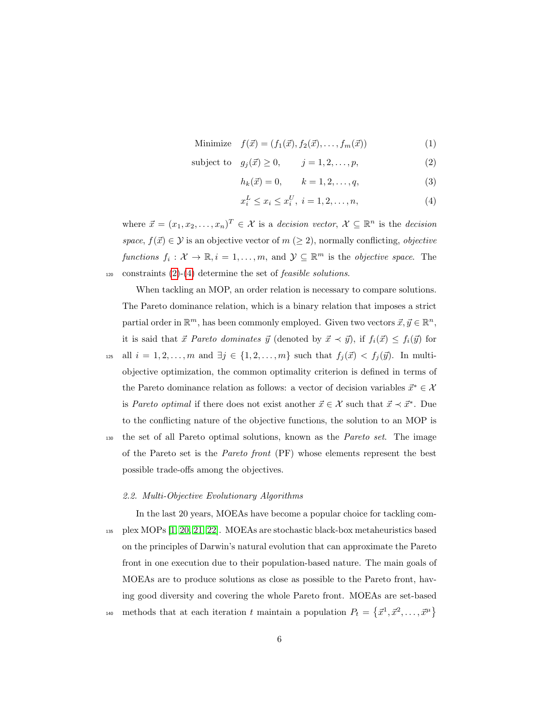Minimize 
$$
f(\vec{x}) = (f_1(\vec{x}), f_2(\vec{x}), \dots, f_m(\vec{x}))
$$
 (1)

$$
subject to \t g_j(\vec{x}) \ge 0, \t j = 1, 2, \dots, p,
$$
\t(2)

<span id="page-5-1"></span><span id="page-5-0"></span>
$$
h_k(\vec{x}) = 0, \qquad k = 1, 2, \dots, q,
$$
\n(3)

$$
x_i^L \le x_i \le x_i^U, \ i = 1, 2, \dots, n,
$$
\n(4)

where  $\vec{x} = (x_1, x_2, \dots, x_n)^T \in \mathcal{X}$  is a decision vector,  $\mathcal{X} \subseteq \mathbb{R}^n$  is the decision space,  $f(\vec{x}) \in \mathcal{Y}$  is an objective vector of  $m \ (\geq 2)$ , normally conflicting, objective functions  $f_i: \mathcal{X} \to \mathbb{R}, i = 1, \ldots, m$ , and  $\mathcal{Y} \subseteq \mathbb{R}^m$  is the objective space. The 120 constraints  $(2)-(4)$  $(2)-(4)$  $(2)-(4)$  determine the set of *feasible solutions*.

When tackling an MOP, an order relation is necessary to compare solutions. The Pareto dominance relation, which is a binary relation that imposes a strict partial order in  $\mathbb{R}^m$ , has been commonly employed. Given two vectors  $\vec{x}, \vec{y} \in \mathbb{R}^n$ , it is said that  $\vec{x}$  Pareto dominates  $\vec{y}$  (denoted by  $\vec{x} \prec \vec{y}$ ), if  $f_i(\vec{x}) \leq f_i(\vec{y})$  for

125 all  $i = 1, 2, \ldots, m$  and  $\exists j \in \{1, 2, \ldots, m\}$  such that  $f_j(\vec{x}) < f_j(\vec{y})$ . In multiobjective optimization, the common optimality criterion is defined in terms of the Pareto dominance relation as follows: a vector of decision variables  $\vec{x}^* \in \mathcal{X}$ is Pareto optimal if there does not exist another  $\vec{x} \in \mathcal{X}$  such that  $\vec{x} \prec \vec{x}^*$ . Due to the conflicting nature of the objective functions, the solution to an MOP is

<sup>130</sup> the set of all Pareto optimal solutions, known as the Pareto set. The image of the Pareto set is the Pareto front (PF) whose elements represent the best possible trade-offs among the objectives.

#### 2.2. Multi-Objective Evolutionary Algorithms

In the last 20 years, MOEAs have become a popular choice for tackling com-<sup>135</sup> plex MOPs [\[1,](#page-65-0) [20,](#page-68-3) [21,](#page-68-4) [22\]](#page-68-5). MOEAs are stochastic black-box metaheuristics based on the principles of Darwin's natural evolution that can approximate the Pareto front in one execution due to their population-based nature. The main goals of MOEAs are to produce solutions as close as possible to the Pareto front, having good diversity and covering the whole Pareto front. MOEAs are set-based methods that at each iteration t maintain a population  $P_t = \{\vec{x}^1, \vec{x}^2, \dots, \vec{x}^{\mu}\}\$ 140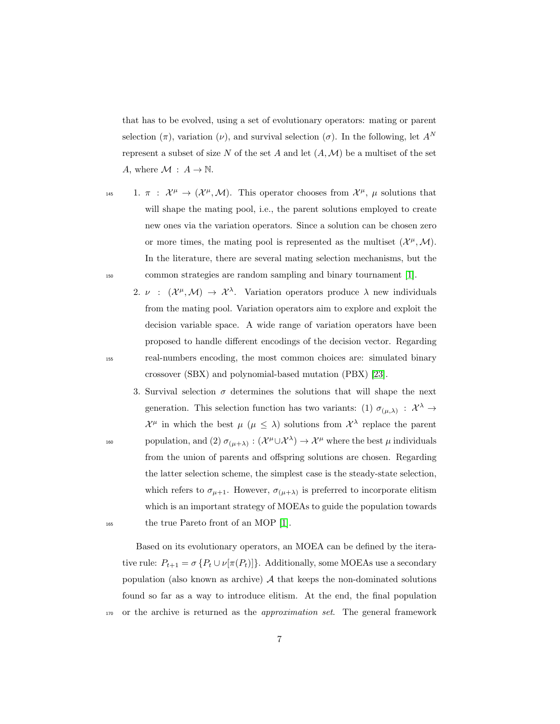that has to be evolved, using a set of evolutionary operators: mating or parent selection  $(\pi)$ , variation  $(\nu)$ , and survival selection  $(\sigma)$ . In the following, let  $A^N$ represent a subset of size N of the set A and let  $(A, \mathcal{M})$  be a multiset of the set A, where  $\mathcal{M} : A \to \mathbb{N}$ .

- 145 1.  $\pi$  :  $\mathcal{X}^{\mu} \to (\mathcal{X}^{\mu}, \mathcal{M})$ . This operator chooses from  $\mathcal{X}^{\mu}$ ,  $\mu$  solutions that will shape the mating pool, i.e., the parent solutions employed to create new ones via the variation operators. Since a solution can be chosen zero or more times, the mating pool is represented as the multiset  $(\mathcal{X}^{\mu}, \mathcal{M})$ . In the literature, there are several mating selection mechanisms, but the <sup>150</sup> common strategies are random sampling and binary tournament [\[1\]](#page-65-0).
- 2.  $\nu$  :  $(\mathcal{X}^{\mu},\mathcal{M}) \to \mathcal{X}^{\lambda}$ . Variation operators produce  $\lambda$  new individuals from the mating pool. Variation operators aim to explore and exploit the decision variable space. A wide range of variation operators have been proposed to handle different encodings of the decision vector. Regarding <sup>155</sup> real-numbers encoding, the most common choices are: simulated binary crossover (SBX) and polynomial-based mutation (PBX) [\[23\]](#page-68-6).
- 3. Survival selection  $\sigma$  determines the solutions that will shape the next generation. This selection function has two variants: (1)  $\sigma_{(\mu,\lambda)}$  :  $\mathcal{X}^{\lambda} \to$  $\mathcal{X}^{\mu}$  in which the best  $\mu$  ( $\mu \leq \lambda$ ) solutions from  $\mathcal{X}^{\lambda}$  replace the parent 160 population, and (2)  $\sigma_{(\mu+\lambda)} : (\mathcal{X}^{\mu} \cup \mathcal{X}^{\lambda}) \to \mathcal{X}^{\mu}$  where the best  $\mu$  individuals from the union of parents and offspring solutions are chosen. Regarding the latter selection scheme, the simplest case is the steady-state selection, which refers to  $\sigma_{\mu+1}$ . However,  $\sigma_{(\mu+\lambda)}$  is preferred to incorporate elitism which is an important strategy of MOEAs to guide the population towards <sup>165</sup> the true Pareto front of an MOP [\[1\]](#page-65-0).

Based on its evolutionary operators, an MOEA can be defined by the iterative rule:  $P_{t+1} = \sigma \{ P_t \cup \nu[\pi(P_t)] \}.$  Additionally, some MOEAs use a secondary population (also known as archive)  $A$  that keeps the non-dominated solutions found so far as a way to introduce elitism. At the end, the final population <sub>170</sub> or the archive is returned as the *approximation set*. The general framework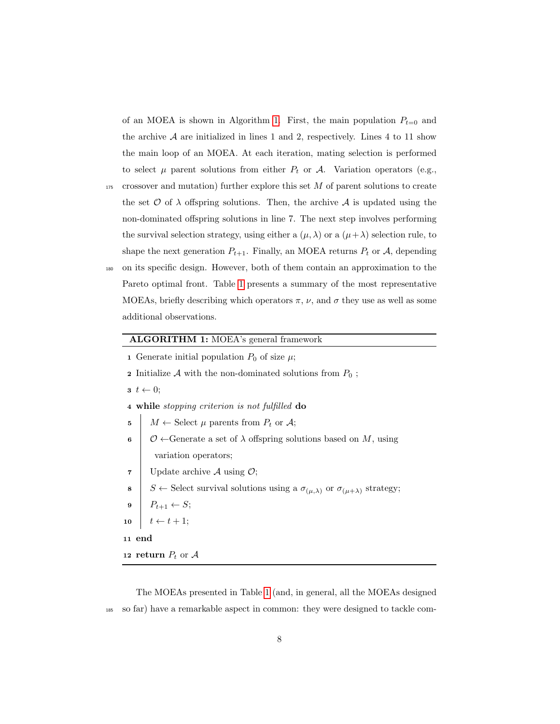of an MOEA is shown in Algorithm [1.](#page-7-0) First, the main population  $P_{t=0}$  and the archive  $A$  are initialized in lines 1 and 2, respectively. Lines 4 to 11 show the main loop of an MOEA. At each iteration, mating selection is performed to select  $\mu$  parent solutions from either  $P_t$  or  $\mathcal{A}$ . Variation operators (e.g.,

- $175$  crossover and mutation) further explore this set  $M$  of parent solutions to create the set  $\mathcal O$  of  $\lambda$  offspring solutions. Then, the archive  $\mathcal A$  is updated using the non-dominated offspring solutions in line 7. The next step involves performing the survival selection strategy, using either a  $(\mu, \lambda)$  or a  $(\mu + \lambda)$  selection rule, to shape the next generation  $P_{t+1}$ . Finally, an MOEA returns  $P_t$  or  $A$ , depending <sup>180</sup> on its specific design. However, both of them contain an approximation to the Pareto optimal front. Table [1](#page-8-0) presents a summary of the most representative
	- MOEAs, briefly describing which operators  $\pi$ ,  $\nu$ , and  $\sigma$  they use as well as some additional observations.

# ALGORITHM 1: MOEA's general framework

- 1 Generate initial population  $P_0$  of size  $\mu$ ;
- **2** Initialize A with the non-dominated solutions from  $P_0$ ;
- $t \leftarrow 0;$

4 while stopping criterion is not fulfilled do

- 5  $M \leftarrow$  Select  $\mu$  parents from  $P_t$  or  $\mathcal{A}$ ;
- 6  $\circ$   $\circ$   $\circ$   $\circ$   $\circ$   $\circ$  Generate a set of  $\lambda$  offspring solutions based on M, using variation operators;
- 7 | Update archive  $A$  using  $\mathcal{O}$ ;
- 8 S ← Select survival solutions using a  $\sigma_{(\mu,\lambda)}$  or  $\sigma_{(\mu+\lambda)}$  strategy;
- 9  $P_{t+1} \leftarrow S;$
- 10  $t \leftarrow t + 1$ ;
- <span id="page-7-0"></span><sup>11</sup> end
- 12 return  $P_t$  or  $A$

The MOEAs presented in Table [1](#page-8-0) (and, in general, all the MOEAs designed <sup>185</sup> so far) have a remarkable aspect in common: they were designed to tackle com-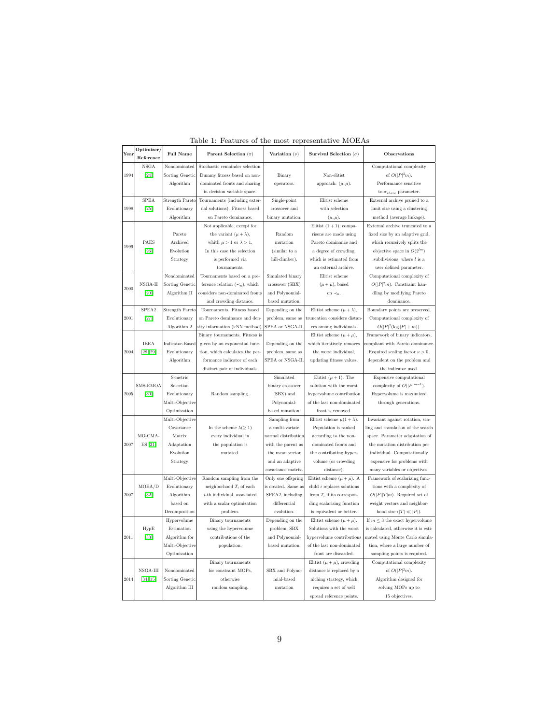| Year | Optimizer/         | <b>Full Name</b>          | Parent Selection $(\pi)$             | Variation $(\nu)$                    | Survival Selection $(\sigma)$                       | Observations                                                           |  |  |  |
|------|--------------------|---------------------------|--------------------------------------|--------------------------------------|-----------------------------------------------------|------------------------------------------------------------------------|--|--|--|
|      | Reference          |                           |                                      |                                      |                                                     |                                                                        |  |  |  |
|      | <b>NSGA</b>        | Nondominated              | Stochastic remainder selection.      |                                      |                                                     | Computational complexity<br>of $O( P ^3m)$ .                           |  |  |  |
| 1994 | $[24]$             | Sorting Genetic           | Dummy fitness based on non-          | Binary                               | Non-elitist                                         |                                                                        |  |  |  |
|      |                    | Algorithm                 | dominated fronts and sharing         | operators.                           | approach: $(\mu, \mu)$ .                            | Performance sensitive                                                  |  |  |  |
|      |                    |                           | in decision variable space.          |                                      |                                                     | to $\sigma_{share}$ parameter.                                         |  |  |  |
|      | <b>SPEA</b>        | <b>Strength Pareto</b>    | Tournaments (including exter-        | Single-point                         | Elitist scheme                                      | External archive pruned to a                                           |  |  |  |
| 1998 | $[25]$             | Evolutionary              | nal solutions). Fitness based        | crossover and                        | with selection                                      | limit size using a clustering                                          |  |  |  |
|      |                    | Algorithm                 | on Pareto dominance.                 | binary mutation.                     | $(\mu, \mu).$                                       | method (average linkage).                                              |  |  |  |
|      |                    |                           | Not applicable, except for           |                                      | Elitist $(1 + 1)$ , compa-                          | External archive truncated to a                                        |  |  |  |
|      |                    | Pareto                    | the variant $(\mu + \lambda)$ ,      | Random                               | risons are made using                               | fixed size by an adaptive grid,                                        |  |  |  |
| 1999 | PAES               | Archived                  | whith $\mu > 1$ or $\lambda > 1$ .   | mutation                             | Pareto dominance and                                | which recursively splits the                                           |  |  |  |
|      | $[26]$             | Evolution                 | In this case the selection           | (similar to a                        | a degree of crowding,                               | objective space in $O(2^{lm})$                                         |  |  |  |
|      |                    | Strategy                  | is performed via                     | hill-climber).                       | which is estimated from                             | subdivisions, where $l$ is a                                           |  |  |  |
|      |                    |                           | tournaments.                         |                                      | an external archive.                                | user defined parameter.                                                |  |  |  |
|      |                    | Nondominated              | Tournaments based on a pre-          | Simulated binary                     | Elitist scheme                                      | Computational complexity of                                            |  |  |  |
| 2000 | $NSGA-II$          | Sorting Genetic           | ference relation $(\prec_n)$ , which | crossover (SBX)                      | $(\mu + \mu)$ , based                               | $O( P ^2m)$ . Constraint han-                                          |  |  |  |
|      | $[20]$             | Algorithm II              | considers non-dominated fronts       | and Polynomial-                      | on $\prec_n$ .                                      | dling by modifying Pareto                                              |  |  |  |
|      |                    |                           | and crowding distance.               | based mutation.                      |                                                     | dominance.                                                             |  |  |  |
|      | SPEA2              | Strength Pareto           | Tournaments. Fitness based           | Depending on the                     | Elitist scheme $(\mu + \lambda)$ ,                  | Boundary points are preserved                                          |  |  |  |
| 2001 | $[27]$             | Evolutionary              | on Pareto dominance and den-         | problem, same as                     | truncation considers distan-                        | Computational complexity of                                            |  |  |  |
|      |                    | Algorithm 2               | sity information (kNN method)        | SPEA or NSGA-II.                     | ces among individuals.                              | $O( P ^2(\log  P  + m)).$                                              |  |  |  |
|      |                    |                           | Binary tournaments. Fitness is       |                                      | Elitist scheme $(\mu + \mu)$ ,                      | Framework of binary indicators.                                        |  |  |  |
|      | <b>IBEA</b>        | Indicator-Based           | given by an exponential func-        | Depending on the                     | which iteratively removes                           | compliant with Pareto dominance.                                       |  |  |  |
| 2004 | [28, 29]           | Evolutionary<br>Algorithm | tion, which calculates the per-      | problem, same as<br>SPEA or NSGA-II. | the worst individual.                               | Required scaling factor $\kappa > 0$ ,<br>dependent on the problem and |  |  |  |
|      |                    |                           | formance indicator of each           |                                      | updating fitness values.                            |                                                                        |  |  |  |
|      |                    | S-metric                  | distinct pair of individuals.        | Simulated                            |                                                     | the indicator used.                                                    |  |  |  |
|      |                    |                           |                                      |                                      | Elitist $(\mu + 1)$ . The                           | Expensive computational                                                |  |  |  |
|      | SMS-EMOA<br>$[30]$ | Selection<br>Evolutionary |                                      | binary crossover<br>(SBX) and        | solution with the worst<br>hypervolume contribution | complexity of $O( P ^{m-1})$ .<br>Hypervolume is maximized             |  |  |  |
| 2005 |                    | Multi-Objective           | Random sampling.                     |                                      |                                                     |                                                                        |  |  |  |
|      |                    | Optimization              |                                      | Polynomial-<br>based mutation.       | of the last non-dominated<br>front is removed.      | through generations.                                                   |  |  |  |
|      |                    | Multi-Objective           |                                      | Sampling from                        | Elitist scheme $\mu(1+\lambda)$ .                   | Invariant against rotation, sca-                                       |  |  |  |
|      |                    | Covariance                | In the scheme $\lambda(\geq 1)$      | a multi-variate                      | Population is ranked                                | ling and translation of the search                                     |  |  |  |
|      | MO-CMA-            | Matrix                    | every individual in                  | normal distribution                  | according to the non-                               | space. Parameter adaptation of                                         |  |  |  |
| 2007 | ES [31]            | Adaptation                | the population is                    | with the parent as                   | dominated fronts and                                | the mutation distribution per                                          |  |  |  |
|      |                    | Evolution                 | mutated.                             | the mean vector                      | the contributing hyper-                             | individual. Computationally                                            |  |  |  |
|      |                    | Strategy                  |                                      | and an adaptive                      | volume (or crowding                                 | expensive for problems with                                            |  |  |  |
|      |                    |                           |                                      | covariance matrix                    | distance).                                          | many variables or objectives.                                          |  |  |  |
|      |                    | Multi-Objective           | Random sampling from the             | Only one offspring                   | Elitist scheme $(\mu + \mu)$ . A                    | Framework of scalarizing func-                                         |  |  |  |
|      | MOEA/D             | Evolutionary              | neighborhood $T_i$ of each           | is created. Same as                  | child $i$ replaces solutions                        | tions with a complexity of                                             |  |  |  |
| 2007 | $[32]$             | Algorithm                 | $i$ -th individual, associated       | SPEA2, including                     | from $T_i$ if its correspon-                        | $O( P  T m)$ . Required set of                                         |  |  |  |
|      |                    | based on                  | with a scalar optimization           | differential                         | ding scalarizing function                           | weight vectors and neighbor-                                           |  |  |  |
|      |                    | Decomposition             | problem.                             | evolution.                           | is equivalent or better.                            | hood size $( T  \ll  P )$ .                                            |  |  |  |
|      |                    | Hypervolume               | Binary tournaments                   | Depending on the                     | Elitist scheme $(\mu + \mu)$ .                      | If $m \leq 3$ the exact hypervolume                                    |  |  |  |
|      | HypE               | Estimation                | using the hypervolume                | problem, SBX                         | Solutions with the worst                            | is calculated, otherwise it is esti-                                   |  |  |  |
| 2011 | $[33]$             | Algorithm for             | contributions of the                 | and Polynomial-                      | hypervolume contributions                           | mated using Monte Carlo simula-                                        |  |  |  |
|      |                    | Multi-Objective           | population.                          | based mutation.                      | of the last non-dominated                           | tion, where a large number of                                          |  |  |  |
|      |                    | Optimization              |                                      |                                      | front are discarded.                                | sampling points is required.                                           |  |  |  |
|      |                    |                           | Binary tournaments                   |                                      | Elitist $(\mu + \mu)$ , crowding                    | Computational complexity                                               |  |  |  |
|      | NSGA-III           | Nondominated              | for constraint MOPs,                 | SBX and Polyno-                      | distance is replaced by a                           | of $O( P ^2m).$                                                        |  |  |  |
| 2014 | [34, 35]           | Sorting Genetic           | otherwise                            | mial-based                           | niching strategy, which                             | Algorithm designed for                                                 |  |  |  |
|      |                    | Algorithm III             | random sampling.                     | mutation                             | requires a set of well                              | solving MOPs up to                                                     |  |  |  |
|      |                    |                           |                                      |                                      | spread reference points.                            | 15 objectives.                                                         |  |  |  |

<span id="page-8-0"></span>Table 1: Features of the most representative MOEAs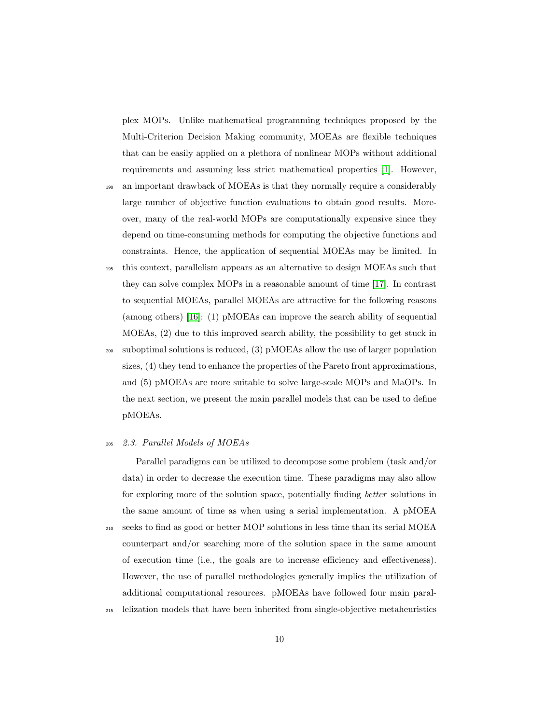plex MOPs. Unlike mathematical programming techniques proposed by the Multi-Criterion Decision Making community, MOEAs are flexible techniques that can be easily applied on a plethora of nonlinear MOPs without additional requirements and assuming less strict mathematical properties [\[1\]](#page-65-0). However,

- <sup>190</sup> an important drawback of MOEAs is that they normally require a considerably large number of objective function evaluations to obtain good results. Moreover, many of the real-world MOPs are computationally expensive since they depend on time-consuming methods for computing the objective functions and constraints. Hence, the application of sequential MOEAs may be limited. In
- <sup>195</sup> this context, parallelism appears as an alternative to design MOEAs such that they can solve complex MOPs in a reasonable amount of time [\[17\]](#page-68-0). In contrast to sequential MOEAs, parallel MOEAs are attractive for the following reasons (among others) [\[16\]](#page-67-7): (1) pMOEAs can improve the search ability of sequential MOEAs, (2) due to this improved search ability, the possibility to get stuck in
- <sup>200</sup> suboptimal solutions is reduced, (3) pMOEAs allow the use of larger population sizes, (4) they tend to enhance the properties of the Pareto front approximations, and (5) pMOEAs are more suitable to solve large-scale MOPs and MaOPs. In the next section, we present the main parallel models that can be used to define pMOEAs.

#### <sup>205</sup> 2.3. Parallel Models of MOEAs

Parallel paradigms can be utilized to decompose some problem (task and/or data) in order to decrease the execution time. These paradigms may also allow for exploring more of the solution space, potentially finding better solutions in the same amount of time as when using a serial implementation. A pMOEA <sup>210</sup> seeks to find as good or better MOP solutions in less time than its serial MOEA counterpart and/or searching more of the solution space in the same amount of execution time (i.e., the goals are to increase efficiency and effectiveness). However, the use of parallel methodologies generally implies the utilization of additional computational resources. pMOEAs have followed four main paral-

<sup>215</sup> lelization models that have been inherited from single-objective metaheuristics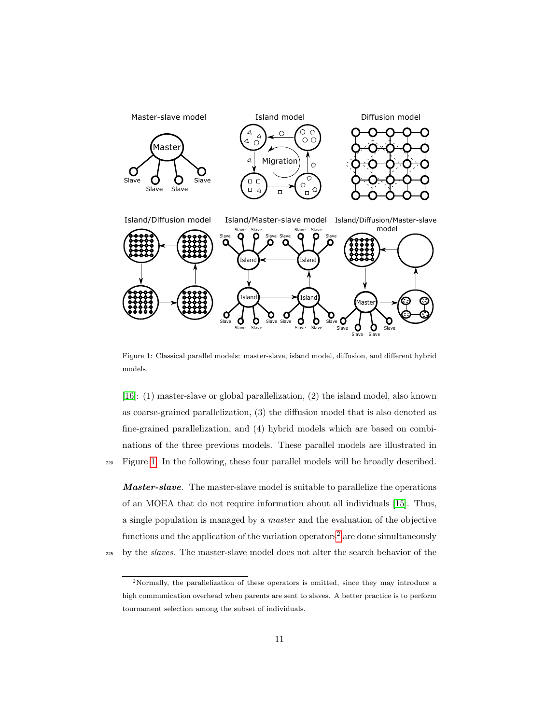

<span id="page-10-0"></span>Figure 1: Classical parallel models: master-slave, island model, diffusion, and different hybrid models.

[\[16\]](#page-67-7): (1) master-slave or global parallelization, (2) the island model, also known as coarse-grained parallelization, (3) the diffusion model that is also denoted as fine-grained parallelization, and (4) hybrid models which are based on combinations of the three previous models. These parallel models are illustrated in <sup>220</sup> Figure [1.](#page-10-0) In the following, these four parallel models will be broadly described.

**Master-slave**. The master-slave model is suitable to parallelize the operations of an MOEA that do not require information about all individuals [\[15\]](#page-67-6). Thus, a single population is managed by a master and the evaluation of the objective functions and the application of the variation operators<sup>[2](#page-10-1)</sup> are done simultaneously

<sup>225</sup> by the slaves. The master-slave model does not alter the search behavior of the

<span id="page-10-1"></span><sup>2</sup>Normally, the parallelization of these operators is omitted, since they may introduce a high communication overhead when parents are sent to slaves. A better practice is to perform tournament selection among the subset of individuals.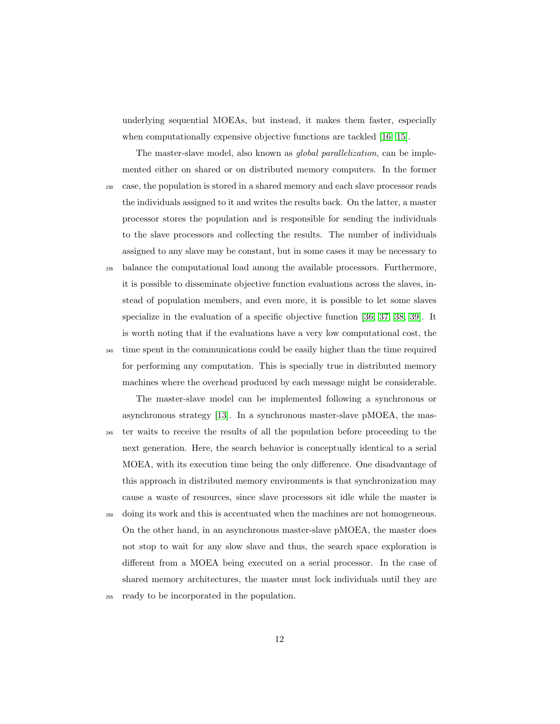underlying sequential MOEAs, but instead, it makes them faster, especially when computationally expensive objective functions are tackled [\[16,](#page-67-7) [15\]](#page-67-6).

The master-slave model, also known as *global parallelization*, can be implemented either on shared or on distributed memory computers. In the former <sup>230</sup> case, the population is stored in a shared memory and each slave processor reads the individuals assigned to it and writes the results back. On the latter, a master processor stores the population and is responsible for sending the individuals to the slave processors and collecting the results. The number of individuals assigned to any slave may be constant, but in some cases it may be necessary to

<sup>235</sup> balance the computational load among the available processors. Furthermore, it is possible to disseminate objective function evaluations across the slaves, instead of population members, and even more, it is possible to let some slaves specialize in the evaluation of a specific objective function [\[36,](#page-70-3) [37,](#page-70-4) [38,](#page-70-5) [39\]](#page-71-0). It is worth noting that if the evaluations have a very low computational cost, the <sup>240</sup> time spent in the communications could be easily higher than the time required for performing any computation. This is specially true in distributed memory machines where the overhead produced by each message might be considerable.

The master-slave model can be implemented following a synchronous or asynchronous strategy [\[13\]](#page-67-4). In a synchronous master-slave pMOEA, the mas-<sup>245</sup> ter waits to receive the results of all the population before proceeding to the next generation. Here, the search behavior is conceptually identical to a serial MOEA, with its execution time being the only difference. One disadvantage of this approach in distributed memory environments is that synchronization may cause a waste of resources, since slave processors sit idle while the master is

- <sup>250</sup> doing its work and this is accentuated when the machines are not homogeneous. On the other hand, in an asynchronous master-slave pMOEA, the master does not stop to wait for any slow slave and thus, the search space exploration is different from a MOEA being executed on a serial processor. In the case of shared memory architectures, the master must lock individuals until they are
- <sup>255</sup> ready to be incorporated in the population.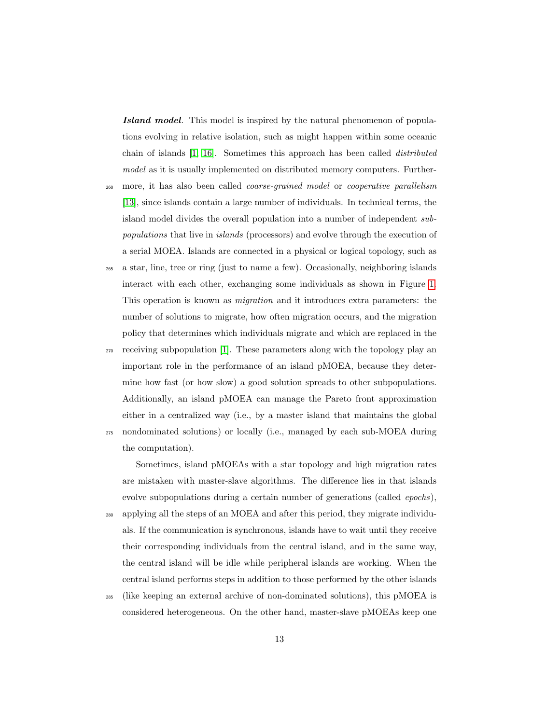Island model. This model is inspired by the natural phenomenon of populations evolving in relative isolation, such as might happen within some oceanic chain of islands [\[1,](#page-65-0) [16\]](#page-67-7). Sometimes this approach has been called distributed model as it is usually implemented on distributed memory computers. Further-

- <sub>260</sub> more, it has also been called *coarse-grained model* or *cooperative parallelism* [\[13\]](#page-67-4), since islands contain a large number of individuals. In technical terms, the island model divides the overall population into a number of independent subpopulations that live in islands (processors) and evolve through the execution of a serial MOEA. Islands are connected in a physical or logical topology, such as
- <sup>265</sup> a star, line, tree or ring (just to name a few). Occasionally, neighboring islands interact with each other, exchanging some individuals as shown in Figure [1.](#page-10-0) This operation is known as migration and it introduces extra parameters: the number of solutions to migrate, how often migration occurs, and the migration policy that determines which individuals migrate and which are replaced in the
- <sup>270</sup> receiving subpopulation [\[1\]](#page-65-0). These parameters along with the topology play an important role in the performance of an island pMOEA, because they determine how fast (or how slow) a good solution spreads to other subpopulations. Additionally, an island pMOEA can manage the Pareto front approximation either in a centralized way (i.e., by a master island that maintains the global <sup>275</sup> nondominated solutions) or locally (i.e., managed by each sub-MOEA during the computation).

Sometimes, island pMOEAs with a star topology and high migration rates are mistaken with master-slave algorithms. The difference lies in that islands evolve subpopulations during a certain number of generations (called epochs), <sup>280</sup> applying all the steps of an MOEA and after this period, they migrate individuals. If the communication is synchronous, islands have to wait until they receive their corresponding individuals from the central island, and in the same way, the central island will be idle while peripheral islands are working. When the central island performs steps in addition to those performed by the other islands

<sup>285</sup> (like keeping an external archive of non-dominated solutions), this pMOEA is considered heterogeneous. On the other hand, master-slave pMOEAs keep one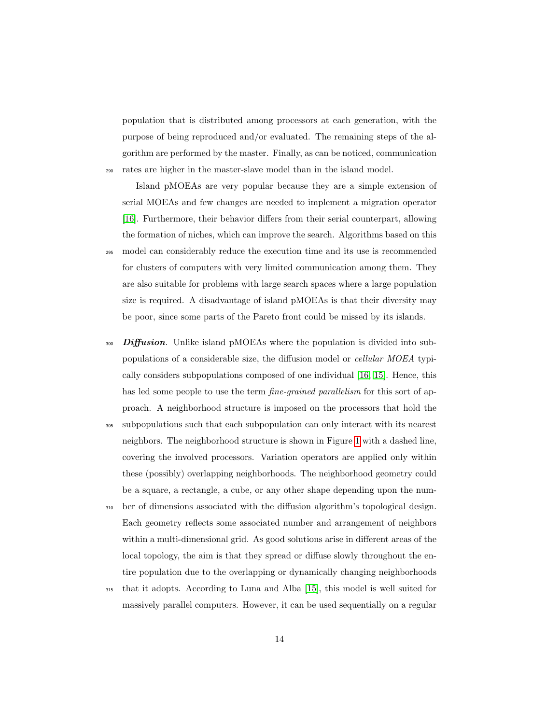population that is distributed among processors at each generation, with the purpose of being reproduced and/or evaluated. The remaining steps of the algorithm are performed by the master. Finally, as can be noticed, communication <sup>290</sup> rates are higher in the master-slave model than in the island model.

Island pMOEAs are very popular because they are a simple extension of serial MOEAs and few changes are needed to implement a migration operator [\[16\]](#page-67-7). Furthermore, their behavior differs from their serial counterpart, allowing the formation of niches, which can improve the search. Algorithms based on this <sup>295</sup> model can considerably reduce the execution time and its use is recommended for clusters of computers with very limited communication among them. They are also suitable for problems with large search spaces where a large population size is required. A disadvantage of island pMOEAs is that their diversity may be poor, since some parts of the Pareto front could be missed by its islands.

- $\omega$  Diffusion. Unlike island pMOEAs where the population is divided into subpopulations of a considerable size, the diffusion model or cellular MOEA typically considers subpopulations composed of one individual [\[16,](#page-67-7) [15\]](#page-67-6). Hence, this has led some people to use the term *fine-grained parallelism* for this sort of approach. A neighborhood structure is imposed on the processors that hold the
- <sup>305</sup> subpopulations such that each subpopulation can only interact with its nearest neighbors. The neighborhood structure is shown in Figure [1](#page-10-0) with a dashed line, covering the involved processors. Variation operators are applied only within these (possibly) overlapping neighborhoods. The neighborhood geometry could be a square, a rectangle, a cube, or any other shape depending upon the num-
- <sup>310</sup> ber of dimensions associated with the diffusion algorithm's topological design. Each geometry reflects some associated number and arrangement of neighbors within a multi-dimensional grid. As good solutions arise in different areas of the local topology, the aim is that they spread or diffuse slowly throughout the entire population due to the overlapping or dynamically changing neighborhoods
- <sup>315</sup> that it adopts. According to Luna and Alba [\[15\]](#page-67-6), this model is well suited for massively parallel computers. However, it can be used sequentially on a regular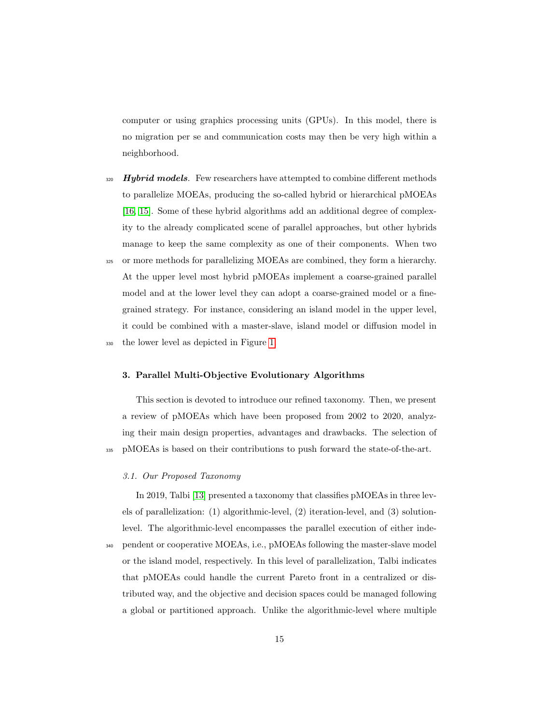computer or using graphics processing units (GPUs). In this model, there is no migration per se and communication costs may then be very high within a neighborhood.

- $\frac{320}{4}$  Hybrid models. Few researchers have attempted to combine different methods to parallelize MOEAs, producing the so-called hybrid or hierarchical pMOEAs [\[16,](#page-67-7) [15\]](#page-67-6). Some of these hybrid algorithms add an additional degree of complexity to the already complicated scene of parallel approaches, but other hybrids manage to keep the same complexity as one of their components. When two
- <sup>325</sup> or more methods for parallelizing MOEAs are combined, they form a hierarchy. At the upper level most hybrid pMOEAs implement a coarse-grained parallel model and at the lower level they can adopt a coarse-grained model or a finegrained strategy. For instance, considering an island model in the upper level, it could be combined with a master-slave, island model or diffusion model in <sup>330</sup> the lower level as depicted in Figure [1.](#page-10-0)

#### <span id="page-14-0"></span>3. Parallel Multi-Objective Evolutionary Algorithms

This section is devoted to introduce our refined taxonomy. Then, we present a review of pMOEAs which have been proposed from 2002 to 2020, analyzing their main design properties, advantages and drawbacks. The selection of <sup>335</sup> pMOEAs is based on their contributions to push forward the state-of-the-art.

## 3.1. Our Proposed Taxonomy

In 2019, Talbi [\[13\]](#page-67-4) presented a taxonomy that classifies pMOEAs in three levels of parallelization: (1) algorithmic-level, (2) iteration-level, and (3) solutionlevel. The algorithmic-level encompasses the parallel execution of either inde-<sup>340</sup> pendent or cooperative MOEAs, i.e., pMOEAs following the master-slave model or the island model, respectively. In this level of parallelization, Talbi indicates that pMOEAs could handle the current Pareto front in a centralized or distributed way, and the objective and decision spaces could be managed following a global or partitioned approach. Unlike the algorithmic-level where multiple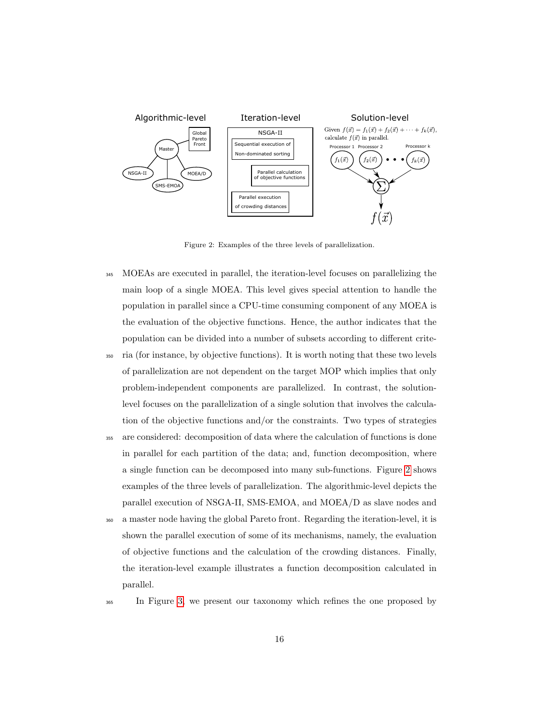

<span id="page-15-0"></span>Figure 2: Examples of the three levels of parallelization.

- <sup>345</sup> MOEAs are executed in parallel, the iteration-level focuses on parallelizing the main loop of a single MOEA. This level gives special attention to handle the population in parallel since a CPU-time consuming component of any MOEA is the evaluation of the objective functions. Hence, the author indicates that the population can be divided into a number of subsets according to different crite-
- <sup>350</sup> ria (for instance, by objective functions). It is worth noting that these two levels of parallelization are not dependent on the target MOP which implies that only problem-independent components are parallelized. In contrast, the solutionlevel focuses on the parallelization of a single solution that involves the calculation of the objective functions and/or the constraints. Two types of strategies
- <sup>355</sup> are considered: decomposition of data where the calculation of functions is done in parallel for each partition of the data; and, function decomposition, where a single function can be decomposed into many sub-functions. Figure [2](#page-15-0) shows examples of the three levels of parallelization. The algorithmic-level depicts the parallel execution of NSGA-II, SMS-EMOA, and MOEA/D as slave nodes and
- <sup>360</sup> a master node having the global Pareto front. Regarding the iteration-level, it is shown the parallel execution of some of its mechanisms, namely, the evaluation of objective functions and the calculation of the crowding distances. Finally, the iteration-level example illustrates a function decomposition calculated in parallel.
- 

<sup>365</sup> In Figure [3,](#page-18-0) we present our taxonomy which refines the one proposed by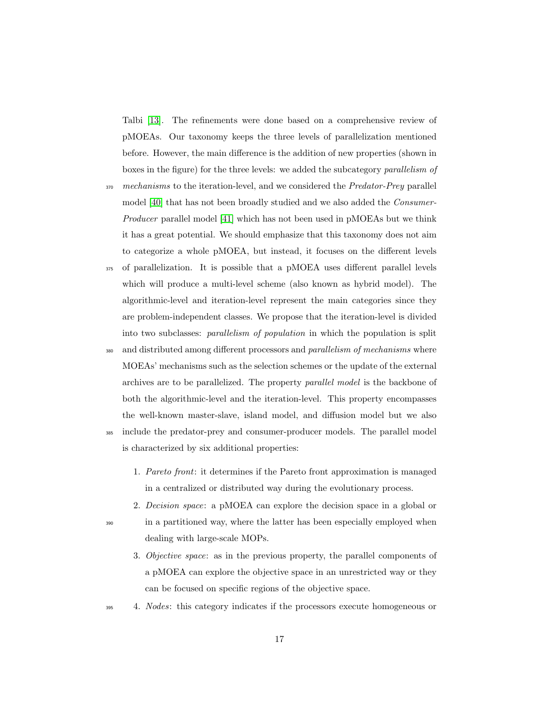Talbi [\[13\]](#page-67-4). The refinements were done based on a comprehensive review of pMOEAs. Our taxonomy keeps the three levels of parallelization mentioned before. However, the main difference is the addition of new properties (shown in boxes in the figure) for the three levels: we added the subcategory parallelism of

- 370 mechanisms to the iteration-level, and we considered the Predator-Prey parallel model [\[40\]](#page-71-1) that has not been broadly studied and we also added the Consumer-Producer parallel model [\[41\]](#page-71-2) which has not been used in pMOEAs but we think it has a great potential. We should emphasize that this taxonomy does not aim to categorize a whole pMOEA, but instead, it focuses on the different levels
- <sup>375</sup> of parallelization. It is possible that a pMOEA uses different parallel levels which will produce a multi-level scheme (also known as hybrid model). The algorithmic-level and iteration-level represent the main categories since they are problem-independent classes. We propose that the iteration-level is divided into two subclasses: parallelism of population in which the population is split

<sup>380</sup> and distributed among different processors and *parallelism of mechanisms* where MOEAs' mechanisms such as the selection schemes or the update of the external archives are to be parallelized. The property parallel model is the backbone of both the algorithmic-level and the iteration-level. This property encompasses the well-known master-slave, island model, and diffusion model but we also

- <sup>385</sup> include the predator-prey and consumer-producer models. The parallel model is characterized by six additional properties:
	- 1. Pareto front: it determines if the Pareto front approximation is managed in a centralized or distributed way during the evolutionary process.
- 2. Decision space: a pMOEA can explore the decision space in a global or <sup>390</sup> in a partitioned way, where the latter has been especially employed when dealing with large-scale MOPs.
	- 3. Objective space: as in the previous property, the parallel components of a pMOEA can explore the objective space in an unrestricted way or they can be focused on specific regions of the objective space.
- <sup>395</sup> 4. Nodes: this category indicates if the processors execute homogeneous or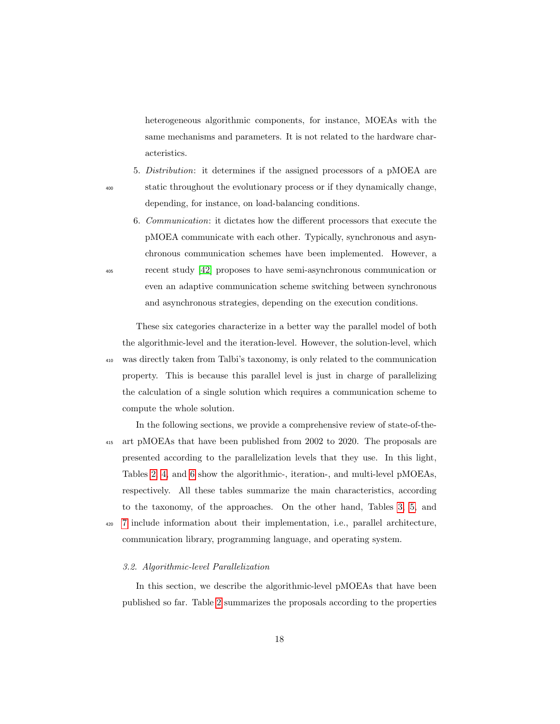heterogeneous algorithmic components, for instance, MOEAs with the same mechanisms and parameters. It is not related to the hardware characteristics.

- 5. Distribution: it determines if the assigned processors of a pMOEA are <sup>400</sup> static throughout the evolutionary process or if they dynamically change, depending, for instance, on load-balancing conditions.
- 6. Communication: it dictates how the different processors that execute the pMOEA communicate with each other. Typically, synchronous and asynchronous communication schemes have been implemented. However, a <sup>405</sup> recent study [\[42\]](#page-71-3) proposes to have semi-asynchronous communication or even an adaptive communication scheme switching between synchronous and asynchronous strategies, depending on the execution conditions.

These six categories characterize in a better way the parallel model of both the algorithmic-level and the iteration-level. However, the solution-level, which <sup>410</sup> was directly taken from Talbi's taxonomy, is only related to the communication property. This is because this parallel level is just in charge of parallelizing the calculation of a single solution which requires a communication scheme to compute the whole solution.

In the following sections, we provide a comprehensive review of state-of-the-<sup>415</sup> art pMOEAs that have been published from 2002 to 2020. The proposals are presented according to the parallelization levels that they use. In this light, Tables [2,](#page-19-0) [4,](#page-35-0) and [6](#page-52-0) show the algorithmic-, iteration-, and multi-level pMOEAs, respectively. All these tables summarize the main characteristics, according to the taxonomy, of the approaches. On the other hand, Tables [3,](#page-20-0) [5,](#page-36-0) and <sup>420</sup> [7](#page-52-1) include information about their implementation, i.e., parallel architecture, communication library, programming language, and operating system.

#### 3.2. Algorithmic-level Parallelization

In this section, we describe the algorithmic-level pMOEAs that have been published so far. Table [2](#page-19-0) summarizes the proposals according to the properties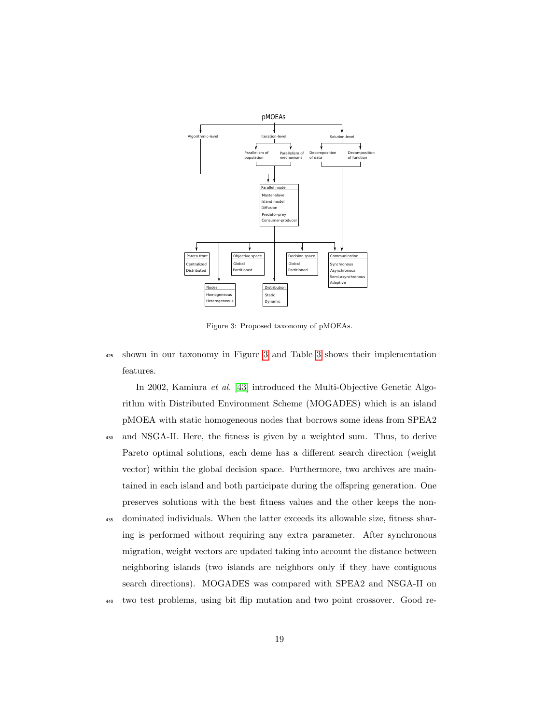

<span id="page-18-0"></span>Figure 3: Proposed taxonomy of pMOEAs.

<sup>425</sup> shown in our taxonomy in Figure [3](#page-18-0) and Table [3](#page-20-0) shows their implementation features.

In 2002, Kamiura et al. [\[43\]](#page-71-4) introduced the Multi-Objective Genetic Algorithm with Distributed Environment Scheme (MOGADES) which is an island pMOEA with static homogeneous nodes that borrows some ideas from SPEA2 <sup>430</sup> and NSGA-II. Here, the fitness is given by a weighted sum. Thus, to derive Pareto optimal solutions, each deme has a different search direction (weight vector) within the global decision space. Furthermore, two archives are maintained in each island and both participate during the offspring generation. One preserves solutions with the best fitness values and the other keeps the non-

- <sup>435</sup> dominated individuals. When the latter exceeds its allowable size, fitness sharing is performed without requiring any extra parameter. After synchronous migration, weight vectors are updated taking into account the distance between neighboring islands (two islands are neighbors only if they have contiguous search directions). MOGADES was compared with SPEA2 and NSGA-II on
- <sup>440</sup> two test problems, using bit flip mutation and two point crossover. Good re-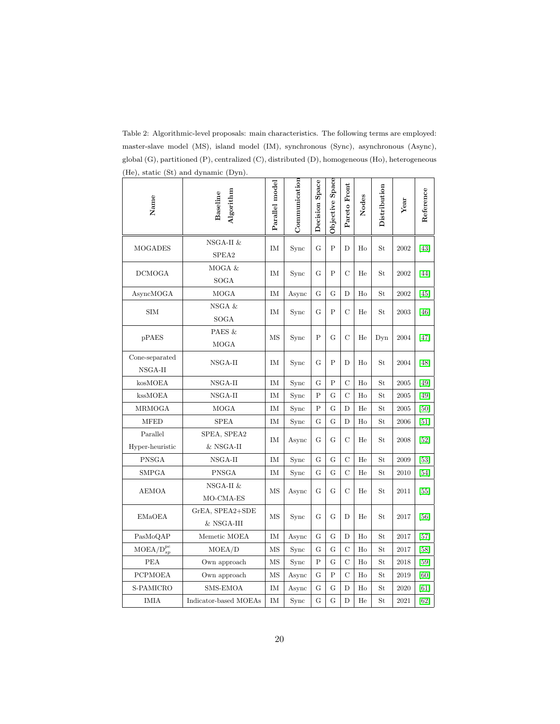| 100, 00000<br>Name               | $\frac{1}{2}$<br>Algorithm<br>Baseline | Parallel model | Communication | Decision Space | Objective Space | Pareto Front   | Nodes | Distribution | Year | Reference |
|----------------------------------|----------------------------------------|----------------|---------------|----------------|-----------------|----------------|-------|--------------|------|-----------|
| <b>MOGADES</b>                   | NSGA-II &<br>SPEA2                     | IM             | Sync          | G              | P               | D              | Ho    | St           | 2002 | [43]      |
| DCMOGA                           | MOGA &<br>SOGA                         | IΜ             | Sync          | G              | P               | C              | He    | St           | 2002 | [44]      |
| AsyncMOGA                        | MOGA                                   | IM             | Async         | G              | G               | D              | Ho    | St           | 2002 | [45]      |
| SIM                              | NSGA &<br><b>SOGA</b>                  | IΜ             | Sync          | G              | P               | C              | He    | St           | 2003 | [46]      |
| pPAES                            | PAES &<br><b>MOGA</b>                  | MS             | Sync          | P              | G               | C              | He    | Dyn          | 2004 | $[47]$    |
| Cone-separated<br>NSGA-II        | NSGA-II                                | ΙM             | Sync          | G              | Ρ               | D              | Ho    | St           | 2004 | [48]      |
| kosMOEA                          | NSGA-II                                | IM             | Sync          | G              | Ρ               | $\mathbf C$    | Ho    | St           | 2005 | [49]      |
| kssMOEA                          | NSGA-II                                | IM             | Sync          | Ρ              | G               | $\mathcal{C}$  | Ho    | St           | 2005 | [49]      |
| MRMOGA                           | <b>MOGA</b>                            | IM             | Sync          | Ρ              | Ġ               | D              | He    | St           | 2005 | [50]      |
| <b>MFED</b>                      | <b>SPEA</b>                            | IM             | Sync          | G              | G               | D              | Ho    | St           | 2006 | [51]      |
| Parallel                         | SPEA, SPEA2                            | IM             | Async         | G              | G               | C              | He    | St           | 2008 | [52]      |
| Hyper-heuristic                  | $&$ NSGA-II                            |                |               |                |                 |                |       |              |      |           |
| <b>PNSGA</b>                     | NSGA-II                                | IM             | Sync          | G              | G               | $\mathcal C$   | He    | St           | 2009 | $[53]$    |
| <b>SMPGA</b>                     | <b>PNSGA</b>                           | IM             | Sync          | G              | G               | $\overline{C}$ | He    | St           | 2010 | [54]      |
| <b>AEMOA</b>                     | NSGA-II &<br>MO-CMA-ES                 | MS             | Async         | G              | G               | $\mathcal C$   | He    | St           | 2011 | [55]      |
| <b>EMaOEA</b>                    | GrEA, SPEA2+SDE<br>& NSGA-III          | MS             | Sync          | G              | G               | D              | He    | St           | 2017 | [56]      |
| PasMoQAP                         | Memetic MOEA                           | IM             | Async         | G              | G               | D              | Ho    | St           | 2017 | $[57]$    |
| $\text{MOEA}/\text{D}_{sp}^{pe}$ | MOEA/D                                 | MS             | Sync          | G              | G               | $\mathcal{C}$  | Ho    | St           | 2017 | $[58]$    |
| PEA                              | Own approach                           | MS             | Sync          | $\overline{P}$ | G               | $\overline{C}$ | Ho    | St           | 2018 | $[59]$    |
| <b>PCPMOEA</b>                   | Own approach                           | MS             | Async         | G              | Ρ               | $\mathcal{C}$  | Ho    | St           | 2019 | [60]      |
| S-PAMICRO                        | <b>SMS-EMOA</b>                        | IM             | Async         | G              | G               | D              | Ho    | St           | 2020 | [61]      |
| <b>IMIA</b>                      | Indicator-based MOEAs                  | IM             | Sync          | G              | Ġ               | D              | He    | St           | 2021 | [62]      |

<span id="page-19-0"></span>Table 2: Algorithmic-level proposals: main characteristics. The following terms are employed: master-slave model (MS), island model (IM), synchronous (Sync), asynchronous (Async), global (G), partitioned (P), centralized (C), distributed (D), homogeneous (Ho), heterogeneous (He), static (St) and dynamic (Dyn).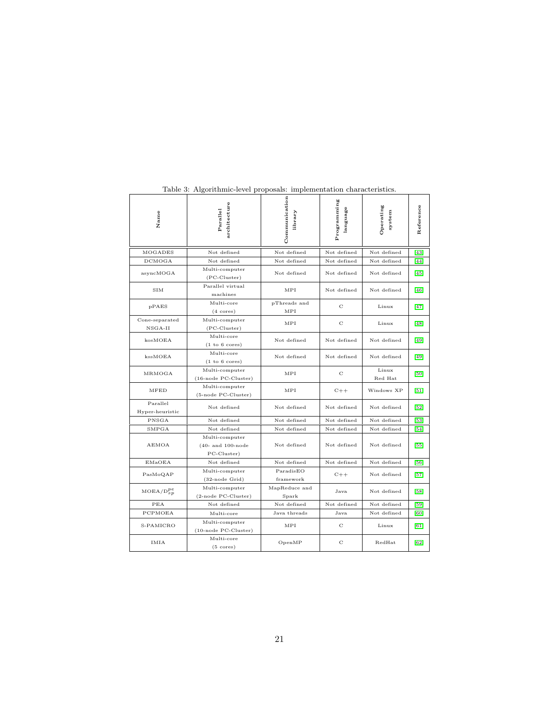| Name                        | architecture<br>Parallel                                | Communication<br>library | Programming<br>language | Operating<br>system | Reference |
|-----------------------------|---------------------------------------------------------|--------------------------|-------------------------|---------------------|-----------|
| MOGADES                     | Not defined                                             | Not defined              | Not defined             | Not defined         | $[43]$    |
| <b>DCMOGA</b>               | Not defined                                             | Not defined              | Not defined             | Not defined         | [44]      |
| asyncMOGA                   | Multi-computer<br>$(PC-Cluster)$                        | Not defined              | Not defined             | Not defined         | $[45]$    |
| SIM                         | Parallel virtual<br>machines                            | MPI                      | Not defined             | Not defined         | [46]      |
| pPAES                       | Multi-core<br>$(4 \text{ cores})$                       | pThreads and<br>MPI      | C                       | Linux               | $[47]$    |
| Cone-separated<br>$NSGA-II$ | Multi-computer<br>$(PC-Cluster)$                        | MPI                      | С                       | Linux               | [48]      |
| kosMOEA                     | Multi-core<br>(1 to 6 cores)                            | Not defined              | Not defined             | Not defined         | [49]      |
| kssMOEA                     | Multi-core<br>(1 to 6 cores)                            | Not defined              | Not defined             | Not defined         | $[49]$    |
| MRMOGA                      | Multi-computer<br>(16-node PC-Cluster)                  | MPI                      | C                       | Linux<br>Red Hat    | [50]      |
| <b>MFED</b>                 | Multi-computer<br>(5-node PC-Cluster)                   | MPI                      | $C++$                   | Windows XP          | $[51]$    |
| Parallel<br>Hyper-heuristic | Not defined                                             |                          | Not defined             | Not defined         | $[52]$    |
| PNSGA                       | Not defined<br>Not defined                              |                          | Not defined             | Not defined         | $[53]$    |
| SMPGA                       | Not defined                                             | Not defined              | Not defined             | Not defined         | $[54]$    |
| AEMOA                       | Multi-computer<br>$(40-$ and $100$ -node<br>PC-Cluster) | Not defined              | Not defined             | Not defined         | [55]      |
| EMaOEA                      | Not defined                                             | Not defined              | Not defined             | Not defined         | $[56]$    |
| PasMoQAP                    | Multi-computer<br>(32-node Grid)                        | ParadisEO<br>framework   | $C++$                   | Not defined         | $[57]$    |
| $MOEA/D_{SD}^{pe}$          | Multi-computer<br>(2-node PC-Cluster)                   | MapReduce and<br>Spark   | Java                    | Not defined         | $[58]$    |
| PEA                         | Not defined<br>Not defined                              |                          | Not defined             | Not defined         | $[59]$    |
| PCPMOEA                     | Multi-core                                              | Java threads             | Java                    | Not defined         | [60]      |
| S-PAMICRO                   | Multi-computer<br>(10-node PC-Cluster)                  | MPI                      | C                       | Linux               | [61]      |
| <b>IMIA</b>                 | Multi-core<br>$(5 \text{ cores})$                       | OpenMP                   | C                       | RedHat              | [62]      |

<span id="page-20-0"></span>Table 3: Algorithmic-level proposals: implementation characteristics.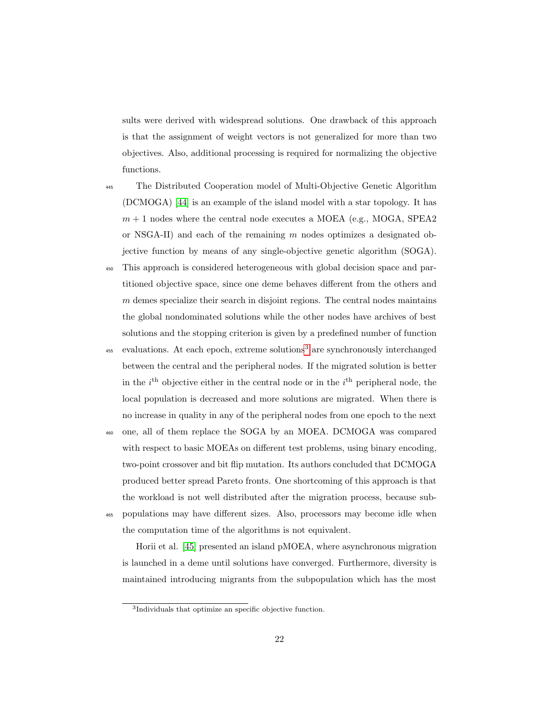sults were derived with widespread solutions. One drawback of this approach is that the assignment of weight vectors is not generalized for more than two objectives. Also, additional processing is required for normalizing the objective functions.

<sup>445</sup> The Distributed Cooperation model of Multi-Objective Genetic Algorithm (DCMOGA) [\[44\]](#page-71-5) is an example of the island model with a star topology. It has  $m + 1$  nodes where the central node executes a MOEA (e.g., MOGA, SPEA2) or NSGA-II) and each of the remaining m nodes optimizes a designated objective function by means of any single-objective genetic algorithm (SOGA).

- <sup>450</sup> This approach is considered heterogeneous with global decision space and partitioned objective space, since one deme behaves different from the others and  $m$  demes specialize their search in disjoint regions. The central nodes maintains the global nondominated solutions while the other nodes have archives of best solutions and the stopping criterion is given by a predefined number of function
- $455$  evaluations. At each epoch, extreme solutions<sup>[3](#page-21-0)</sup> are synchronously interchanged between the central and the peripheral nodes. If the migrated solution is better in the  $i<sup>th</sup>$  objective either in the central node or in the  $i<sup>th</sup>$  peripheral node, the local population is decreased and more solutions are migrated. When there is no increase in quality in any of the peripheral nodes from one epoch to the next
- <sup>460</sup> one, all of them replace the SOGA by an MOEA. DCMOGA was compared with respect to basic MOEAs on different test problems, using binary encoding, two-point crossover and bit flip mutation. Its authors concluded that DCMOGA produced better spread Pareto fronts. One shortcoming of this approach is that the workload is not well distributed after the migration process, because sub-<sup>465</sup> populations may have different sizes. Also, processors may become idle when
- 

the computation time of the algorithms is not equivalent.

Horii et al. [\[45\]](#page-72-0) presented an island pMOEA, where asynchronous migration is launched in a deme until solutions have converged. Furthermore, diversity is maintained introducing migrants from the subpopulation which has the most

<span id="page-21-0"></span><sup>3</sup> Individuals that optimize an specific objective function.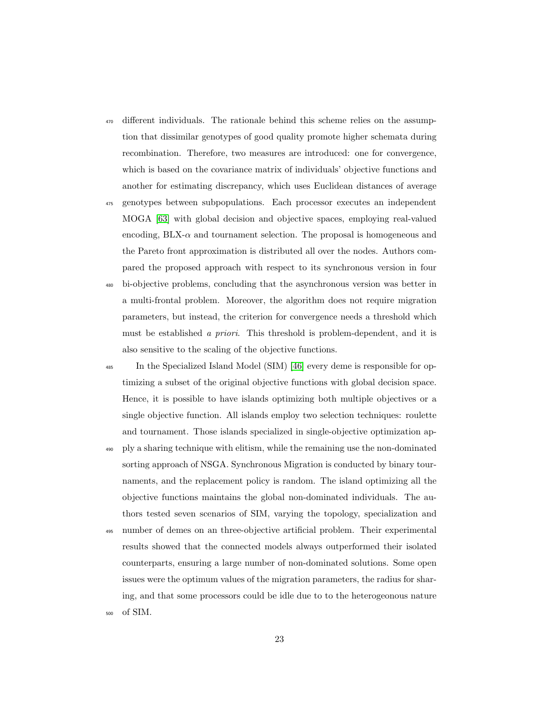- <sup>470</sup> different individuals. The rationale behind this scheme relies on the assumption that dissimilar genotypes of good quality promote higher schemata during recombination. Therefore, two measures are introduced: one for convergence, which is based on the covariance matrix of individuals' objective functions and another for estimating discrepancy, which uses Euclidean distances of average
- <sup>475</sup> genotypes between subpopulations. Each processor executes an independent MOGA [\[63\]](#page-74-5) with global decision and objective spaces, employing real-valued encoding,  $BLX-\alpha$  and tournament selection. The proposal is homogeneous and the Pareto front approximation is distributed all over the nodes. Authors compared the proposed approach with respect to its synchronous version in four
- <sup>480</sup> bi-objective problems, concluding that the asynchronous version was better in a multi-frontal problem. Moreover, the algorithm does not require migration parameters, but instead, the criterion for convergence needs a threshold which must be established a priori. This threshold is problem-dependent, and it is also sensitive to the scaling of the objective functions.
- <sup>485</sup> In the Specialized Island Model (SIM) [\[46\]](#page-72-1) every deme is responsible for optimizing a subset of the original objective functions with global decision space. Hence, it is possible to have islands optimizing both multiple objectives or a single objective function. All islands employ two selection techniques: roulette and tournament. Those islands specialized in single-objective optimization ap-
- <sup>490</sup> ply a sharing technique with elitism, while the remaining use the non-dominated sorting approach of NSGA. Synchronous Migration is conducted by binary tournaments, and the replacement policy is random. The island optimizing all the objective functions maintains the global non-dominated individuals. The authors tested seven scenarios of SIM, varying the topology, specialization and
- number of demes on an three-objective artificial problem. Their experimental results showed that the connected models always outperformed their isolated counterparts, ensuring a large number of non-dominated solutions. Some open issues were the optimum values of the migration parameters, the radius for sharing, and that some processors could be idle due to to the heterogeonous nature <sup>500</sup> of SIM.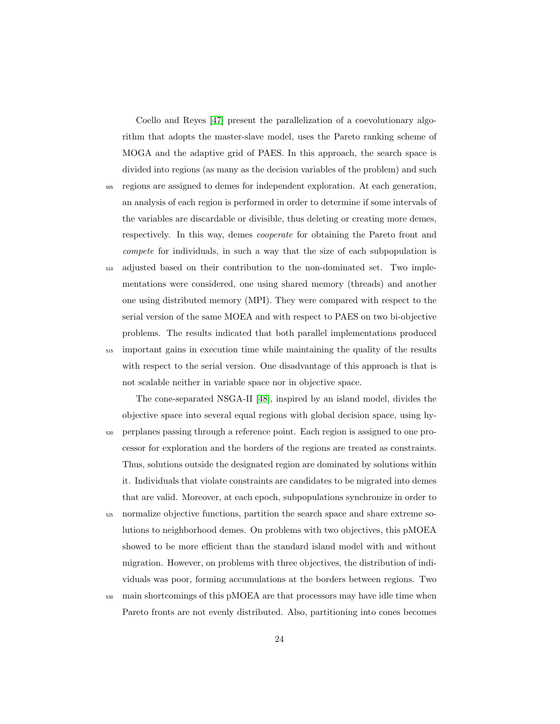Coello and Reyes [\[47\]](#page-72-2) present the parallelization of a coevolutionary algorithm that adopts the master-slave model, uses the Pareto ranking scheme of MOGA and the adaptive grid of PAES. In this approach, the search space is divided into regions (as many as the decision variables of the problem) and such <sup>505</sup> regions are assigned to demes for independent exploration. At each generation, an analysis of each region is performed in order to determine if some intervals of the variables are discardable or divisible, thus deleting or creating more demes, respectively. In this way, demes cooperate for obtaining the Pareto front and compete for individuals, in such a way that the size of each subpopulation is <sup>510</sup> adjusted based on their contribution to the non-dominated set. Two implementations were considered, one using shared memory (threads) and another one using distributed memory (MPI). They were compared with respect to the

problems. The results indicated that both parallel implementations produced <sup>515</sup> important gains in execution time while maintaining the quality of the results with respect to the serial version. One disadvantage of this approach is that is not scalable neither in variable space nor in objective space.

serial version of the same MOEA and with respect to PAES on two bi-objective

The cone-separated NSGA-II [\[48\]](#page-72-3), inspired by an island model, divides the objective space into several equal regions with global decision space, using hy-<sup>520</sup> perplanes passing through a reference point. Each region is assigned to one processor for exploration and the borders of the regions are treated as constraints. Thus, solutions outside the designated region are dominated by solutions within it. Individuals that violate constraints are candidates to be migrated into demes that are valid. Moreover, at each epoch, subpopulations synchronize in order to

- <sup>525</sup> normalize objective functions, partition the search space and share extreme solutions to neighborhood demes. On problems with two objectives, this pMOEA showed to be more efficient than the standard island model with and without migration. However, on problems with three objectives, the distribution of individuals was poor, forming accumulations at the borders between regions. Two
- <sup>530</sup> main shortcomings of this pMOEA are that processors may have idle time when Pareto fronts are not evenly distributed. Also, partitioning into cones becomes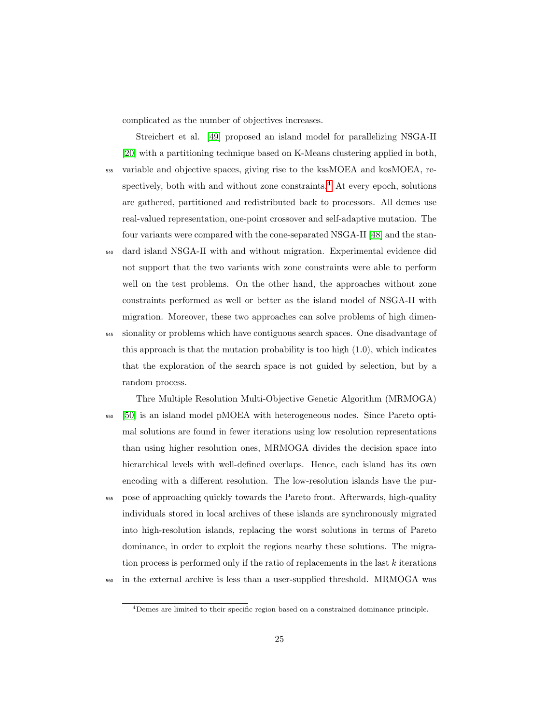complicated as the number of objectives increases.

Streichert et al. [\[49\]](#page-72-4) proposed an island model for parallelizing NSGA-II [\[20\]](#page-68-3) with a partitioning technique based on K-Means clustering applied in both, <sup>535</sup> variable and objective spaces, giving rise to the kssMOEA and kosMOEA, respectively, both with and without zone constraints. $4$  At every epoch, solutions are gathered, partitioned and redistributed back to processors. All demes use real-valued representation, one-point crossover and self-adaptive mutation. The four variants were compared with the cone-separated NSGA-II [\[48\]](#page-72-3) and the stan-

- <sup>540</sup> dard island NSGA-II with and without migration. Experimental evidence did not support that the two variants with zone constraints were able to perform well on the test problems. On the other hand, the approaches without zone constraints performed as well or better as the island model of NSGA-II with migration. Moreover, these two approaches can solve problems of high dimen-<sup>545</sup> sionality or problems which have contiguous search spaces. One disadvantage of this approach is that the mutation probability is too high  $(1.0)$ , which indicates that the exploration of the search space is not guided by selection, but by a random process.
- Thre Multiple Resolution Multi-Objective Genetic Algorithm (MRMOGA) <sup>550</sup> [\[50\]](#page-72-5) is an island model pMOEA with heterogeneous nodes. Since Pareto optimal solutions are found in fewer iterations using low resolution representations than using higher resolution ones, MRMOGA divides the decision space into hierarchical levels with well-defined overlaps. Hence, each island has its own encoding with a different resolution. The low-resolution islands have the pur-<sup>555</sup> pose of approaching quickly towards the Pareto front. Afterwards, high-quality individuals stored in local archives of these islands are synchronously migrated into high-resolution islands, replacing the worst solutions in terms of Pareto dominance, in order to exploit the regions nearby these solutions. The migration process is performed only if the ratio of replacements in the last  $k$  iterations <sup>560</sup> in the external archive is less than a user-supplied threshold. MRMOGA was

<span id="page-24-0"></span><sup>4</sup>Demes are limited to their specific region based on a constrained dominance principle.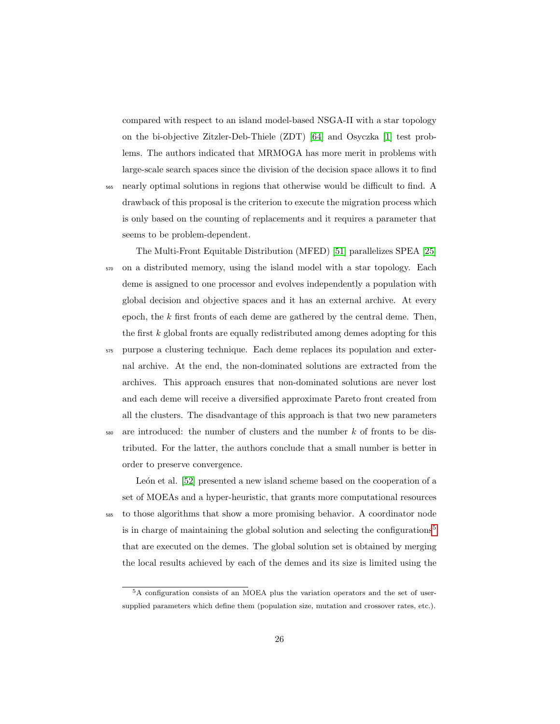compared with respect to an island model-based NSGA-II with a star topology on the bi-objective Zitzler-Deb-Thiele (ZDT) [\[64\]](#page-75-0) and Osyczka [\[1\]](#page-65-0) test problems. The authors indicated that MRMOGA has more merit in problems with large-scale search spaces since the division of the decision space allows it to find

<sup>565</sup> nearly optimal solutions in regions that otherwise would be difficult to find. A drawback of this proposal is the criterion to execute the migration process which is only based on the counting of replacements and it requires a parameter that seems to be problem-dependent.

The Multi-Front Equitable Distribution (MFED) [\[51\]](#page-73-0) parallelizes SPEA [\[25\]](#page-69-0) <sup>570</sup> on a distributed memory, using the island model with a star topology. Each deme is assigned to one processor and evolves independently a population with global decision and objective spaces and it has an external archive. At every epoch, the  $k$  first fronts of each deme are gathered by the central deme. Then, the first  $k$  global fronts are equally redistributed among demes adopting for this <sup>575</sup> purpose a clustering technique. Each deme replaces its population and external archive. At the end, the non-dominated solutions are extracted from the archives. This approach ensures that non-dominated solutions are never lost and each deme will receive a diversified approximate Pareto front created from all the clusters. The disadvantage of this approach is that two new parameters  $580$  are introduced: the number of clusters and the number k of fronts to be distributed. For the latter, the authors conclude that a small number is better in order to preserve convergence.

León et al. [\[52\]](#page-73-1) presented a new island scheme based on the cooperation of a set of MOEAs and a hyper-heuristic, that grants more computational resources <sup>585</sup> to those algorithms that show a more promising behavior. A coordinator node is in charge of maintaining the global solution and selecting the configurations<sup>[5](#page-25-0)</sup> that are executed on the demes. The global solution set is obtained by merging the local results achieved by each of the demes and its size is limited using the

<span id="page-25-0"></span><sup>5</sup>A configuration consists of an MOEA plus the variation operators and the set of usersupplied parameters which define them (population size, mutation and crossover rates, etc.).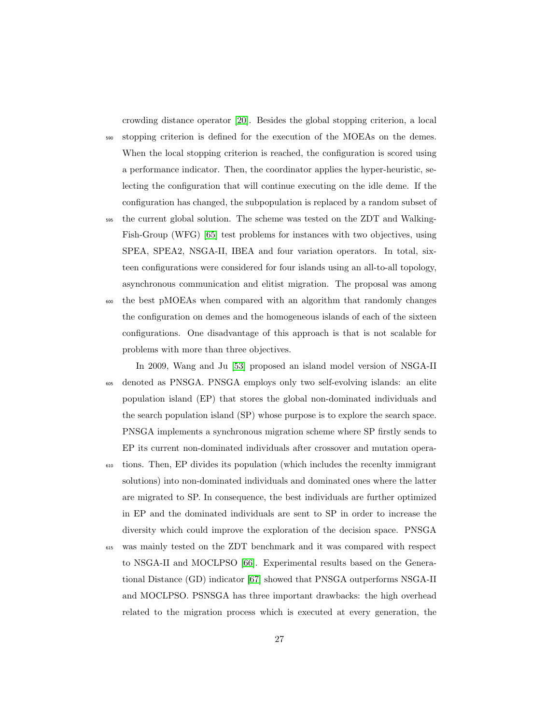crowding distance operator [\[20\]](#page-68-3). Besides the global stopping criterion, a local

<sup>590</sup> stopping criterion is defined for the execution of the MOEAs on the demes. When the local stopping criterion is reached, the configuration is scored using a performance indicator. Then, the coordinator applies the hyper-heuristic, selecting the configuration that will continue executing on the idle deme. If the configuration has changed, the subpopulation is replaced by a random subset of

- <sup>595</sup> the current global solution. The scheme was tested on the ZDT and Walking-Fish-Group (WFG) [\[65\]](#page-75-1) test problems for instances with two objectives, using SPEA, SPEA2, NSGA-II, IBEA and four variation operators. In total, sixteen configurations were considered for four islands using an all-to-all topology, asynchronous communication and elitist migration. The proposal was among
- <sup>600</sup> the best pMOEAs when compared with an algorithm that randomly changes the configuration on demes and the homogeneous islands of each of the sixteen configurations. One disadvantage of this approach is that is not scalable for problems with more than three objectives.

In 2009, Wang and Ju [\[53\]](#page-73-2) proposed an island model version of NSGA-II <sup>605</sup> denoted as PNSGA. PNSGA employs only two self-evolving islands: an elite population island (EP) that stores the global non-dominated individuals and the search population island (SP) whose purpose is to explore the search space. PNSGA implements a synchronous migration scheme where SP firstly sends to EP its current non-dominated individuals after crossover and mutation opera-

- <sup>610</sup> tions. Then, EP divides its population (which includes the recenlty immigrant solutions) into non-dominated individuals and dominated ones where the latter are migrated to SP. In consequence, the best individuals are further optimized in EP and the dominated individuals are sent to SP in order to increase the diversity which could improve the exploration of the decision space. PNSGA
- <sup>615</sup> was mainly tested on the ZDT benchmark and it was compared with respect to NSGA-II and MOCLPSO [\[66\]](#page-75-2). Experimental results based on the Generational Distance (GD) indicator [\[67\]](#page-75-3) showed that PNSGA outperforms NSGA-II and MOCLPSO. PSNSGA has three important drawbacks: the high overhead related to the migration process which is executed at every generation, the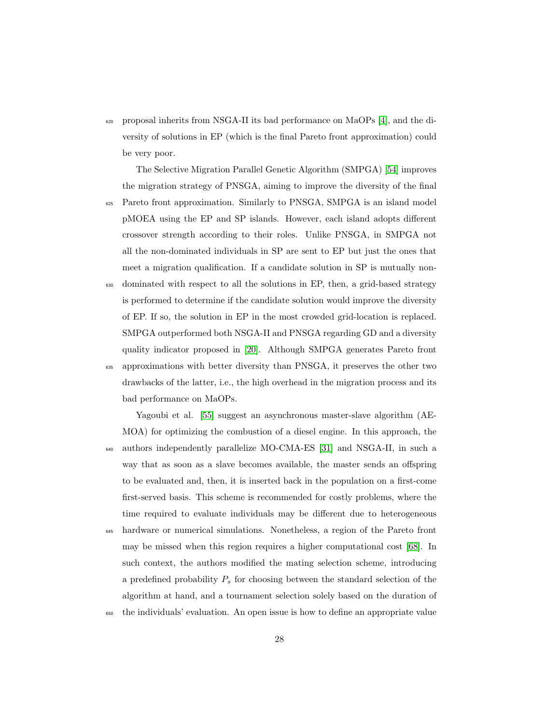$\epsilon_{620}$  proposal inherits from NSGA-II its bad performance on MaOPs [\[4\]](#page-66-1), and the diversity of solutions in EP (which is the final Pareto front approximation) could be very poor.

The Selective Migration Parallel Genetic Algorithm (SMPGA) [\[54\]](#page-73-3) improves the migration strategy of PNSGA, aiming to improve the diversity of the final

- <sup>625</sup> Pareto front approximation. Similarly to PNSGA, SMPGA is an island model pMOEA using the EP and SP islands. However, each island adopts different crossover strength according to their roles. Unlike PNSGA, in SMPGA not all the non-dominated individuals in SP are sent to EP but just the ones that meet a migration qualification. If a candidate solution in SP is mutually non-
- <sup>630</sup> dominated with respect to all the solutions in EP, then, a grid-based strategy is performed to determine if the candidate solution would improve the diversity of EP. If so, the solution in EP in the most crowded grid-location is replaced. SMPGA outperformed both NSGA-II and PNSGA regarding GD and a diversity quality indicator proposed in [\[20\]](#page-68-3). Although SMPGA generates Pareto front <sup>635</sup> approximations with better diversity than PNSGA, it preserves the other two drawbacks of the latter, i.e., the high overhead in the migration process and its bad performance on MaOPs.

Yagoubi et al. [\[55\]](#page-73-4) suggest an asynchronous master-slave algorithm (AE-MOA) for optimizing the combustion of a diesel engine. In this approach, the <sup>640</sup> authors independently parallelize MO-CMA-ES [\[31\]](#page-69-6) and NSGA-II, in such a way that as soon as a slave becomes available, the master sends an offspring to be evaluated and, then, it is inserted back in the population on a first-come first-served basis. This scheme is recommended for costly problems, where the time required to evaluate individuals may be different due to heterogeneous hardware or numerical simulations. Nonetheless, a region of the Pareto front may be missed when this region requires a higher computational cost [\[68\]](#page-75-4). In such context, the authors modified the mating selection scheme, introducing a predefined probability  $P_s$  for choosing between the standard selection of the

<sup>650</sup> the individuals' evaluation. An open issue is how to define an appropriate value

algorithm at hand, and a tournament selection solely based on the duration of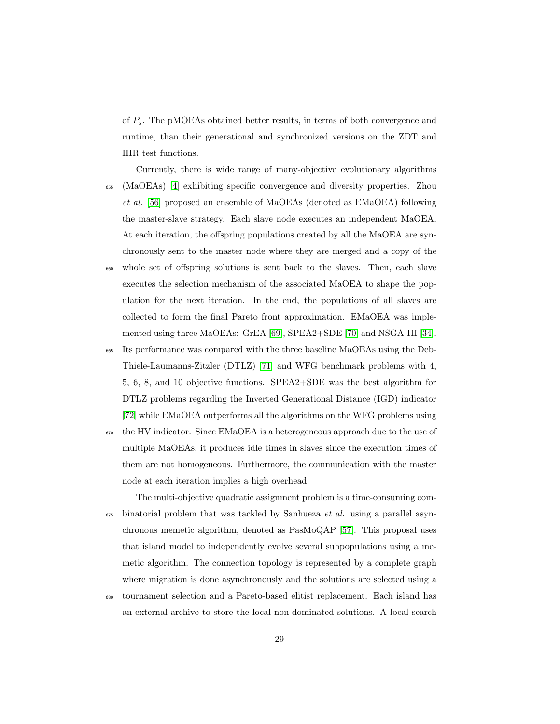of  $P_s$ . The pMOEAs obtained better results, in terms of both convergence and runtime, than their generational and synchronized versions on the ZDT and IHR test functions.

- Currently, there is wide range of many-objective evolutionary algorithms <sup>655</sup> (MaOEAs) [\[4\]](#page-66-1) exhibiting specific convergence and diversity properties. Zhou et al. [\[56\]](#page-73-5) proposed an ensemble of MaOEAs (denoted as EMaOEA) following the master-slave strategy. Each slave node executes an independent MaOEA. At each iteration, the offspring populations created by all the MaOEA are synchronously sent to the master node where they are merged and a copy of the <sup>660</sup> whole set of offspring solutions is sent back to the slaves. Then, each slave executes the selection mechanism of the associated MaOEA to shape the population for the next iteration. In the end, the populations of all slaves are collected to form the final Pareto front approximation. EMaOEA was imple-
- <sup>665</sup> Its performance was compared with the three baseline MaOEAs using the Deb-Thiele-Laumanns-Zitzler (DTLZ) [\[71\]](#page-76-0) and WFG benchmark problems with 4, 5, 6, 8, and 10 objective functions. SPEA2+SDE was the best algorithm for DTLZ problems regarding the Inverted Generational Distance (IGD) indicator [\[72\]](#page-76-1) while EMaOEA outperforms all the algorithms on the WFG problems using

mented using three MaOEAs: GrEA [\[69\]](#page-75-5), SPEA2+SDE [\[70\]](#page-75-6) and NSGA-III [\[34\]](#page-70-1).

<sup>670</sup> the HV indicator. Since EMaOEA is a heterogeneous approach due to the use of multiple MaOEAs, it produces idle times in slaves since the execution times of them are not homogeneous. Furthermore, the communication with the master node at each iteration implies a high overhead.

The multi-objective quadratic assignment problem is a time-consuming com- $\epsilon_{675}$  binatorial problem that was tackled by Sanhueza *et al.* using a parallel asynchronous memetic algorithm, denoted as PasMoQAP [\[57\]](#page-73-6). This proposal uses that island model to independently evolve several subpopulations using a memetic algorithm. The connection topology is represented by a complete graph where migration is done asynchronously and the solutions are selected using a

<sup>680</sup> tournament selection and a Pareto-based elitist replacement. Each island has an external archive to store the local non-dominated solutions. A local search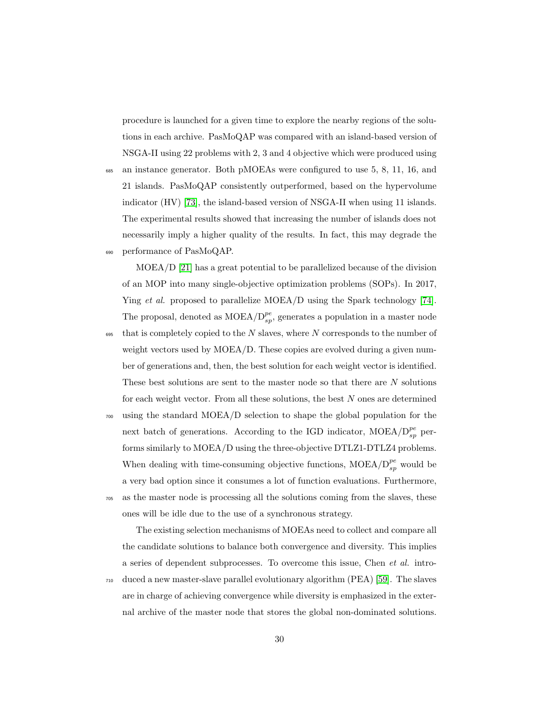procedure is launched for a given time to explore the nearby regions of the solutions in each archive. PasMoQAP was compared with an island-based version of NSGA-II using 22 problems with 2, 3 and 4 objective which were produced using

<sup>685</sup> an instance generator. Both pMOEAs were configured to use 5, 8, 11, 16, and 21 islands. PasMoQAP consistently outperformed, based on the hypervolume indicator (HV) [\[73\]](#page-76-2), the island-based version of NSGA-II when using 11 islands. The experimental results showed that increasing the number of islands does not necessarily imply a higher quality of the results. In fact, this may degrade the <sup>690</sup> performance of PasMoQAP.

MOEA/D [\[21\]](#page-68-4) has a great potential to be parallelized because of the division of an MOP into many single-objective optimization problems (SOPs). In 2017, Ying et al. proposed to parallelize MOEA/D using the Spark technology [\[74\]](#page-76-3). The proposal, denoted as  $\text{MOEA}/D_{sp}^{pe}$ , generates a population in a master node

- $695$  that is completely copied to the N slaves, where N corresponds to the number of weight vectors used by MOEA/D. These copies are evolved during a given number of generations and, then, the best solution for each weight vector is identified. These best solutions are sent to the master node so that there are N solutions for each weight vector. From all these solutions, the best N ones are determined
- <sup>700</sup> using the standard MOEA/D selection to shape the global population for the next batch of generations. According to the IGD indicator,  $\text{MOEA}/D_{sp}^{pe}$  performs similarly to MOEA/D using the three-objective DTLZ1-DTLZ4 problems. When dealing with time-consuming objective functions,  $\text{MOEA}/D_{sp}^{pe}$  would be a very bad option since it consumes a lot of function evaluations. Furthermore, <sup>705</sup> as the master node is processing all the solutions coming from the slaves, these ones will be idle due to the use of a synchronous strategy.

The existing selection mechanisms of MOEAs need to collect and compare all the candidate solutions to balance both convergence and diversity. This implies a series of dependent subprocesses. To overcome this issue, Chen et al. intro-<sup>710</sup> duced a new master-slave parallel evolutionary algorithm (PEA) [\[59\]](#page-74-1). The slaves are in charge of achieving convergence while diversity is emphasized in the external archive of the master node that stores the global non-dominated solutions.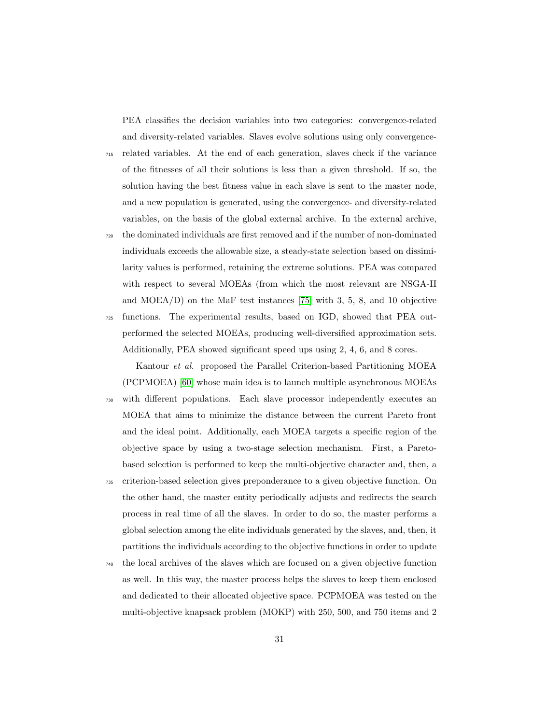PEA classifies the decision variables into two categories: convergence-related and diversity-related variables. Slaves evolve solutions using only convergence-

<sup>715</sup> related variables. At the end of each generation, slaves check if the variance of the fitnesses of all their solutions is less than a given threshold. If so, the solution having the best fitness value in each slave is sent to the master node, and a new population is generated, using the convergence- and diversity-related variables, on the basis of the global external archive. In the external archive,

<sup>720</sup> the dominated individuals are first removed and if the number of non-dominated individuals exceeds the allowable size, a steady-state selection based on dissimilarity values is performed, retaining the extreme solutions. PEA was compared with respect to several MOEAs (from which the most relevant are NSGA-II and MOEA/D) on the MaF test instances [\[75\]](#page-76-4) with 3, 5, 8, and 10 objective <sup>725</sup> functions. The experimental results, based on IGD, showed that PEA out-

performed the selected MOEAs, producing well-diversified approximation sets. Additionally, PEA showed significant speed ups using 2, 4, 6, and 8 cores.

Kantour et al. proposed the Parallel Criterion-based Partitioning MOEA (PCPMOEA) [\[60\]](#page-74-2) whose main idea is to launch multiple asynchronous MOEAs <sup>730</sup> with different populations. Each slave processor independently executes an MOEA that aims to minimize the distance between the current Pareto front and the ideal point. Additionally, each MOEA targets a specific region of the objective space by using a two-stage selection mechanism. First, a Paretobased selection is performed to keep the multi-objective character and, then, a

- <sup>735</sup> criterion-based selection gives preponderance to a given objective function. On the other hand, the master entity periodically adjusts and redirects the search process in real time of all the slaves. In order to do so, the master performs a global selection among the elite individuals generated by the slaves, and, then, it partitions the individuals according to the objective functions in order to update
- <sup>740</sup> the local archives of the slaves which are focused on a given objective function as well. In this way, the master process helps the slaves to keep them enclosed and dedicated to their allocated objective space. PCPMOEA was tested on the multi-objective knapsack problem (MOKP) with 250, 500, and 750 items and 2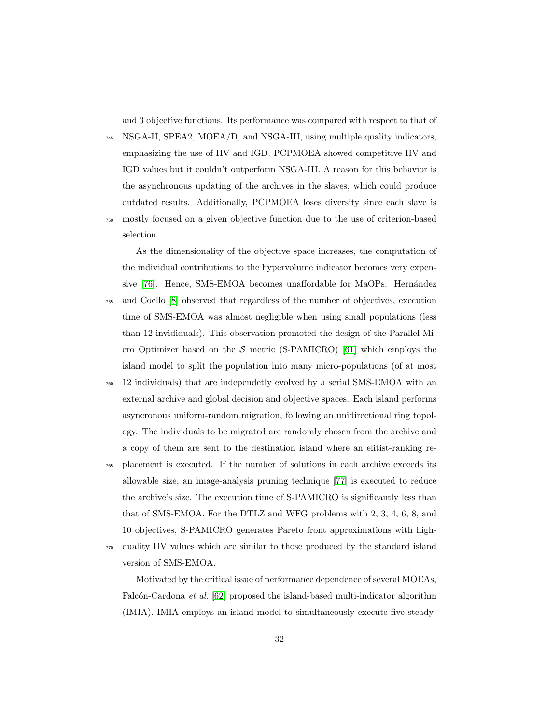and 3 objective functions. Its performance was compared with respect to that of

<sup>745</sup> NSGA-II, SPEA2, MOEA/D, and NSGA-III, using multiple quality indicators, emphasizing the use of HV and IGD. PCPMOEA showed competitive HV and IGD values but it couldn't outperform NSGA-III. A reason for this behavior is the asynchronous updating of the archives in the slaves, which could produce outdated results. Additionally, PCPMOEA loses diversity since each slave is

mostly focused on a given objective function due to the use of criterion-based selection.

As the dimensionality of the objective space increases, the computation of the individual contributions to the hypervolume indicator becomes very expen-sive [\[76\]](#page-76-5). Hence, SMS-EMOA becomes unaffordable for MaOPs. Hernández

- <sup>755</sup> and Coello [\[8\]](#page-66-5) observed that regardless of the number of objectives, execution time of SMS-EMOA was almost negligible when using small populations (less than 12 invididuals). This observation promoted the design of the Parallel Mi-cro Optimizer based on the S metric (S-PAMICRO) [\[61\]](#page-74-3) which employs the island model to split the population into many micro-populations (of at most
- <sup>760</sup> 12 individuals) that are independetly evolved by a serial SMS-EMOA with an external archive and global decision and objective spaces. Each island performs asyncronous uniform-random migration, following an unidirectional ring topology. The individuals to be migrated are randomly chosen from the archive and a copy of them are sent to the destination island where an elitist-ranking re-

<sup>765</sup> placement is executed. If the number of solutions in each archive exceeds its allowable size, an image-analysis pruning technique [\[77\]](#page-76-6) is executed to reduce the archive's size. The execution time of S-PAMICRO is significantly less than that of SMS-EMOA. For the DTLZ and WFG problems with 2, 3, 4, 6, 8, and 10 objectives, S-PAMICRO generates Pareto front approximations with high-

<sup>770</sup> quality HV values which are similar to those produced by the standard island version of SMS-EMOA.

Motivated by the critical issue of performance dependence of several MOEAs, Falcón-Cardona et al.  $[62]$  proposed the island-based multi-indicator algorithm (IMIA). IMIA employs an island model to simultaneously execute five steady-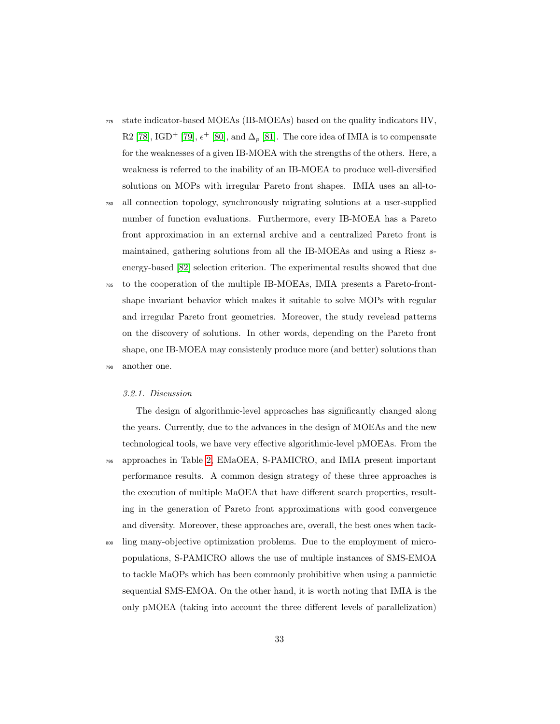- <sup>775</sup> state indicator-based MOEAs (IB-MOEAs) based on the quality indicators HV, R2 [\[78\]](#page-77-0), IGD<sup>+</sup> [\[79\]](#page-77-1),  $\epsilon^+$  [\[80\]](#page-77-2), and  $\Delta_p$  [\[81\]](#page-77-3). The core idea of IMIA is to compensate for the weaknesses of a given IB-MOEA with the strengths of the others. Here, a weakness is referred to the inability of an IB-MOEA to produce well-diversified solutions on MOPs with irregular Pareto front shapes. IMIA uses an all-to-
- <sup>780</sup> all connection topology, synchronously migrating solutions at a user-supplied number of function evaluations. Furthermore, every IB-MOEA has a Pareto front approximation in an external archive and a centralized Pareto front is maintained, gathering solutions from all the IB-MOEAs and using a Riesz senergy-based [\[82\]](#page-77-4) selection criterion. The experimental results showed that due
- <sup>785</sup> to the cooperation of the multiple IB-MOEAs, IMIA presents a Pareto-frontshape invariant behavior which makes it suitable to solve MOPs with regular and irregular Pareto front geometries. Moreover, the study revelead patterns on the discovery of solutions. In other words, depending on the Pareto front shape, one IB-MOEA may consistenly produce more (and better) solutions than <sup>790</sup> another one.

#### 3.2.1. Discussion

The design of algorithmic-level approaches has significantly changed along the years. Currently, due to the advances in the design of MOEAs and the new technological tools, we have very effective algorithmic-level pMOEAs. From the <sup>795</sup> approaches in Table [2,](#page-19-0) EMaOEA, S-PAMICRO, and IMIA present important performance results. A common design strategy of these three approaches is the execution of multiple MaOEA that have different search properties, resulting in the generation of Pareto front approximations with good convergence and diversity. Moreover, these approaches are, overall, the best ones when tack-

<sup>800</sup> ling many-objective optimization problems. Due to the employment of micropopulations, S-PAMICRO allows the use of multiple instances of SMS-EMOA to tackle MaOPs which has been commonly prohibitive when using a panmictic sequential SMS-EMOA. On the other hand, it is worth noting that IMIA is the only pMOEA (taking into account the three different levels of parallelization)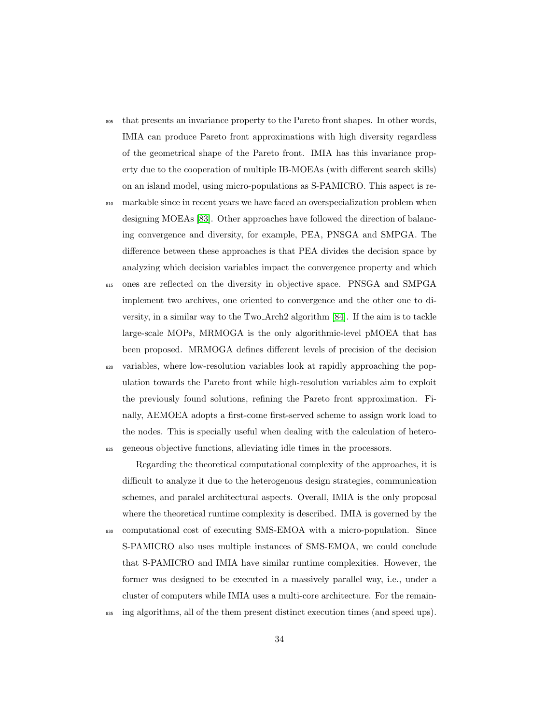- <sup>805</sup> that presents an invariance property to the Pareto front shapes. In other words, IMIA can produce Pareto front approximations with high diversity regardless of the geometrical shape of the Pareto front. IMIA has this invariance property due to the cooperation of multiple IB-MOEAs (with different search skills) on an island model, using micro-populations as S-PAMICRO. This aspect is re-
- <sup>810</sup> markable since in recent years we have faced an overspecialization problem when designing MOEAs [\[83\]](#page-77-5). Other approaches have followed the direction of balancing convergence and diversity, for example, PEA, PNSGA and SMPGA. The difference between these approaches is that PEA divides the decision space by analyzing which decision variables impact the convergence property and which
- <sup>815</sup> ones are reflected on the diversity in objective space. PNSGA and SMPGA implement two archives, one oriented to convergence and the other one to diversity, in a similar way to the Two Arch2 algorithm [\[84\]](#page-77-6). If the aim is to tackle large-scale MOPs, MRMOGA is the only algorithmic-level pMOEA that has been proposed. MRMOGA defines different levels of precision of the decision
- <sup>820</sup> variables, where low-resolution variables look at rapidly approaching the population towards the Pareto front while high-resolution variables aim to exploit the previously found solutions, refining the Pareto front approximation. Finally, AEMOEA adopts a first-come first-served scheme to assign work load to the nodes. This is specially useful when dealing with the calculation of hetero-<sup>825</sup> geneous objective functions, alleviating idle times in the processors.

Regarding the theoretical computational complexity of the approaches, it is difficult to analyze it due to the heterogenous design strategies, communication schemes, and paralel architectural aspects. Overall, IMIA is the only proposal where the theoretical runtime complexity is described. IMIA is governed by the <sup>830</sup> computational cost of executing SMS-EMOA with a micro-population. Since S-PAMICRO also uses multiple instances of SMS-EMOA, we could conclude that S-PAMICRO and IMIA have similar runtime complexities. However, the former was designed to be executed in a massively parallel way, i.e., under a cluster of computers while IMIA uses a multi-core architecture. For the remain-

<sup>835</sup> ing algorithms, all of the them present distinct execution times (and speed ups).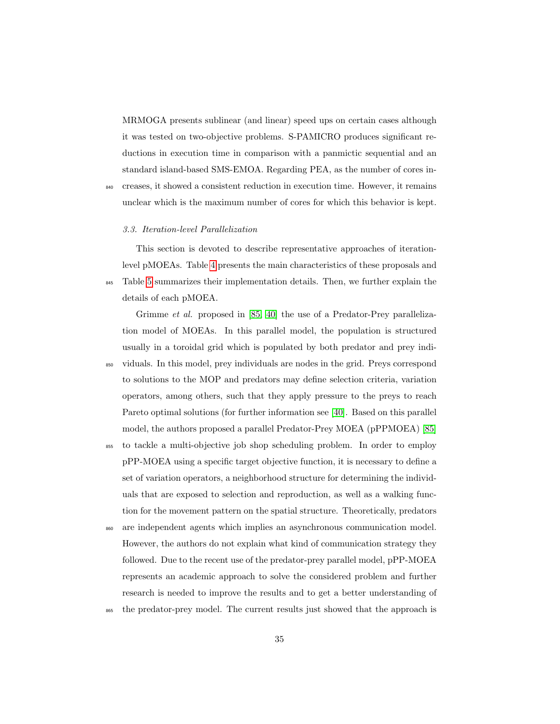MRMOGA presents sublinear (and linear) speed ups on certain cases although it was tested on two-objective problems. S-PAMICRO produces significant reductions in execution time in comparison with a panmictic sequential and an standard island-based SMS-EMOA. Regarding PEA, as the number of cores in-

<sup>840</sup> creases, it showed a consistent reduction in execution time. However, it remains unclear which is the maximum number of cores for which this behavior is kept.

### 3.3. Iteration-level Parallelization

This section is devoted to describe representative approaches of iterationlevel pMOEAs. Table [4](#page-35-0) presents the main characteristics of these proposals and 845 Table [5](#page-36-0) summarizes their implementation details. Then, we further explain the details of each pMOEA.

Grimme *et al.* proposed in [\[85,](#page-78-0) [40\]](#page-71-1) the use of a Predator-Prey parallelization model of MOEAs. In this parallel model, the population is structured usually in a toroidal grid which is populated by both predator and prey indi-<sup>850</sup> viduals. In this model, prey individuals are nodes in the grid. Preys correspond to solutions to the MOP and predators may define selection criteria, variation operators, among others, such that they apply pressure to the preys to reach Pareto optimal solutions (for further information see [\[40\]](#page-71-1). Based on this parallel model, the authors proposed a parallel Predator-Prey MOEA (pPPMOEA) [\[85\]](#page-78-0)

<sup>855</sup> to tackle a multi-objective job shop scheduling problem. In order to employ pPP-MOEA using a specific target objective function, it is necessary to define a set of variation operators, a neighborhood structure for determining the individuals that are exposed to selection and reproduction, as well as a walking function for the movement pattern on the spatial structure. Theoretically, predators

- <sup>860</sup> are independent agents which implies an asynchronous communication model. However, the authors do not explain what kind of communication strategy they followed. Due to the recent use of the predator-prey parallel model, pPP-MOEA represents an academic approach to solve the considered problem and further research is needed to improve the results and to get a better understanding of
- <sup>865</sup> the predator-prey model. The current results just showed that the approach is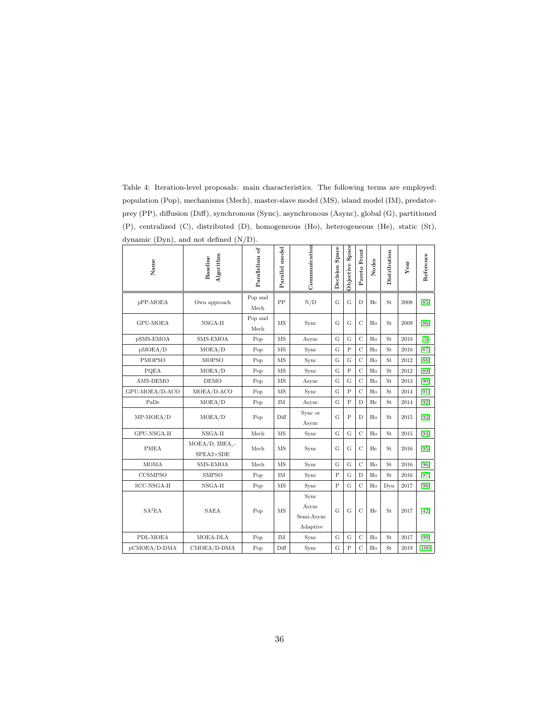<span id="page-35-0"></span>Table 4: Iteration-level proposals: main characteristics. The following terms are employed: population (Pop), mechanisms (Mech), master-slave model (MS), island model (IM), predatorprey (PP), diffusion (Diff), synchronous (Sync), asynchronous (Async), global (G), partitioned (P), centralized (C), distributed (D), homogeneous (Ho), heterogeneous (He), static (St), dynamic (Dyn), and not defined (N/D).

| Name               | Algorithm<br>Baseline                    | Parallelism of  | Parallel model | Communication               | Decision Space | Objective Space | Pareto Front   | Nodes | Distribution | Year | Reference         |
|--------------------|------------------------------------------|-----------------|----------------|-----------------------------|----------------|-----------------|----------------|-------|--------------|------|-------------------|
| pPP-MOEA           | Own approach                             | Pop and<br>Mech | PP             | N/D                         | G              | G               | D              | He    | St           | 2008 | [85]              |
| GPU-MOEA           | NSGA-II                                  | Pop and<br>Mech | MS             | Sync                        | G              | G               | $\overline{C}$ | Ho    | St           | 2009 | [86]              |
| pSMS-EMOA          | SMS-EMOA                                 | Pop             | MS             | Async                       | G              | G               | $\overline{C}$ | Ho    | St           | 2010 | $\lceil 3 \rceil$ |
| pMOEA/D            | MOEA/D                                   | Pop             | MS             | Sync                        | G              | $\overline{P}$  | $\overline{C}$ | Ho    | St           | 2010 | [87]              |
| <b>PMOPSO</b>      | <b>MOPSO</b>                             | Pop             | MS             | Sync                        | $\mathbf G$    | G               | $\overline{C}$ | Ho    | St           | 2012 | [88]              |
| PQEA               | MOEA/D                                   | Pop             | MS             | Sync                        | $\mathbf G$    | $\overline{P}$  | $\overline{C}$ | Ho    | St           | 2012 | [89]              |
| AMS-DEMO           | <b>DEMO</b>                              | Pop             | <b>MS</b>      | Async                       | G              | $\overline{G}$  | $\overline{C}$ | Ho    | St           | 2013 | [90]              |
| GPU-MOEA/D-ACO     | MOEA/D-ACO                               | Pop             | MS             | Sync                        | G              | $\overline{P}$  | $\overline{C}$ | Ho    | St           | 2014 | [91]              |
| PaDe               | MOEA/D                                   | Pop             | IM             | Async                       | G              | $\overline{P}$  | $\mathbf D$    | He    | St           | 2014 | [92]              |
| MP-MOEA/D          | MOEA/D                                   | Pop             | Diff           | Sync or<br>Async            | G              | $\overline{P}$  | D              | Ho    | St           | 2015 | $[93]$            |
| GPU-NSGA-II        | $NSGA-II$                                | Mech            | MS             | Sync                        | $\mathbf G$    | G               | $\overline{C}$ | Ho    | St           | 2015 | [94]              |
| <b>PMEA</b>        | MOEA/D, IBEA $_{\epsilon+}$<br>SPEA2+SDE | Mech            | MS             | Sync                        | G              | G               | $\mathcal{C}$  | He    | St           | 2016 | [95]              |
| <b>MOMA</b>        | SMS-EMOA                                 | Mech            | MS             | Sync                        | G              | G               | $\overline{C}$ | Ho    | St           | 2016 | [96]              |
| <b>CCSMPSO</b>     | <b>SMPSO</b>                             | Pop             | IM             | Sync                        | $\overline{P}$ | G               | D              | Ho    | St           | 2016 | [97]              |
| SCC-NSGA-II        | NSGA-II                                  | Pop             | <b>MS</b>      | Sync                        | $\mathbf P$    | G               | $\overline{C}$ | Ho    | $_{\rm Dyn}$ | 2017 | [98]              |
| SA <sup>2</sup> EA | <b>SAEA</b>                              | Pop             | MS             | Sync<br>Async<br>Semi-Async | G              | G               | $\overline{C}$ | He    | St           | 2017 | $[42]$            |
|                    |                                          |                 |                | Adaptive                    |                |                 |                |       |              |      |                   |
| PDL-MOEA           | MOEA-DLA                                 | Pop             | IM             | Sync                        | $\mathbf G$    | $\mathbf G$     | $\overline{C}$ | Ho    | St           | 2017 | [99]              |
| pCMOEA/D-DMA       | CMOEA/D-DMA                              | Pop             | Diff           | Sync                        | G              | $\overline{P}$  | $\overline{C}$ | Ho    | St           | 2019 | $[100]$           |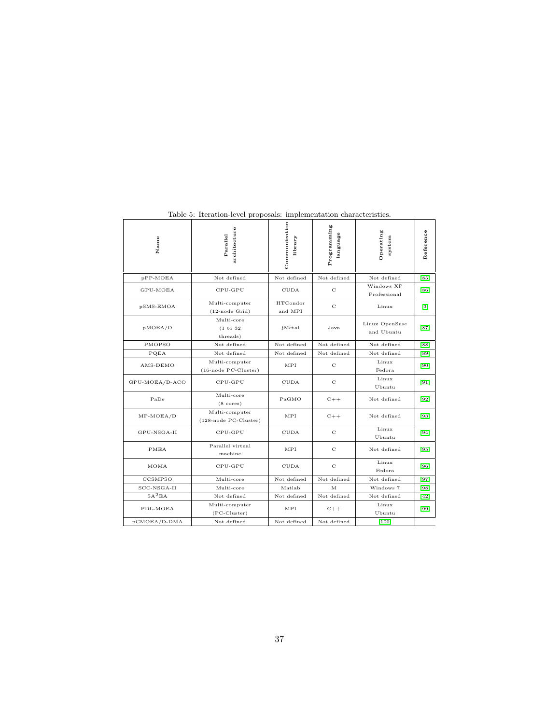| Name               | architecture<br>Parallel                   | Communication<br>library | Programming<br>language | Operating<br>system          | Reference |
|--------------------|--------------------------------------------|--------------------------|-------------------------|------------------------------|-----------|
| pPP-MOEA           | Not defined                                | Not defined              | Not defined             | Not defined                  | [85]      |
| GPU-MOEA           | CPU-GPU                                    | <b>CUDA</b>              | C                       | Windows XP<br>Professional   | [86]      |
| pSMS-EMOA          | Multi-computer<br>$(12$ -node Grid)        | HTCondor<br>and MPI      | $\rm ^{c}$              | Linux                        | $[3]$     |
| pMOEA/D            | Multi-core<br>(1 to 32)<br>threads)        | jMetal                   | Java                    | Linux OpenSuse<br>and Ubuntu | $[87]$    |
| PMOPSO             | Not defined                                | Not defined              | Not defined             | Not defined                  | [88]      |
| PQEA               | Not defined                                | Not defined              | Not defined             | Not defined                  | [89]      |
| AMS-DEMO           | Multi-computer<br>(16-node PC-Cluster)     | MPI                      | C                       | Linux<br>Fedora              | $[90]$    |
| GPU-MOEA/D-ACO     | CPU-GPU                                    | <b>CUDA</b>              | C                       | Linux<br>Ubuntu              | $[91]$    |
| PaDe               | Multi-core<br>$(8 \text{ cores})$          | PaGMO                    | $C++$                   | Not defined                  | $[92]$    |
| $MP-MOEA/D$        | Multi-computer<br>$(128$ -node PC-Cluster) | MPI                      | $C++$                   | Not defined                  | $[93]$    |
| GPU-NSGA-II        | CPU-GPU                                    | <b>CUDA</b>              | C                       | Linux<br>Ubuntu              | $[94]$    |
| PMEA               | Parallel virtual<br>machine                | MPI                      | C                       | Not defined                  | $[95]$    |
| MOMA               | CPU-GPU                                    | <b>CUDA</b>              | C                       | Linux<br>Fedora              | $[96]$    |
| CCSMPSO            | Multi-core                                 | Not defined              | Not defined             | Not defined                  | $[97]$    |
| SCC-NSGA-II        | Multi-core                                 | Matlab                   | M                       | Windows 7                    | $[98]$    |
| SA <sup>2</sup> EA | Not defined                                | Not defined              | Not defined             | Not defined                  | [42]      |
| PDL-MOEA           | Multi-computer<br>$(PC-Cluster)$           | MPI                      | $C++$                   | Linux<br>Ubuntu              | $[99]$    |
| pCMOEA/D-DMA       | Not defined                                | Not defined              | Not defined             | $[100]$                      |           |

Table 5: Iteration-level proposals: implementation characteristics.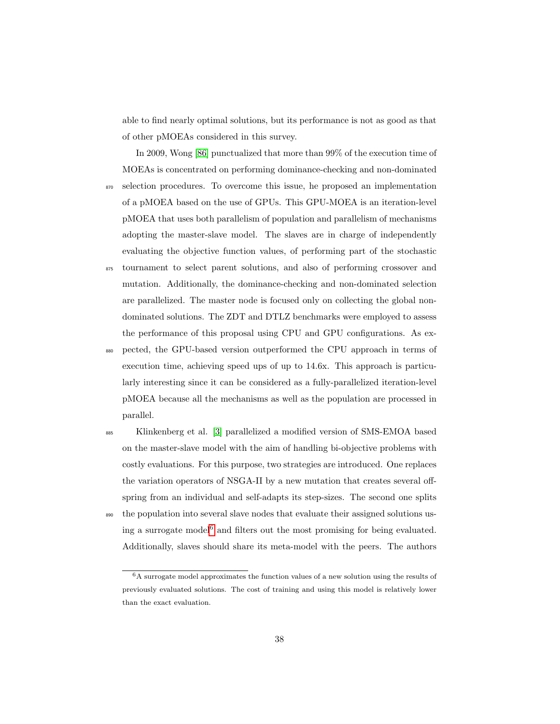able to find nearly optimal solutions, but its performance is not as good as that of other pMOEAs considered in this survey.

In 2009, Wong [\[86\]](#page-78-1) punctualized that more than 99% of the execution time of MOEAs is concentrated on performing dominance-checking and non-dominated <sup>870</sup> selection procedures. To overcome this issue, he proposed an implementation of a pMOEA based on the use of GPUs. This GPU-MOEA is an iteration-level pMOEA that uses both parallelism of population and parallelism of mechanisms adopting the master-slave model. The slaves are in charge of independently evaluating the objective function values, of performing part of the stochastic

<sup>875</sup> tournament to select parent solutions, and also of performing crossover and mutation. Additionally, the dominance-checking and non-dominated selection are parallelized. The master node is focused only on collecting the global nondominated solutions. The ZDT and DTLZ benchmarks were employed to assess the performance of this proposal using CPU and GPU configurations. As ex-

<sup>880</sup> pected, the GPU-based version outperformed the CPU approach in terms of execution time, achieving speed ups of up to 14.6x. This approach is particularly interesting since it can be considered as a fully-parallelized iteration-level pMOEA because all the mechanisms as well as the population are processed in parallel.

<sup>885</sup> Klinkenberg et al. [\[3\]](#page-66-0) parallelized a modified version of SMS-EMOA based on the master-slave model with the aim of handling bi-objective problems with costly evaluations. For this purpose, two strategies are introduced. One replaces the variation operators of NSGA-II by a new mutation that creates several offspring from an individual and self-adapts its step-sizes. The second one splits <sup>890</sup> the population into several slave nodes that evaluate their assigned solutions us-ing a surrogate model<sup>[6](#page-37-0)</sup> and filters out the most promising for being evaluated. Additionally, slaves should share its meta-model with the peers. The authors

<span id="page-37-0"></span><sup>6</sup>A surrogate model approximates the function values of a new solution using the results of previously evaluated solutions. The cost of training and using this model is relatively lower than the exact evaluation.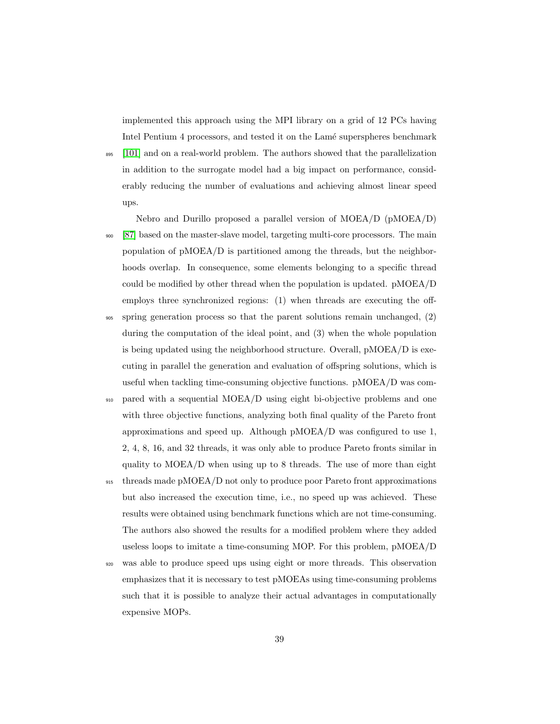implemented this approach using the MPI library on a grid of 12 PCs having Intel Pentium 4 processors, and tested it on the Lamé superspheres benchmark

<sup>895</sup> [\[101\]](#page-80-3) and on a real-world problem. The authors showed that the parallelization in addition to the surrogate model had a big impact on performance, considerably reducing the number of evaluations and achieving almost linear speed ups.

Nebro and Durillo proposed a parallel version of MOEA/D (pMOEA/D) <sup>900</sup> [\[87\]](#page-78-2) based on the master-slave model, targeting multi-core processors. The main population of pMOEA/D is partitioned among the threads, but the neighborhoods overlap. In consequence, some elements belonging to a specific thread could be modified by other thread when the population is updated. pMOEA/D employs three synchronized regions: (1) when threads are executing the offspring generation process so that the parent solutions remain unchanged,  $(2)$ 

- during the computation of the ideal point, and (3) when the whole population is being updated using the neighborhood structure. Overall, pMOEA/D is executing in parallel the generation and evaluation of offspring solutions, which is useful when tackling time-consuming objective functions. pMOEA/D was com-
- <sup>910</sup> pared with a sequential MOEA/D using eight bi-objective problems and one with three objective functions, analyzing both final quality of the Pareto front approximations and speed up. Although pMOEA/D was configured to use 1, 2, 4, 8, 16, and 32 threads, it was only able to produce Pareto fronts similar in quality to MOEA/D when using up to 8 threads. The use of more than eight

<sup>915</sup> threads made pMOEA/D not only to produce poor Pareto front approximations but also increased the execution time, i.e., no speed up was achieved. These results were obtained using benchmark functions which are not time-consuming. The authors also showed the results for a modified problem where they added useless loops to imitate a time-consuming MOP. For this problem, pMOEA/D

<sup>920</sup> was able to produce speed ups using eight or more threads. This observation emphasizes that it is necessary to test pMOEAs using time-consuming problems such that it is possible to analyze their actual advantages in computationally expensive MOPs.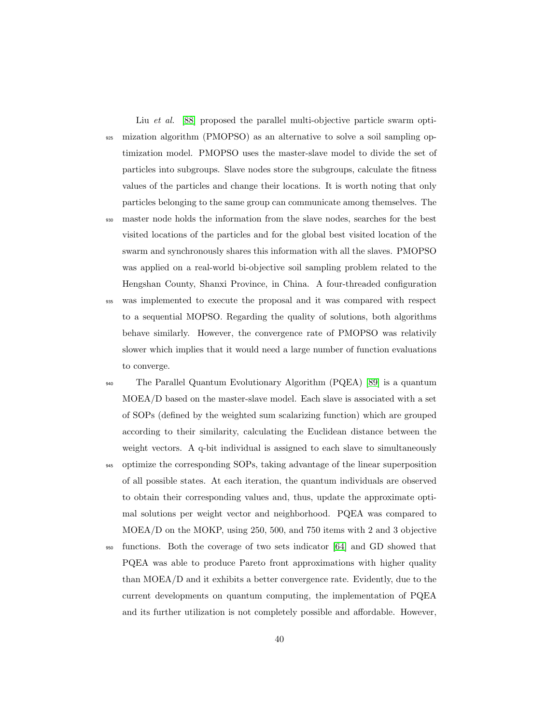Liu et al. [\[88\]](#page-78-3) proposed the parallel multi-objective particle swarm opti-<sup>925</sup> mization algorithm (PMOPSO) as an alternative to solve a soil sampling optimization model. PMOPSO uses the master-slave model to divide the set of particles into subgroups. Slave nodes store the subgroups, calculate the fitness values of the particles and change their locations. It is worth noting that only particles belonging to the same group can communicate among themselves. The master node holds the information from the slave nodes, searches for the best visited locations of the particles and for the global best visited location of the swarm and synchronously shares this information with all the slaves. PMOPSO was applied on a real-world bi-objective soil sampling problem related to the Hengshan County, Shanxi Province, in China. A four-threaded configuration <sup>935</sup> was implemented to execute the proposal and it was compared with respect to a sequential MOPSO. Regarding the quality of solutions, both algorithms behave similarly. However, the convergence rate of PMOPSO was relativily slower which implies that it would need a large number of function evaluations

to converge.

<sup>940</sup> The Parallel Quantum Evolutionary Algorithm (PQEA) [\[89\]](#page-78-4) is a quantum MOEA/D based on the master-slave model. Each slave is associated with a set of SOPs (defined by the weighted sum scalarizing function) which are grouped according to their similarity, calculating the Euclidean distance between the weight vectors. A q-bit individual is assigned to each slave to simultaneously <sup>945</sup> optimize the corresponding SOPs, taking advantage of the linear superposition of all possible states. At each iteration, the quantum individuals are observed to obtain their corresponding values and, thus, update the approximate optimal solutions per weight vector and neighborhood. PQEA was compared to MOEA/D on the MOKP, using 250, 500, and 750 items with 2 and 3 objective

<sup>950</sup> functions. Both the coverage of two sets indicator [\[64\]](#page-75-0) and GD showed that PQEA was able to produce Pareto front approximations with higher quality than MOEA/D and it exhibits a better convergence rate. Evidently, due to the current developments on quantum computing, the implementation of PQEA and its further utilization is not completely possible and affordable. However,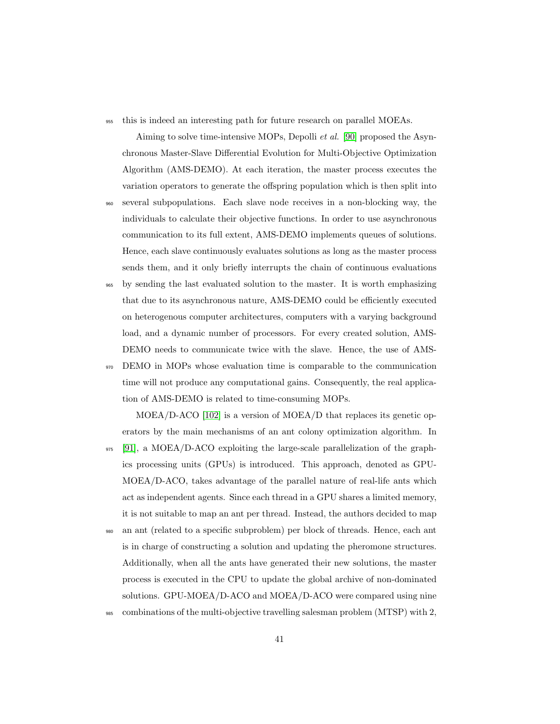<sup>955</sup> this is indeed an interesting path for future research on parallel MOEAs.

Aiming to solve time-intensive MOPs, Depolli et al. [\[90\]](#page-78-5) proposed the Asynchronous Master-Slave Differential Evolution for Multi-Objective Optimization Algorithm (AMS-DEMO). At each iteration, the master process executes the variation operators to generate the offspring population which is then split into

- <sup>960</sup> several subpopulations. Each slave node receives in a non-blocking way, the individuals to calculate their objective functions. In order to use asynchronous communication to its full extent, AMS-DEMO implements queues of solutions. Hence, each slave continuously evaluates solutions as long as the master process sends them, and it only briefly interrupts the chain of continuous evaluations
- <sup>965</sup> by sending the last evaluated solution to the master. It is worth emphasizing that due to its asynchronous nature, AMS-DEMO could be efficiently executed on heterogenous computer architectures, computers with a varying background load, and a dynamic number of processors. For every created solution, AMS-DEMO needs to communicate twice with the slave. Hence, the use of AMS-
- <sup>970</sup> DEMO in MOPs whose evaluation time is comparable to the communication time will not produce any computational gains. Consequently, the real application of AMS-DEMO is related to time-consuming MOPs.

MOEA/D-ACO [\[102\]](#page-80-4) is a version of MOEA/D that replaces its genetic operators by the main mechanisms of an ant colony optimization algorithm. In

<sup>975</sup> [\[91\]](#page-79-0), a MOEA/D-ACO exploiting the large-scale parallelization of the graphics processing units (GPUs) is introduced. This approach, denoted as GPU-MOEA/D-ACO, takes advantage of the parallel nature of real-life ants which act as independent agents. Since each thread in a GPU shares a limited memory, it is not suitable to map an ant per thread. Instead, the authors decided to map

- an ant (related to a specific subproblem) per block of threads. Hence, each ant is in charge of constructing a solution and updating the pheromone structures. Additionally, when all the ants have generated their new solutions, the master process is executed in the CPU to update the global archive of non-dominated solutions. GPU-MOEA/D-ACO and MOEA/D-ACO were compared using nine
- <sup>985</sup> combinations of the multi-objective travelling salesman problem (MTSP) with 2,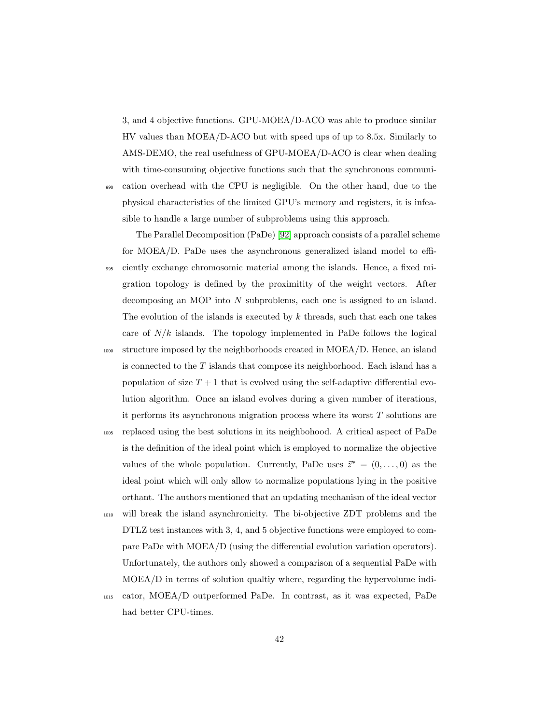3, and 4 objective functions. GPU-MOEA/D-ACO was able to produce similar HV values than MOEA/D-ACO but with speed ups of up to 8.5x. Similarly to AMS-DEMO, the real usefulness of GPU-MOEA/D-ACO is clear when dealing with time-consuming objective functions such that the synchronous communi-<sup>990</sup> cation overhead with the CPU is negligible. On the other hand, due to the physical characteristics of the limited GPU's memory and registers, it is infea-

sible to handle a large number of subproblems using this approach.

The Parallel Decomposition (PaDe) [\[92\]](#page-79-1) approach consists of a parallel scheme for MOEA/D. PaDe uses the asynchronous generalized island model to effi-<sup>995</sup> ciently exchange chromosomic material among the islands. Hence, a fixed migration topology is defined by the proximitity of the weight vectors. After decomposing an MOP into N subproblems, each one is assigned to an island. The evolution of the islands is executed by  $k$  threads, such that each one takes care of  $N/k$  islands. The topology implemented in PaDe follows the logical <sup>1000</sup> structure imposed by the neighborhoods created in MOEA/D. Hence, an island is connected to the  $T$  islands that compose its neighborhood. Each island has a population of size  $T + 1$  that is evolved using the self-adaptive differential evolution algorithm. Once an island evolves during a given number of iterations, it performs its asynchronous migration process where its worst T solutions are <sup>1005</sup> replaced using the best solutions in its neighbohood. A critical aspect of PaDe is the definition of the ideal point which is employed to normalize the objective values of the whole population. Currently, PaDe uses  $\vec{z}^* = (0, \ldots, 0)$  as the

ideal point which will only allow to normalize populations lying in the positive orthant. The authors mentioned that an updating mechanism of the ideal vector <sup>1010</sup> will break the island asynchronicity. The bi-objective ZDT problems and the DTLZ test instances with 3, 4, and 5 objective functions were employed to com-

pare PaDe with MOEA/D (using the differential evolution variation operators). Unfortunately, the authors only showed a comparison of a sequential PaDe with MOEA/D in terms of solution qualtiy where, regarding the hypervolume indi-

<sup>1015</sup> cator, MOEA/D outperformed PaDe. In contrast, as it was expected, PaDe had better CPU-times.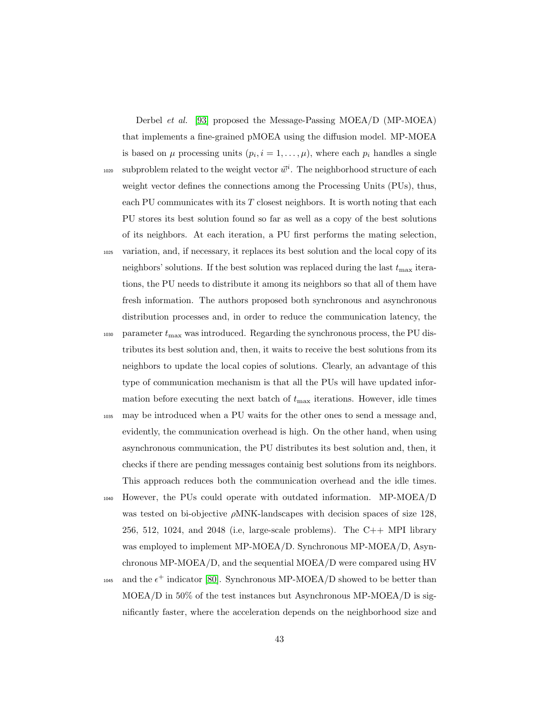Derbel et al. [\[93\]](#page-79-2) proposed the Message-Passing MOEA/D (MP-MOEA) that implements a fine-grained pMOEA using the diffusion model. MP-MOEA is based on  $\mu$  processing units  $(p_i, i = 1, \ldots, \mu)$ , where each  $p_i$  handles a single <sup>1020</sup> subproblem related to the weight vector  $\vec{w}^i$ . The neighborhood structure of each weight vector defines the connections among the Processing Units (PUs), thus, each PU communicates with its  $T$  closest neighbors. It is worth noting that each PU stores its best solution found so far as well as a copy of the best solutions of its neighbors. At each iteration, a PU first performs the mating selection, <sup>1025</sup> variation, and, if necessary, it replaces its best solution and the local copy of its neighbors' solutions. If the best solution was replaced during the last  $t_{\mathrm{max}}$  iterations, the PU needs to distribute it among its neighbors so that all of them have fresh information. The authors proposed both synchronous and asynchronous distribution processes and, in order to reduce the communication latency, the  $_{1030}$  – parameter  $t_{\mathrm{max}}$  was introduced. Regarding the synchronous process, the PU distributes its best solution and, then, it waits to receive the best solutions from its neighbors to update the local copies of solutions. Clearly, an advantage of this type of communication mechanism is that all the PUs will have updated information before executing the next batch of  $t_{\text{max}}$  iterations. However, idle times <sup>1035</sup> may be introduced when a PU waits for the other ones to send a message and, evidently, the communication overhead is high. On the other hand, when using asynchronous communication, the PU distributes its best solution and, then, it checks if there are pending messages containig best solutions from its neighbors. This approach reduces both the communication overhead and the idle times. <sup>1040</sup> However, the PUs could operate with outdated information. MP-MOEA/D

- was tested on bi-objective  $\rho$ MNK-landscapes with decision spaces of size 128, 256, 512, 1024, and 2048 (i.e, large-scale problems). The C++ MPI library was employed to implement MP-MOEA/D. Synchronous MP-MOEA/D, Asynchronous MP-MOEA/D, and the sequential MOEA/D were compared using HV
- 1045 and the  $\epsilon^+$  indicator [\[80\]](#page-77-0). Synchronous MP-MOEA/D showed to be better than  $MOEA/D$  in 50% of the test instances but Asynchronous MP-MOEA/D is significantly faster, where the acceleration depends on the neighborhood size and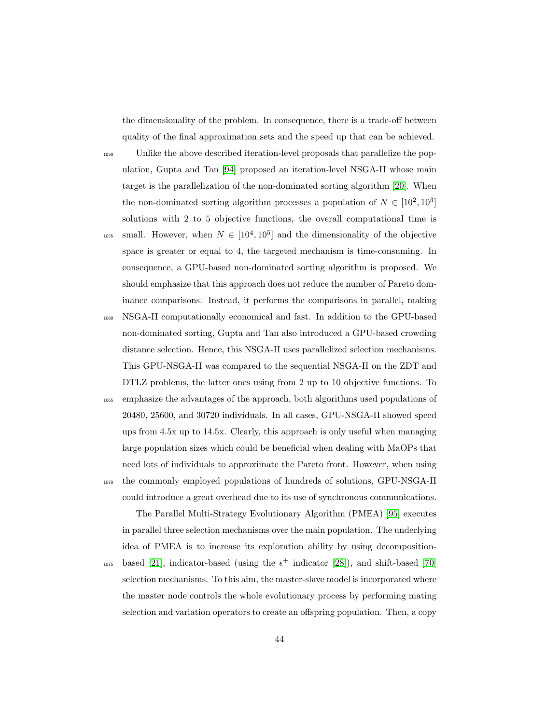the dimensionality of the problem. In consequence, there is a trade-off between quality of the final approximation sets and the speed up that can be achieved.

<sup>1050</sup> Unlike the above described iteration-level proposals that parallelize the population, Gupta and Tan [\[94\]](#page-79-3) proposed an iteration-level NSGA-II whose main target is the parallelization of the non-dominated sorting algorithm [\[20\]](#page-68-0). When the non-dominated sorting algorithm processes a population of  $N \in [10^2, 10^3]$ solutions with 2 to 5 objective functions, the overall computational time is

- <sup>1055</sup> small. However, when  $N \in [10^4, 10^5]$  and the dimensionality of the objective space is greater or equal to 4, the targeted mechanism is time-consuming. In consequence, a GPU-based non-dominated sorting algorithm is proposed. We should emphasize that this approach does not reduce the number of Pareto dominance comparisons. Instead, it performs the comparisons in parallel, making
- <sup>1060</sup> NSGA-II computationally economical and fast. In addition to the GPU-based non-dominated sorting, Gupta and Tan also introduced a GPU-based crowding distance selection. Hence, this NSGA-II uses parallelized selection mechanisms. This GPU-NSGA-II was compared to the sequential NSGA-II on the ZDT and DTLZ problems, the latter ones using from 2 up to 10 objective functions. To
- <sup>1065</sup> emphasize the advantages of the approach, both algorithms used populations of 20480, 25600, and 30720 individuals. In all cases, GPU-NSGA-II showed speed ups from 4.5x up to 14.5x. Clearly, this approach is only useful when managing large population sizes which could be beneficial when dealing with MaOPs that need lots of individuals to approximate the Pareto front. However, when using <sup>1070</sup> the commonly employed populations of hundreds of solutions, GPU-NSGA-II
- could introduce a great overhead due to its use of synchronous communications.

The Parallel Multi-Strategy Evolutionary Algorithm (PMEA) [\[95\]](#page-79-4) executes in parallel three selection mechanisms over the main population. The underlying idea of PMEA is to increase its exploration ability by using decomposition-<sup>1075</sup> based [\[21\]](#page-68-1), indicator-based (using the  $\epsilon^+$  indicator [\[28\]](#page-69-0)), and shift-based [\[70\]](#page-75-1)

selection mechanisms. To this aim, the master-slave model is incorporated where the master node controls the whole evolutionary process by performing mating selection and variation operators to create an offspring population. Then, a copy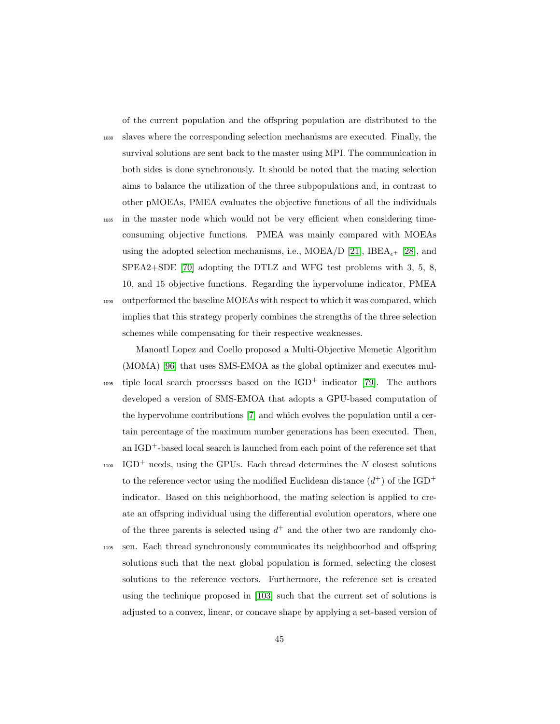of the current population and the offspring population are distributed to the

<sup>1080</sup> slaves where the corresponding selection mechanisms are executed. Finally, the survival solutions are sent back to the master using MPI. The communication in both sides is done synchronously. It should be noted that the mating selection aims to balance the utilization of the three subpopulations and, in contrast to other pMOEAs, PMEA evaluates the objective functions of all the individuals

<sup>1085</sup> in the master node which would not be very efficient when considering timeconsuming objective functions. PMEA was mainly compared with MOEAs using the adopted selection mechanisms, i.e., MOEA/D [\[21\]](#page-68-1), IBEA<sub> $\epsilon$ +</sub> [\[28\]](#page-69-0), and SPEA2+SDE [\[70\]](#page-75-1) adopting the DTLZ and WFG test problems with 3, 5, 8, 10, and 15 objective functions. Regarding the hypervolume indicator, PMEA <sup>1090</sup> outperformed the baseline MOEAs with respect to which it was compared, which implies that this strategy properly combines the strengths of the three selection

schemes while compensating for their respective weaknesses. Manoatl Lopez and Coello proposed a Multi-Objective Memetic Algorithm (MOMA) [\[96\]](#page-79-5) that uses SMS-EMOA as the global optimizer and executes mul-

- tiple local search processes based on the  $IGD^+$  indicator [\[79\]](#page-77-1). The authors developed a version of SMS-EMOA that adopts a GPU-based computation of the hypervolume contributions [\[7\]](#page-66-1) and which evolves the population until a certain percentage of the maximum number generations has been executed. Then, an IGD+-based local search is launched from each point of the reference set that
- $_{1100}$  IGD<sup>+</sup> needs, using the GPUs. Each thread determines the N closest solutions to the reference vector using the modified Euclidean distance  $(d^+)$  of the IGD<sup>+</sup> indicator. Based on this neighborhood, the mating selection is applied to create an offspring individual using the differential evolution operators, where one of the three parents is selected using  $d^+$  and the other two are randomly cho-
- <sup>1105</sup> sen. Each thread synchronously communicates its neighboorhod and offspring solutions such that the next global population is formed, selecting the closest solutions to the reference vectors. Furthermore, the reference set is created using the technique proposed in [\[103\]](#page-81-0) such that the current set of solutions is adjusted to a convex, linear, or concave shape by applying a set-based version of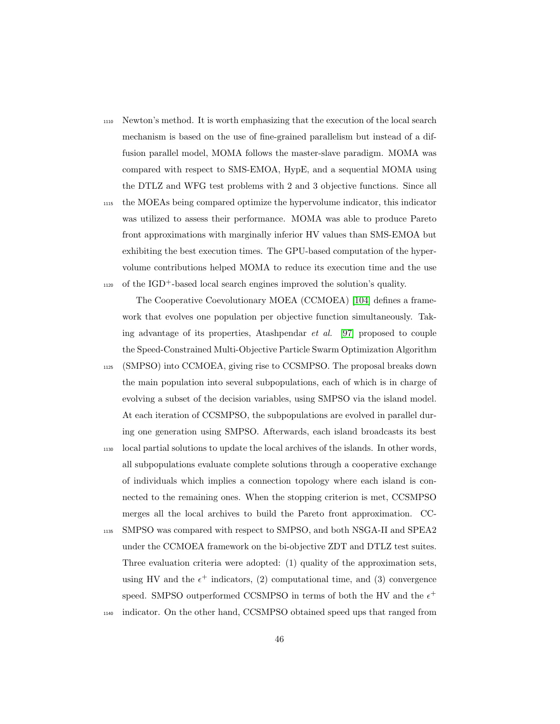- <sup>1110</sup> Newton's method. It is worth emphasizing that the execution of the local search mechanism is based on the use of fine-grained parallelism but instead of a diffusion parallel model, MOMA follows the master-slave paradigm. MOMA was compared with respect to SMS-EMOA, HypE, and a sequential MOMA using the DTLZ and WFG test problems with 2 and 3 objective functions. Since all
- <sup>1115</sup> the MOEAs being compared optimize the hypervolume indicator, this indicator was utilized to assess their performance. MOMA was able to produce Pareto front approximations with marginally inferior HV values than SMS-EMOA but exhibiting the best execution times. The GPU-based computation of the hypervolume contributions helped MOMA to reduce its execution time and the use  $_{1120}$  of the IGD<sup>+</sup>-based local search engines improved the solution's quality.

The Cooperative Coevolutionary MOEA (CCMOEA) [\[104\]](#page-81-1) defines a framework that evolves one population per objective function simultaneously. Taking advantage of its properties, Atashpendar et al. [\[97\]](#page-79-6) proposed to couple the Speed-Constrained Multi-Objective Particle Swarm Optimization Algorithm

- <sup>1125</sup> (SMPSO) into CCMOEA, giving rise to CCSMPSO. The proposal breaks down the main population into several subpopulations, each of which is in charge of evolving a subset of the decision variables, using SMPSO via the island model. At each iteration of CCSMPSO, the subpopulations are evolved in parallel during one generation using SMPSO. Afterwards, each island broadcasts its best
- <sup>1130</sup> local partial solutions to update the local archives of the islands. In other words, all subpopulations evaluate complete solutions through a cooperative exchange of individuals which implies a connection topology where each island is connected to the remaining ones. When the stopping criterion is met, CCSMPSO merges all the local archives to build the Pareto front approximation. CC-
- <sup>1135</sup> SMPSO was compared with respect to SMPSO, and both NSGA-II and SPEA2 under the CCMOEA framework on the bi-objective ZDT and DTLZ test suites. Three evaluation criteria were adopted: (1) quality of the approximation sets, using HV and the  $\epsilon^+$  indicators, (2) computational time, and (3) convergence speed. SMPSO outperformed CCSMPSO in terms of both the HV and the  $\epsilon^+$
- <sup>1140</sup> indicator. On the other hand, CCSMPSO obtained speed ups that ranged from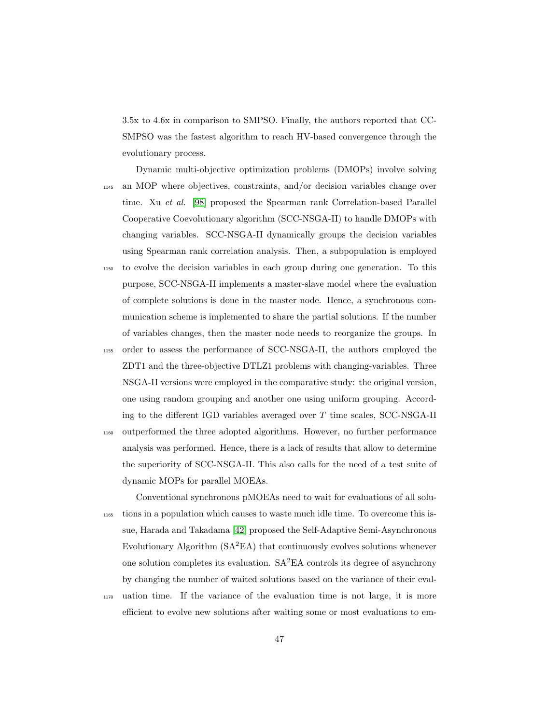3.5x to 4.6x in comparison to SMPSO. Finally, the authors reported that CC-SMPSO was the fastest algorithm to reach HV-based convergence through the evolutionary process.

- Dynamic multi-objective optimization problems (DMOPs) involve solving <sup>1145</sup> an MOP where objectives, constraints, and/or decision variables change over time. Xu et al. [\[98\]](#page-80-0) proposed the Spearman rank Correlation-based Parallel Cooperative Coevolutionary algorithm (SCC-NSGA-II) to handle DMOPs with changing variables. SCC-NSGA-II dynamically groups the decision variables using Spearman rank correlation analysis. Then, a subpopulation is employed <sup>1150</sup> to evolve the decision variables in each group during one generation. To this purpose, SCC-NSGA-II implements a master-slave model where the evaluation
- of complete solutions is done in the master node. Hence, a synchronous communication scheme is implemented to share the partial solutions. If the number of variables changes, then the master node needs to reorganize the groups. In
- <sup>1155</sup> order to assess the performance of SCC-NSGA-II, the authors employed the ZDT1 and the three-objective DTLZ1 problems with changing-variables. Three NSGA-II versions were employed in the comparative study: the original version, one using random grouping and another one using uniform grouping. According to the different IGD variables averaged over  $T$  time scales, SCC-NSGA-II
- <sup>1160</sup> outperformed the three adopted algorithms. However, no further performance analysis was performed. Hence, there is a lack of results that allow to determine the superiority of SCC-NSGA-II. This also calls for the need of a test suite of dynamic MOPs for parallel MOEAs.

Conventional synchronous pMOEAs need to wait for evaluations of all solu-<sup>1165</sup> tions in a population which causes to waste much idle time. To overcome this issue, Harada and Takadama [\[42\]](#page-71-0) proposed the Self-Adaptive Semi-Asynchronous Evolutionary Algorithm  $(SA<sup>2</sup>EA)$  that continuously evolves solutions whenever one solution completes its evaluation.  $SA<sup>2</sup>EA$  controls its degree of asynchrony by changing the number of waited solutions based on the variance of their eval-

<sup>1170</sup> uation time. If the variance of the evaluation time is not large, it is more efficient to evolve new solutions after waiting some or most evaluations to em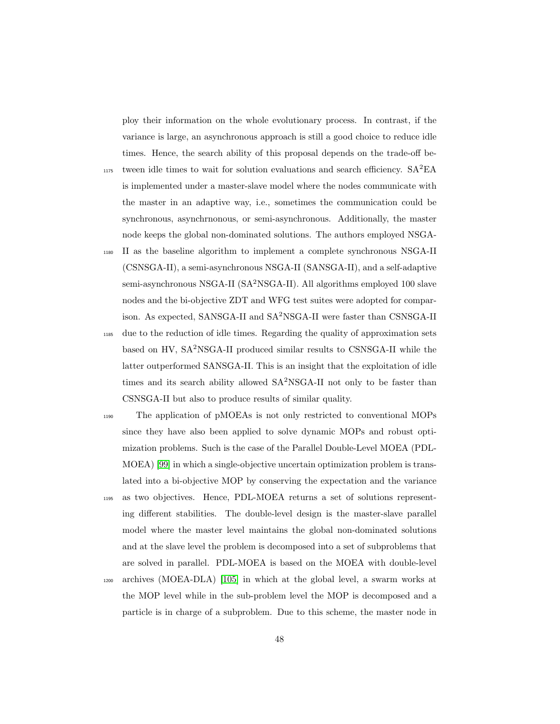ploy their information on the whole evolutionary process. In contrast, if the variance is large, an asynchronous approach is still a good choice to reduce idle times. Hence, the search ability of this proposal depends on the trade-off be-

- $_{1175}$  tween idle times to wait for solution evaluations and search efficiency.  $SA^2EA$ is implemented under a master-slave model where the nodes communicate with the master in an adaptive way, i.e., sometimes the communication could be synchronous, asynchrnonous, or semi-asynchronous. Additionally, the master node keeps the global non-dominated solutions. The authors employed NSGA-
- <sup>1180</sup> II as the baseline algorithm to implement a complete synchronous NSGA-II (CSNSGA-II), a semi-asynchronous NSGA-II (SANSGA-II), and a self-adaptive semi-asynchronous NSGA-II (SA<sup>2</sup>NSGA-II). All algorithms employed 100 slave nodes and the bi-objective ZDT and WFG test suites were adopted for comparison. As expected, SANSGA-II and SA2NSGA-II were faster than CSNSGA-II
- <sup>1185</sup> due to the reduction of idle times. Regarding the quality of approximation sets based on HV, SA2NSGA-II produced similar results to CSNSGA-II while the latter outperformed SANSGA-II. This is an insight that the exploitation of idle times and its search ability allowed SA2NSGA-II not only to be faster than CSNSGA-II but also to produce results of similar quality.
- <sup>1190</sup> The application of pMOEAs is not only restricted to conventional MOPs since they have also been applied to solve dynamic MOPs and robust optimization problems. Such is the case of the Parallel Double-Level MOEA (PDL-MOEA) [\[99\]](#page-80-1) in which a single-objective uncertain optimization problem is translated into a bi-objective MOP by conserving the expectation and the variance <sup>1195</sup> as two objectives. Hence, PDL-MOEA returns a set of solutions representing different stabilities. The double-level design is the master-slave parallel model where the master level maintains the global non-dominated solutions and at the slave level the problem is decomposed into a set of subproblems that are solved in parallel. PDL-MOEA is based on the MOEA with double-level
- <sup>1200</sup> archives (MOEA-DLA) [\[105\]](#page-81-2) in which at the global level, a swarm works at the MOP level while in the sub-problem level the MOP is decomposed and a particle is in charge of a subproblem. Due to this scheme, the master node in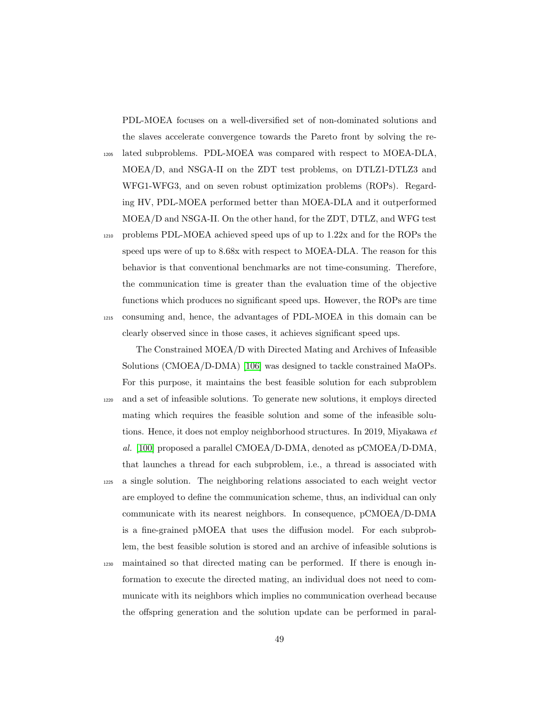PDL-MOEA focuses on a well-diversified set of non-dominated solutions and the slaves accelerate convergence towards the Pareto front by solving the re-

<sup>1205</sup> lated subproblems. PDL-MOEA was compared with respect to MOEA-DLA, MOEA/D, and NSGA-II on the ZDT test problems, on DTLZ1-DTLZ3 and WFG1-WFG3, and on seven robust optimization problems (ROPs). Regarding HV, PDL-MOEA performed better than MOEA-DLA and it outperformed MOEA/D and NSGA-II. On the other hand, for the ZDT, DTLZ, and WFG test

<sup>1210</sup> problems PDL-MOEA achieved speed ups of up to 1.22x and for the ROPs the speed ups were of up to 8.68x with respect to MOEA-DLA. The reason for this behavior is that conventional benchmarks are not time-consuming. Therefore, the communication time is greater than the evaluation time of the objective functions which produces no significant speed ups. However, the ROPs are time <sup>1215</sup> consuming and, hence, the advantages of PDL-MOEA in this domain can be clearly observed since in those cases, it achieves significant speed ups.

The Constrained MOEA/D with Directed Mating and Archives of Infeasible Solutions (CMOEA/D-DMA) [\[106\]](#page-81-3) was designed to tackle constrained MaOPs. For this purpose, it maintains the best feasible solution for each subproblem <sup>1220</sup> and a set of infeasible solutions. To generate new solutions, it employs directed mating which requires the feasible solution and some of the infeasible solutions. Hence, it does not employ neighborhood structures. In 2019, Miyakawa et al. [\[100\]](#page-80-2) proposed a parallel CMOEA/D-DMA, denoted as pCMOEA/D-DMA, that launches a thread for each subproblem, i.e., a thread is associated with

- <sup>1225</sup> a single solution. The neighboring relations associated to each weight vector are employed to define the communication scheme, thus, an individual can only communicate with its nearest neighbors. In consequence, pCMOEA/D-DMA is a fine-grained pMOEA that uses the diffusion model. For each subproblem, the best feasible solution is stored and an archive of infeasible solutions is
- <sup>1230</sup> maintained so that directed mating can be performed. If there is enough information to execute the directed mating, an individual does not need to communicate with its neighbors which implies no communication overhead because the offspring generation and the solution update can be performed in paral-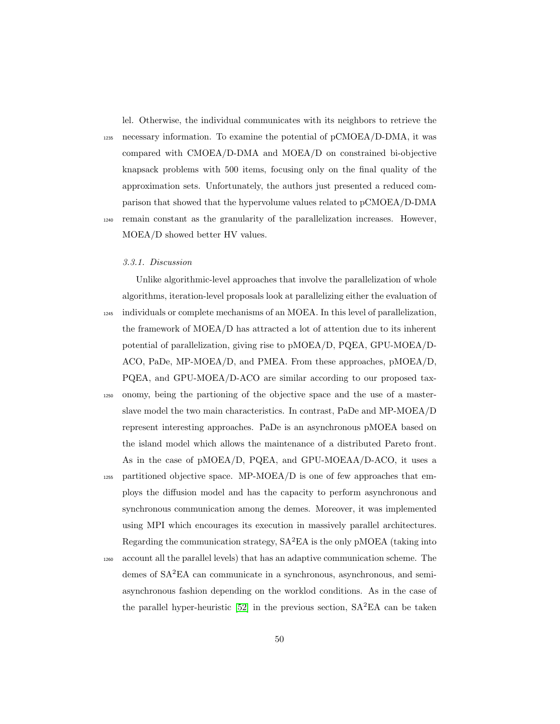lel. Otherwise, the individual communicates with its neighbors to retrieve the

 $1235$  necessary information. To examine the potential of pCMOEA/D-DMA, it was compared with CMOEA/D-DMA and MOEA/D on constrained bi-objective knapsack problems with 500 items, focusing only on the final quality of the approximation sets. Unfortunately, the authors just presented a reduced comparison that showed that the hypervolume values related to pCMOEA/D-DMA <sup>1240</sup> remain constant as the granularity of the parallelization increases. However, MOEA/D showed better HV values.

# 3.3.1. Discussion

Unlike algorithmic-level approaches that involve the parallelization of whole algorithms, iteration-level proposals look at parallelizing either the evaluation of <sup>1245</sup> individuals or complete mechanisms of an MOEA. In this level of parallelization, the framework of MOEA/D has attracted a lot of attention due to its inherent potential of parallelization, giving rise to pMOEA/D, PQEA, GPU-MOEA/D-ACO, PaDe, MP-MOEA/D, and PMEA. From these approaches, pMOEA/D, PQEA, and GPU-MOEA/D-ACO are similar according to our proposed tax-

- <sup>1250</sup> onomy, being the partioning of the objective space and the use of a masterslave model the two main characteristics. In contrast, PaDe and MP-MOEA/D represent interesting approaches. PaDe is an asynchronous pMOEA based on the island model which allows the maintenance of a distributed Pareto front. As in the case of pMOEA/D, PQEA, and GPU-MOEAA/D-ACO, it uses a
- <sup>1255</sup> partitioned objective space. MP-MOEA/D is one of few approaches that employs the diffusion model and has the capacity to perform asynchronous and synchronous communication among the demes. Moreover, it was implemented using MPI which encourages its execution in massively parallel architectures. Regarding the communication strategy,  $SA<sup>2</sup>EA$  is the only pMOEA (taking into
- <sup>1260</sup> account all the parallel levels) that has an adaptive communication scheme. The demes of SA<sup>2</sup>EA can communicate in a synchronous, asynchronous, and semiasynchronous fashion depending on the worklod conditions. As in the case of the parallel hyper-heuristic [\[52\]](#page-73-0) in the previous section,  $SA<sup>2</sup>EA$  can be taken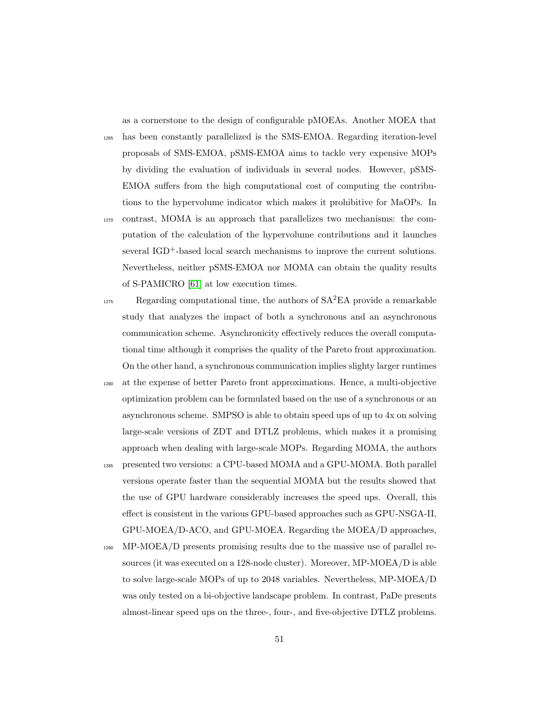as a cornerstone to the design of configurable pMOEAs. Another MOEA that

<sup>1265</sup> has been constantly parallelized is the SMS-EMOA. Regarding iteration-level proposals of SMS-EMOA, pSMS-EMOA aims to tackle very expensive MOPs by dividing the evaluation of individuals in several nodes. However, pSMS-EMOA suffers from the high computational cost of computing the contributions to the hypervolume indicator which makes it prohibitive for MaOPs. In

- <sup>1270</sup> contrast, MOMA is an approach that parallelizes two mechanisms: the computation of the calculation of the hypervolume contributions and it launches several IGD+-based local search mechanisms to improve the current solutions. Nevertheless, neither pSMS-EMOA nor MOMA can obtain the quality results of S-PAMICRO [\[61\]](#page-74-0) at low execution times.
- $Res<sub>1275</sub>$  Regarding computational time, the authors of  $SA<sup>2</sup>EA$  provide a remarkable study that analyzes the impact of both a synchronous and an asynchronous communication scheme. Asynchronicity effectively reduces the overall computational time although it comprises the quality of the Pareto front approximation. On the other hand, a synchronous communication implies slighty larger runtimes
- <sup>1280</sup> at the expense of better Pareto front approximations. Hence, a multi-objective optimization problem can be formulated based on the use of a synchronous or an asynchronous scheme. SMPSO is able to obtain speed ups of up to 4x on solving large-scale versions of ZDT and DTLZ problems, which makes it a promising approach when dealing with large-scale MOPs. Regarding MOMA, the authors
- <sup>1285</sup> presented two versions: a CPU-based MOMA and a GPU-MOMA. Both parallel versions operate faster than the sequential MOMA but the results showed that the use of GPU hardware considerably increases the speed ups. Overall, this effect is consistent in the various GPU-based approaches such as GPU-NSGA-II, GPU-MOEA/D-ACO, and GPU-MOEA. Regarding the MOEA/D approaches,
- <sup>1290</sup> MP-MOEA/D presents promising results due to the massive use of parallel resources (it was executed on a 128-node cluster). Moreover, MP-MOEA/D is able to solve large-scale MOPs of up to 2048 variables. Nevertheless, MP-MOEA/D was only tested on a bi-objective landscape problem. In contrast, PaDe presents almost-linear speed ups on the three-, four-, and five-objective DTLZ problems.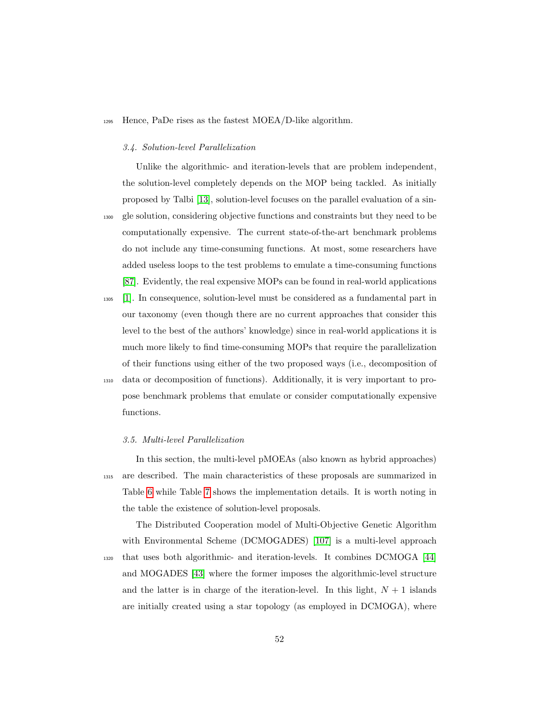# <sup>1295</sup> Hence, PaDe rises as the fastest MOEA/D-like algorithm.

#### 3.4. Solution-level Parallelization

Unlike the algorithmic- and iteration-levels that are problem independent, the solution-level completely depends on the MOP being tackled. As initially proposed by Talbi [\[13\]](#page-67-0), solution-level focuses on the parallel evaluation of a sin-<sup>1300</sup> gle solution, considering objective functions and constraints but they need to be computationally expensive. The current state-of-the-art benchmark problems do not include any time-consuming functions. At most, some researchers have added useless loops to the test problems to emulate a time-consuming functions [\[87\]](#page-78-2). Evidently, the real expensive MOPs can be found in real-world applications

<sup>1305</sup> [\[1\]](#page-65-0). In consequence, solution-level must be considered as a fundamental part in our taxonomy (even though there are no current approaches that consider this level to the best of the authors' knowledge) since in real-world applications it is much more likely to find time-consuming MOPs that require the parallelization of their functions using either of the two proposed ways (i.e., decomposition of <sup>1310</sup> data or decomposition of functions). Additionally, it is very important to propose benchmark problems that emulate or consider computationally expensive

# functions.

#### 3.5. Multi-level Parallelization

In this section, the multi-level pMOEAs (also known as hybrid approaches) <sup>1315</sup> are described. The main characteristics of these proposals are summarized in Table [6](#page-52-0) while Table [7](#page-52-1) shows the implementation details. It is worth noting in the table the existence of solution-level proposals.

The Distributed Cooperation model of Multi-Objective Genetic Algorithm with Environmental Scheme (DCMOGADES) [\[107\]](#page-81-4) is a multi-level approach <sup>1320</sup> that uses both algorithmic- and iteration-levels. It combines DCMOGA [\[44\]](#page-71-1) and MOGADES [\[43\]](#page-71-2) where the former imposes the algorithmic-level structure and the latter is in charge of the iteration-level. In this light,  $N + 1$  islands are initially created using a star topology (as employed in DCMOGA), where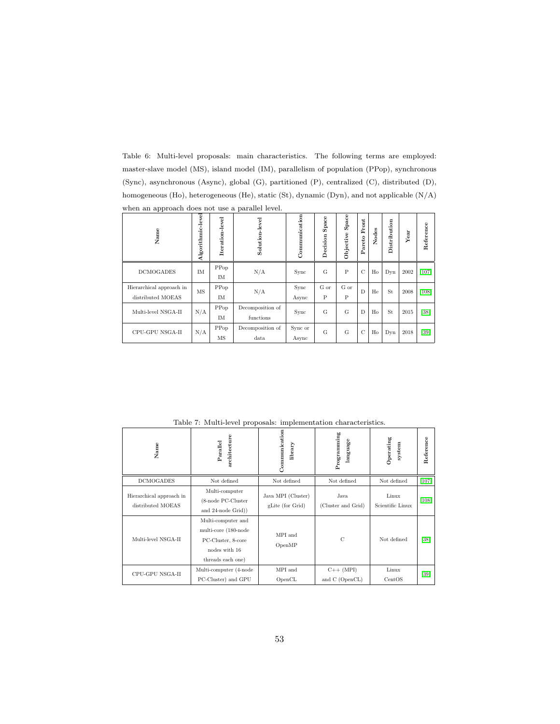<span id="page-52-0"></span>Table 6: Multi-level proposals: main characteristics. The following terms are employed: master-slave model (MS), island model (IM), parallelism of population (PPop), synchronous (Sync), asynchronous (Async), global (G), partitioned (P), centralized (C), distributed (D), homogeneous (Ho), heterogeneous (He), static (St), dynamic (Dyn), and not applicable (N/A) when an approach does not use a parallel level.

| Name                     | Algorithmic-level | Iteration-level | Solution-level   | Communication | Space<br>Decision | Space<br>Objective | Front<br>Pareto | Nodes | Distribution | Year | Reference |
|--------------------------|-------------------|-----------------|------------------|---------------|-------------------|--------------------|-----------------|-------|--------------|------|-----------|
| <b>DCMOGADES</b>         | IM                | PPop<br>IM      | N/A              | Sync          | G                 | $\mathbf P$        | $\mathcal{C}$   | Ho    | Dyn          | 2002 | $[107]$   |
| Hierarchical approach in | MS                | PPop            | N/A              | Sync          | G or              | G or               | D               | He    | St           | 2008 | [108]     |
| distributed MOEAS        |                   | IM              |                  | Async         | P                 | $\mathsf{P}$       |                 |       |              |      |           |
| Multi-level NSGA-II      | N/A               | PPop            | Decomposition of | Sync          | G                 | G                  | D               | Ho    | St           | 2015 | $[38]$    |
|                          |                   | IM              | functions        |               |                   |                    |                 |       |              |      |           |
| CPU-GPU NSGA-II          | N/A               | PPop            | Decomposition of | Sync or       | G                 | G                  | $\mathcal{C}$   | Ho    | Dyn          | 2018 | [39]      |
|                          |                   | MS              | data             | Async         |                   |                    |                 |       |              |      |           |

<span id="page-52-1"></span>Table 7: Multi-level proposals: implementation characteristics.

| Name                                          | architecture<br>Parallel                                                                               | Communication<br>library               | Programming<br>language       | Operating<br>system       | Reference |
|-----------------------------------------------|--------------------------------------------------------------------------------------------------------|----------------------------------------|-------------------------------|---------------------------|-----------|
| <b>DCMOGADES</b>                              | Not defined                                                                                            | Not defined                            | Not defined                   | Not defined               | $[107]$   |
| Hierarchical approach in<br>distributed MOEAS | Multi-computer<br>(8-node PC-Cluster<br>and 24-node Grid))                                             | Java MPI (Cluster)<br>gLite (for Grid) | Java<br>(Cluster and Grid)    | Linux<br>Scientific Linux | $[108]$   |
| Multi-level NSGA-II                           | Multi-computer and<br>multi-core (180-node<br>PC-Cluster, 8-core<br>nodes with 16<br>threads each one) | MPI and<br>OpenMP                      | $\mathcal{C}$                 | Not defined               | $[38]$    |
| CPU-GPU NSGA-II                               | Multi-computer (4-node<br>PC-Cluster) and GPU                                                          | MPI and<br>OpenCL                      | $C++ (MPI)$<br>and C (OpenCL) | Linux<br>CentOS           | $[39]$    |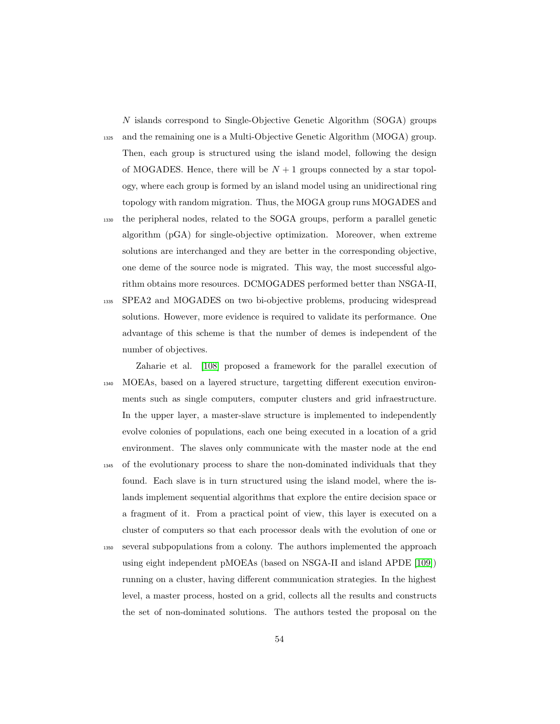N islands correspond to Single-Objective Genetic Algorithm (SOGA) groups <sup>1325</sup> and the remaining one is a Multi-Objective Genetic Algorithm (MOGA) group. Then, each group is structured using the island model, following the design of MOGADES. Hence, there will be  $N+1$  groups connected by a star topology, where each group is formed by an island model using an unidirectional ring topology with random migration. Thus, the MOGA group runs MOGADES and <sup>1330</sup> the peripheral nodes, related to the SOGA groups, perform a parallel genetic

- algorithm (pGA) for single-objective optimization. Moreover, when extreme solutions are interchanged and they are better in the corresponding objective, one deme of the source node is migrated. This way, the most successful algorithm obtains more resources. DCMOGADES performed better than NSGA-II,
- <sup>1335</sup> SPEA2 and MOGADES on two bi-objective problems, producing widespread solutions. However, more evidence is required to validate its performance. One advantage of this scheme is that the number of demes is independent of the number of objectives.
- Zaharie et al. [\[108\]](#page-81-5) proposed a framework for the parallel execution of <sup>1340</sup> MOEAs, based on a layered structure, targetting different execution environments such as single computers, computer clusters and grid infraestructure. In the upper layer, a master-slave structure is implemented to independently evolve colonies of populations, each one being executed in a location of a grid environment. The slaves only communicate with the master node at the end <sup>1345</sup> of the evolutionary process to share the non-dominated individuals that they found. Each slave is in turn structured using the island model, where the islands implement sequential algorithms that explore the entire decision space or a fragment of it. From a practical point of view, this layer is executed on a cluster of computers so that each processor deals with the evolution of one or <sup>1350</sup> several subpopulations from a colony. The authors implemented the approach using eight independent pMOEAs (based on NSGA-II and island APDE [\[109\]](#page-82-0)) running on a cluster, having different communication strategies. In the highest level, a master process, hosted on a grid, collects all the results and constructs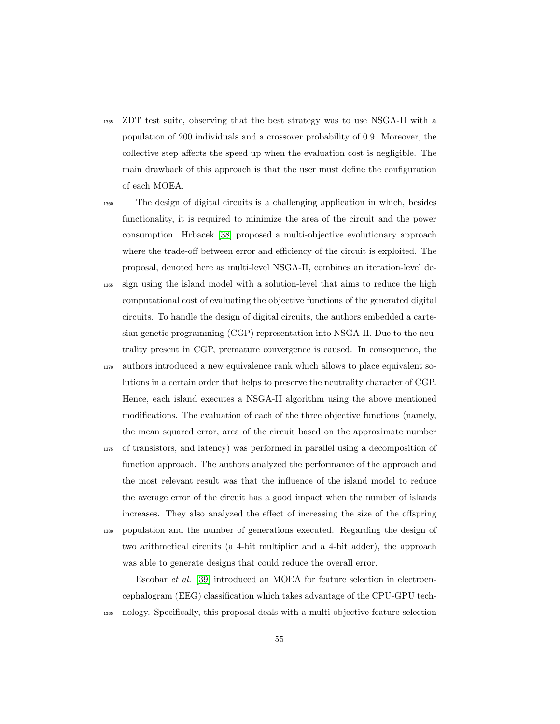- <sup>1355</sup> ZDT test suite, observing that the best strategy was to use NSGA-II with a population of 200 individuals and a crossover probability of 0.9. Moreover, the collective step affects the speed up when the evaluation cost is negligible. The main drawback of this approach is that the user must define the configuration of each MOEA.
- <sup>1360</sup> The design of digital circuits is a challenging application in which, besides functionality, it is required to minimize the area of the circuit and the power consumption. Hrbacek [\[38\]](#page-70-0) proposed a multi-objective evolutionary approach where the trade-off between error and efficiency of the circuit is exploited. The proposal, denoted here as multi-level NSGA-II, combines an iteration-level de-<sup>1365</sup> sign using the island model with a solution-level that aims to reduce the high
- computational cost of evaluating the objective functions of the generated digital circuits. To handle the design of digital circuits, the authors embedded a cartesian genetic programming (CGP) representation into NSGA-II. Due to the neutrality present in CGP, premature convergence is caused. In consequence, the
- <sup>1370</sup> authors introduced a new equivalence rank which allows to place equivalent solutions in a certain order that helps to preserve the neutrality character of CGP. Hence, each island executes a NSGA-II algorithm using the above mentioned modifications. The evaluation of each of the three objective functions (namely, the mean squared error, area of the circuit based on the approximate number
- <sup>1375</sup> of transistors, and latency) was performed in parallel using a decomposition of function approach. The authors analyzed the performance of the approach and the most relevant result was that the influence of the island model to reduce the average error of the circuit has a good impact when the number of islands increases. They also analyzed the effect of increasing the size of the offspring <sup>1380</sup> population and the number of generations executed. Regarding the design of two arithmetical circuits (a 4-bit multiplier and a 4-bit adder), the approach was able to generate designs that could reduce the overall error.

Escobar et al. [\[39\]](#page-71-3) introduced an MOEA for feature selection in electroencephalogram (EEG) classification which takes advantage of the CPU-GPU tech-<sup>1385</sup> nology. Specifically, this proposal deals with a multi-objective feature selection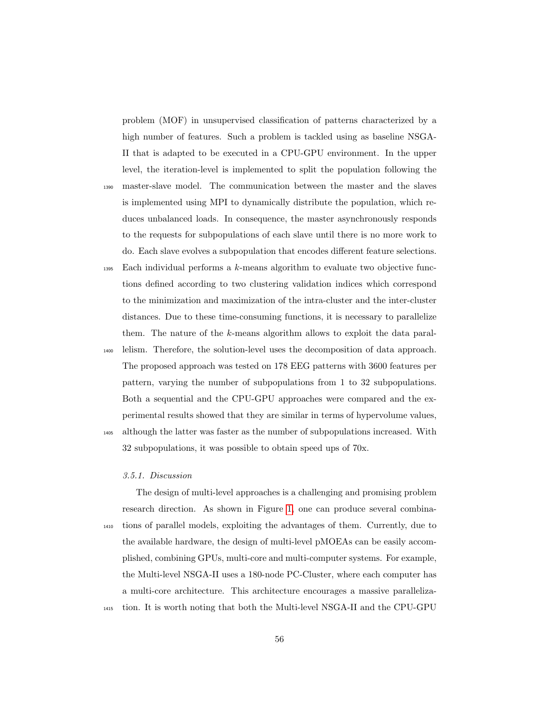problem (MOF) in unsupervised classification of patterns characterized by a high number of features. Such a problem is tackled using as baseline NSGA-II that is adapted to be executed in a CPU-GPU environment. In the upper level, the iteration-level is implemented to split the population following the

- <sup>1390</sup> master-slave model. The communication between the master and the slaves is implemented using MPI to dynamically distribute the population, which reduces unbalanced loads. In consequence, the master asynchronously responds to the requests for subpopulations of each slave until there is no more work to do. Each slave evolves a subpopulation that encodes different feature selections.
- $_{1395}$  Each individual performs a k-means algorithm to evaluate two objective functions defined according to two clustering validation indices which correspond to the minimization and maximization of the intra-cluster and the inter-cluster distances. Due to these time-consuming functions, it is necessary to parallelize them. The nature of the k-means algorithm allows to exploit the data paral-

<sup>1400</sup> lelism. Therefore, the solution-level uses the decomposition of data approach. The proposed approach was tested on 178 EEG patterns with 3600 features per pattern, varying the number of subpopulations from 1 to 32 subpopulations. Both a sequential and the CPU-GPU approaches were compared and the experimental results showed that they are similar in terms of hypervolume values,

<sup>1405</sup> although the latter was faster as the number of subpopulations increased. With 32 subpopulations, it was possible to obtain speed ups of 70x.

# 3.5.1. Discussion

The design of multi-level approaches is a challenging and promising problem research direction. As shown in Figure [1,](#page-10-0) one can produce several combina-<sup>1410</sup> tions of parallel models, exploiting the advantages of them. Currently, due to the available hardware, the design of multi-level pMOEAs can be easily accomplished, combining GPUs, multi-core and multi-computer systems. For example, the Multi-level NSGA-II uses a 180-node PC-Cluster, where each computer has a multi-core architecture. This architecture encourages a massive paralleliza-<sup>1415</sup> tion. It is worth noting that both the Multi-level NSGA-II and the CPU-GPU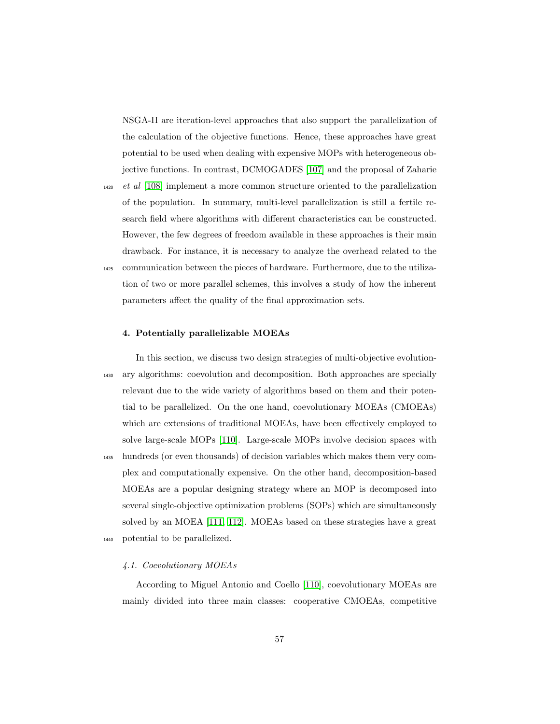NSGA-II are iteration-level approaches that also support the parallelization of the calculation of the objective functions. Hence, these approaches have great potential to be used when dealing with expensive MOPs with heterogeneous objective functions. In contrast, DCMOGADES [\[107\]](#page-81-4) and the proposal of Zaharie

<sup>1420</sup> et al [\[108\]](#page-81-5) implement a more common structure oriented to the parallelization of the population. In summary, multi-level parallelization is still a fertile research field where algorithms with different characteristics can be constructed. However, the few degrees of freedom available in these approaches is their main drawback. For instance, it is necessary to analyze the overhead related to the <sup>1425</sup> communication between the pieces of hardware. Furthermore, due to the utilization of two or more parallel schemes, this involves a study of how the inherent parameters affect the quality of the final approximation sets.

### 4. Potentially parallelizable MOEAs

In this section, we discuss two design strategies of multi-objective evolution-<sup>1430</sup> ary algorithms: coevolution and decomposition. Both approaches are specially relevant due to the wide variety of algorithms based on them and their potential to be parallelized. On the one hand, coevolutionary MOEAs (CMOEAs) which are extensions of traditional MOEAs, have been effectively employed to solve large-scale MOPs [\[110\]](#page-82-1). Large-scale MOPs involve decision spaces with <sup>1435</sup> hundreds (or even thousands) of decision variables which makes them very complex and computationally expensive. On the other hand, decomposition-based MOEAs are a popular designing strategy where an MOP is decomposed into several single-objective optimization problems (SOPs) which are simultaneously solved by an MOEA [\[111,](#page-82-2) [112\]](#page-82-3). MOEAs based on these strategies have a great <sup>1440</sup> potential to be parallelized.

#### 4.1. Coevolutionary MOEAs

According to Miguel Antonio and Coello [\[110\]](#page-82-1), coevolutionary MOEAs are mainly divided into three main classes: cooperative CMOEAs, competitive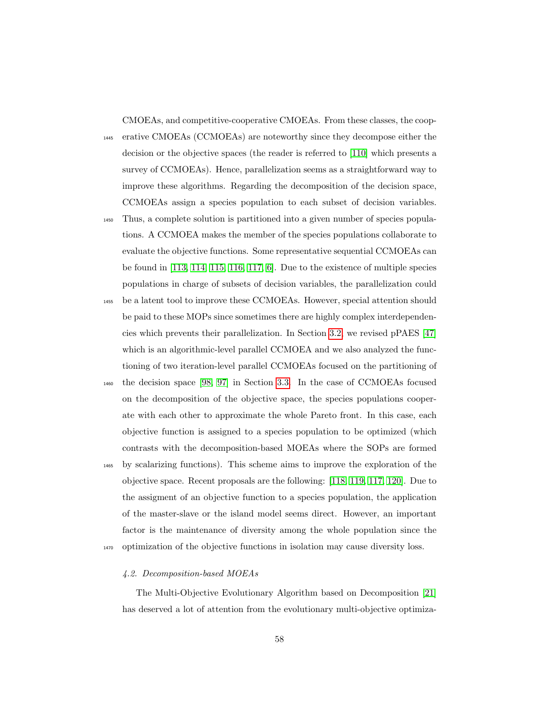CMOEAs, and competitive-cooperative CMOEAs. From these classes, the coop-

<sup>1445</sup> erative CMOEAs (CCMOEAs) are noteworthy since they decompose either the decision or the objective spaces (the reader is referred to [\[110\]](#page-82-1) which presents a survey of CCMOEAs). Hence, parallelization seems as a straightforward way to improve these algorithms. Regarding the decomposition of the decision space, CCMOEAs assign a species population to each subset of decision variables.

- <sup>1450</sup> Thus, a complete solution is partitioned into a given number of species populations. A CCMOEA makes the member of the species populations collaborate to evaluate the objective functions. Some representative sequential CCMOEAs can be found in [\[113,](#page-82-4) [114,](#page-82-5) [115,](#page-82-6) [116,](#page-83-0) [117,](#page-83-1) [6\]](#page-66-2). Due to the existence of multiple species populations in charge of subsets of decision variables, the parallelization could
- <sup>1455</sup> be a latent tool to improve these CCMOEAs. However, special attention should be paid to these MOPs since sometimes there are highly complex interdependencies which prevents their parallelization. In Section [3.2,](#page-17-0) we revised pPAES [\[47\]](#page-72-0) which is an algorithmic-level parallel CCMOEA and we also analyzed the functioning of two iteration-level parallel CCMOEAs focused on the partitioning of
- <sup>1460</sup> the decision space [\[98,](#page-80-0) [97\]](#page-79-6) in Section [3.3.](#page-34-0) In the case of CCMOEAs focused on the decomposition of the objective space, the species populations cooperate with each other to approximate the whole Pareto front. In this case, each objective function is assigned to a species population to be optimized (which contrasts with the decomposition-based MOEAs where the SOPs are formed
- <sup>1465</sup> by scalarizing functions). This scheme aims to improve the exploration of the objective space. Recent proposals are the following: [\[118,](#page-83-2) [119,](#page-83-3) [117,](#page-83-1) [120\]](#page-83-4). Due to the assigment of an objective function to a species population, the application of the master-slave or the island model seems direct. However, an important factor is the maintenance of diversity among the whole population since the <sup>1470</sup> optimization of the objective functions in isolation may cause diversity loss.

### 4.2. Decomposition-based MOEAs

The Multi-Objective Evolutionary Algorithm based on Decomposition [\[21\]](#page-68-1) has deserved a lot of attention from the evolutionary multi-objective optimiza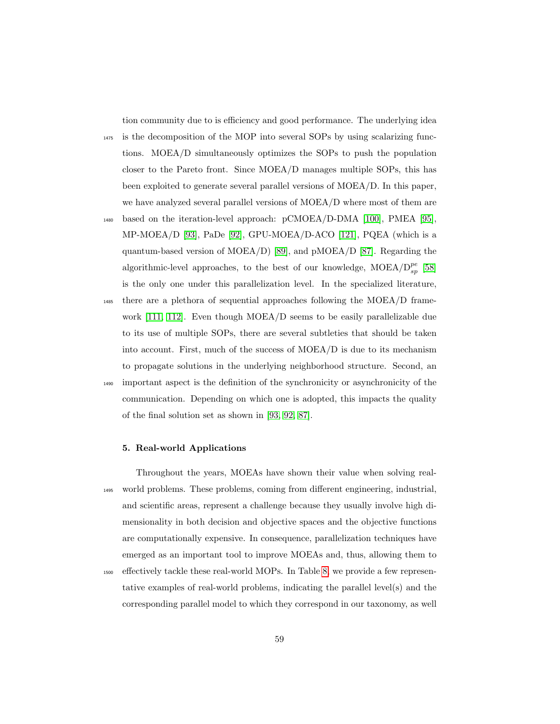tion community due to is efficiency and good performance. The underlying idea

- <sup>1475</sup> is the decomposition of the MOP into several SOPs by using scalarizing functions. MOEA/D simultaneously optimizes the SOPs to push the population closer to the Pareto front. Since MOEA/D manages multiple SOPs, this has been exploited to generate several parallel versions of MOEA/D. In this paper, we have analyzed several parallel versions of MOEA/D where most of them are
- <sup>1480</sup> based on the iteration-level approach: pCMOEA/D-DMA [\[100\]](#page-80-2), PMEA [\[95\]](#page-79-4), MP-MOEA/D [\[93\]](#page-79-2), PaDe [\[92\]](#page-79-1), GPU-MOEA/D-ACO [\[121\]](#page-83-5), PQEA (which is a quantum-based version of MOEA/D) [\[89\]](#page-78-4), and pMOEA/D [\[87\]](#page-78-2). Regarding the algorithmic-level approaches, to the best of our knowledge,  $\text{MOEA}/D_{sp}^{pe}$  [\[58\]](#page-74-1) is the only one under this parallelization level. In the specialized literature,
- <sup>1485</sup> there are a plethora of sequential approaches following the MOEA/D framework [\[111,](#page-82-2) [112\]](#page-82-3). Even though MOEA/D seems to be easily parallelizable due to its use of multiple SOPs, there are several subtleties that should be taken into account. First, much of the success of MOEA/D is due to its mechanism to propagate solutions in the underlying neighborhood structure. Second, an <sup>1490</sup> important aspect is the definition of the synchronicity or asynchronicity of the communication. Depending on which one is adopted, this impacts the quality of the final solution set as shown in [\[93,](#page-79-2) [92,](#page-79-1) [87\]](#page-78-2).

### 5. Real-world Applications

Throughout the years, MOEAs have shown their value when solving real-<sup>1495</sup> world problems. These problems, coming from different engineering, industrial, and scientific areas, represent a challenge because they usually involve high dimensionality in both decision and objective spaces and the objective functions are computationally expensive. In consequence, parallelization techniques have emerged as an important tool to improve MOEAs and, thus, allowing them to

<sup>1500</sup> effectively tackle these real-world MOPs. In Table [8,](#page-59-0) we provide a few representative examples of real-world problems, indicating the parallel level(s) and the corresponding parallel model to which they correspond in our taxonomy, as well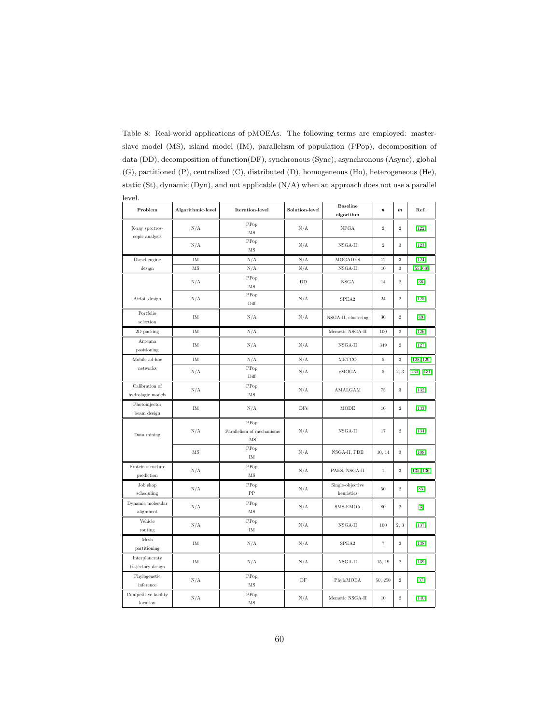| level.                              |                   |                                         |                |                                |                  |                  |                   |
|-------------------------------------|-------------------|-----------------------------------------|----------------|--------------------------------|------------------|------------------|-------------------|
| Problem                             | Algorithmic-level | <b>Iteration-level</b>                  | Solution-level | <b>Baseline</b><br>algorithm   | $\boldsymbol{n}$ | $\boldsymbol{m}$ | Ref.              |
| X-ray spectros-<br>copic analysis   | N/A               | PPop<br>$\overline{\rm MS}$             | N/A            | NPGA                           | $\overline{2}$   | $\,2\,$          | $[122]$           |
|                                     | N/A               | PPop<br>MS                              | N/A            | $NSGA-II$                      | $\overline{2}$   | 3                | $[123]$           |
| Diesel engine                       | IM                | N/A                                     | N/A            | <b>MOGADES</b>                 | 12               | $\sqrt{3}$       | $[124]$           |
| design                              | MS                | N/A                                     | N/A            | $NSGA-II$                      | 10               | $\sqrt{3}$       | [55, 68]          |
|                                     | N/A               | PPop<br>$\rm MS$                        | DD             | <b>NSGA</b>                    | 14               | $\overline{2}$   | $[36]$            |
| Airfoil design                      | N/A               | PPop<br>Diff                            | N/A            | SPEA2                          | 24               | $\,2\,$          | $[125]$           |
| Portfolio<br>selection              | $\rm IM$          | N/A                                     | N/A            | NSGA-II, clustering            | 30               | $\,2$            | [49]              |
| 2D packing                          | $\rm IM$          | N/A                                     |                | Memetic NSGA-II                | 100              | $\,2\,$          | $[126]$           |
| Antenna<br>positioning              | IM                | N/A                                     | N/A            | $NSGA-II$                      | 349              | $\,2$            | $[127]$           |
| Mobile ad-hoc                       | $\rm IM$          | N/A                                     | N/A            | <b>METCO</b>                   | 5                | 3                | [128, 129]        |
| networks                            | N/A               | PPop<br>Diff                            | N/A            | cMOGA                          | 5                | 2, 3             | $[130]$ , $[131]$ |
| Calibration of<br>hydrologic models | N/A               | PPop<br>MS                              | N/A            | AMALGAM                        | 75               | 3                | $[132]$           |
| Photoinjector<br>beam design        | $\rm IM$          | N/A                                     | DFs            | <b>MODE</b>                    | 10               | $\,2\,$          | $[133]$           |
| Data mining                         | N/A               | PPop<br>Parallelism of mechanisms<br>MS | N/A            | $NSGA-II$                      | 17               | $\,2\,$          | $[134]$           |
|                                     | MS                | PPop<br>IM                              | N/A            | NSGA-II, PDE                   | 10, 14           | $\sqrt{3}$       | $[108]$           |
| Protein structure<br>prediction     | N/A               | PPop<br>MS                              | N/A            | PAES, NSGA-II                  | $\,1$            | $\sqrt{3}$       | [135, 136]        |
| Job shop<br>scheduling              | N/A               | PPop<br>PP                              | N/A            | Single-objective<br>heuristics | 50               | $\,2\,$          | [85]              |
| Dynamic molecular<br>alignment      | N/A               | PPop<br>MS                              | N/A            | SMS-EMOA                       | 80               | $\,2\,$          | $[3]$             |
| Vehicle<br>routing                  | N/A               | PPop<br>IM                              | N/A            | $NSGA-II$                      | $100\,$          | 2, 3             | [137]             |
| Mesh<br>partitioning                | $\rm IM$          | N/A                                     | N/A            | SPEA2                          | 7                | $\,2$            | $[138]$           |
| Interplaneraty<br>trajectory design | $\rm IM$          | N/A                                     | N/A            | $NSGA-II$                      | 15, 19           | $\,2\,$          | $[139]$           |
| Phylogenetic<br>inference           | N/A               | PPop<br>MS                              | $\rm DF$       | PhyloMOEA                      | 50, 250          | $\,2$            | $[37]$            |
| Competitive facility<br>location    | N/A               | PPop<br>$\overline{\rm MS}$             | N/A            | Memetic NSGA-II                | 10               | $\,2\,$          | $[140]$           |

<span id="page-59-0"></span>Table 8: Real-world applications of pMOEAs. The following terms are employed: masterslave model (MS), island model (IM), parallelism of population (PPop), decomposition of data (DD), decomposition of function(DF), synchronous (Sync), asynchronous (Async), global (G), partitioned (P), centralized (C), distributed (D), homogeneous (Ho), heterogeneous (He), static (St), dynamic (Dyn), and not applicable (N/A) when an approach does not use a parallel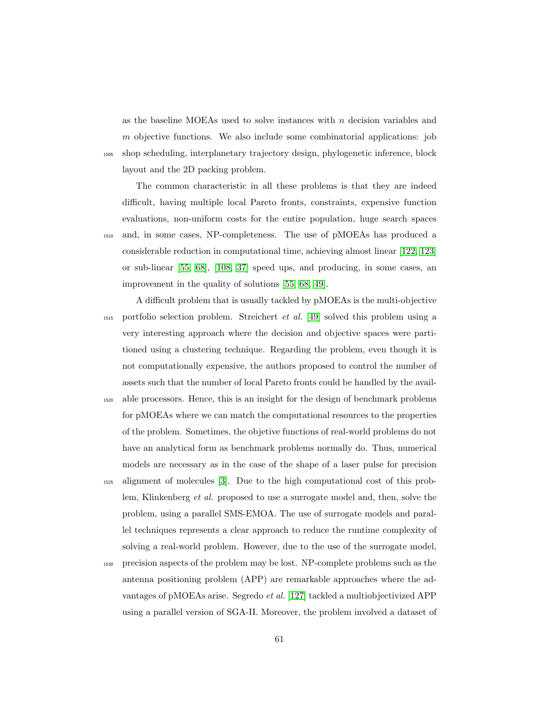as the baseline MOEAs used to solve instances with  $n$  decision variables and m objective functions. We also include some combinatorial applications: job <sup>1505</sup> shop scheduling, interplanetary trajectory design, phylogenetic inference, block layout and the 2D packing problem.

The common characteristic in all these problems is that they are indeed difficult, having multiple local Pareto fronts, constraints, expensive function evaluations, non-uniform costs for the entire population, huge search spaces <sup>1510</sup> and, in some cases, NP-completeness. The use of pMOEAs has produced a considerable reduction in computational time, achieving almost linear [\[122,](#page-83-6) [123\]](#page-84-0) or sub-linear [\[55,](#page-73-1) [68\]](#page-75-2), [\[108,](#page-81-5) [37\]](#page-70-2) speed ups, and producing, in some cases, an improvement in the quality of solutions [\[55,](#page-73-1) [68,](#page-75-2) [49\]](#page-72-1).

A difficult problem that is usually tackled by pMOEAs is the multi-objective <sup>1515</sup> portfolio selection problem. Streichert et al. [\[49\]](#page-72-1) solved this problem using a very interesting approach where the decision and objective spaces were partitioned using a clustering technique. Regarding the problem, even though it is not computationally expensive, the authors proposed to control the number of assets such that the number of local Pareto fronts could be handled by the avail-

- <sup>1520</sup> able processors. Hence, this is an insight for the design of benchmark problems for pMOEAs where we can match the computational resources to the properties of the problem. Sometimes, the objetive functions of real-world problems do not have an analytical form as benchmark problems normally do. Thus, numerical models are necessary as in the case of the shape of a laser pulse for precision
- <sup>1525</sup> alignment of molecules [\[3\]](#page-66-0). Due to the high computational cost of this problem, Klinkenberg et al. proposed to use a surrogate model and, then, solve the problem, using a parallel SMS-EMOA. The use of surrogate models and parallel techniques represents a clear approach to reduce the runtime complexity of solving a real-world problem. However, due to the use of the surrogate model,
- <sup>1530</sup> precision aspects of the problem may be lost. NP-complete problems such as the antenna positioning problem (APP) are remarkable approaches where the advantages of pMOEAs arise. Segredo et al. [\[127\]](#page-84-4) tackled a multiobjectivized APP using a parallel version of SGA-II. Moreover, the problem involved a dataset of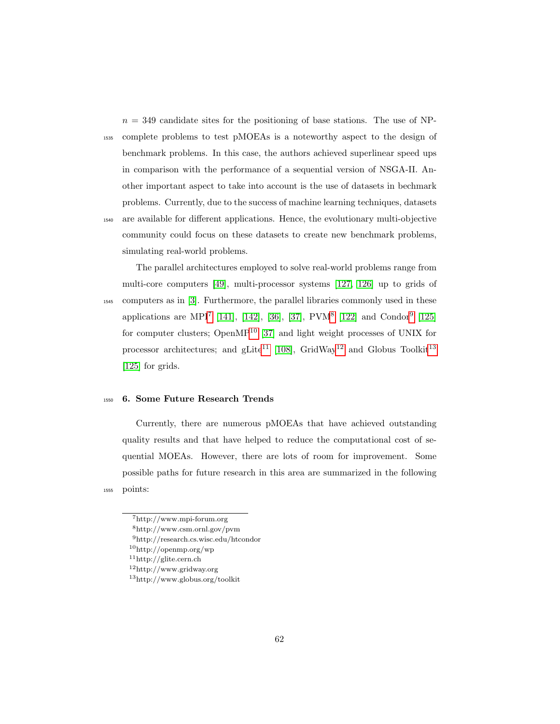$n = 349$  candidate sites for the positioning of base stations. The use of NP-<sup>1535</sup> complete problems to test pMOEAs is a noteworthy aspect to the design of benchmark problems. In this case, the authors achieved superlinear speed ups in comparison with the performance of a sequential version of NSGA-II. Another important aspect to take into account is the use of datasets in bechmark problems. Currently, due to the success of machine learning techniques, datasets <sup>1540</sup> are available for different applications. Hence, the evolutionary multi-objective community could focus on these datasets to create new benchmark problems, simulating real-world problems.

The parallel architectures employed to solve real-world problems range from multi-core computers [\[49\]](#page-72-1), multi-processor systems [\[127,](#page-84-4) [126\]](#page-84-3) up to grids of <sup>1545</sup> computers as in [\[3\]](#page-66-0). Furthermore, the parallel libraries commonly used in these applications are MPI<sup>[7](#page-61-0)</sup> [\[141\]](#page-87-0), [\[142\]](#page-87-1), [\[36\]](#page-70-1), [\[37\]](#page-70-2), PVM<sup>[8](#page-61-1)</sup> [\[122\]](#page-83-6) and Condor<sup>[9](#page-61-2)</sup> [\[125\]](#page-84-2) for computer clusters; Open $MP^{10}$  $MP^{10}$  $MP^{10}$  [\[37\]](#page-70-2) and light weight processes of UNIX for processor architectures; and gLite<sup>[11](#page-61-4)</sup> [\[108\]](#page-81-5), GridWay<sup>[12](#page-61-5)</sup> and Globus Toolkit<sup>[13](#page-61-6)</sup> [\[125\]](#page-84-2) for grids.

# <sup>1550</sup> 6. Some Future Research Trends

Currently, there are numerous pMOEAs that have achieved outstanding quality results and that have helped to reduce the computational cost of sequential MOEAs. However, there are lots of room for improvement. Some possible paths for future research in this area are summarized in the following <sup>1555</sup> points:

<span id="page-61-5"></span> $11$ http://glite.cern.ch

<span id="page-61-1"></span><span id="page-61-0"></span><sup>7</sup>http://www.mpi-forum.org

<span id="page-61-2"></span><sup>8</sup>http://www.csm.ornl.gov/pvm

<span id="page-61-3"></span><sup>9</sup>http://research.cs.wisc.edu/htcondor

<span id="page-61-4"></span> $\rm ^{10}http://openmp.org/wp$ 

<span id="page-61-6"></span><sup>12</sup>http://www.gridway.org

<sup>13</sup>http://www.globus.org/toolkit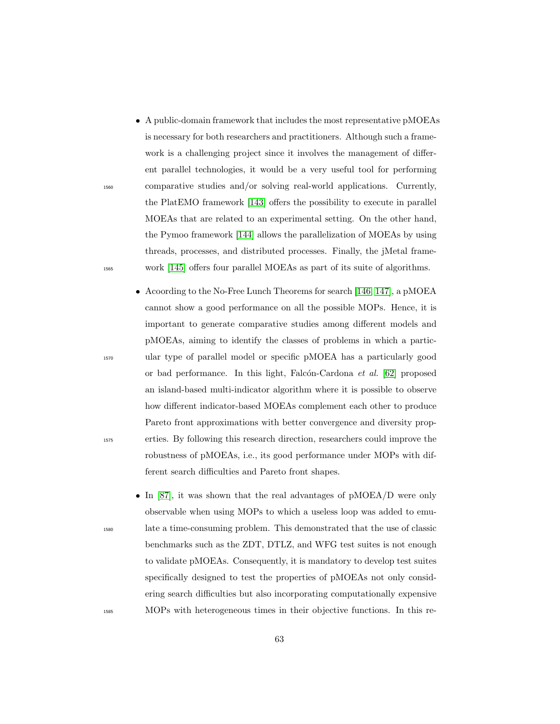- A public-domain framework that includes the most representative pMOEAs is necessary for both researchers and practitioners. Although such a framework is a challenging project since it involves the management of different parallel technologies, it would be a very useful tool for performing <sup>1560</sup> comparative studies and/or solving real-world applications. Currently, the PlatEMO framework [\[143\]](#page-87-2) offers the possibility to execute in parallel MOEAs that are related to an experimental setting. On the other hand, the Pymoo framework [\[144\]](#page-87-3) allows the parallelization of MOEAs by using threads, processes, and distributed processes. Finally, the jMetal frame-<sup>1565</sup> work [\[145\]](#page-87-4) offers four parallel MOEAs as part of its suite of algorithms.
- Acoording to the No-Free Lunch Theorems for search [\[146,](#page-87-5) [147\]](#page-87-6), a pMOEA cannot show a good performance on all the possible MOPs. Hence, it is important to generate comparative studies among different models and pMOEAs, aiming to identify the classes of problems in which a partic-<sup>1570</sup> ular type of parallel model or specific pMOEA has a particularly good or bad performance. In this light, Falcón-Cardona  $et \ al.$  [\[62\]](#page-74-2) proposed an island-based multi-indicator algorithm where it is possible to observe how different indicator-based MOEAs complement each other to produce Pareto front approximations with better convergence and diversity prop-<sup>1575</sup> erties. By following this research direction, researchers could improve the robustness of pMOEAs, i.e., its good performance under MOPs with different search difficulties and Pareto front shapes.
- In [\[87\]](#page-78-2), it was shown that the real advantages of pMOEA/D were only observable when using MOPs to which a useless loop was added to emu-<sup>1580</sup> late a time-consuming problem. This demonstrated that the use of classic benchmarks such as the ZDT, DTLZ, and WFG test suites is not enough to validate pMOEAs. Consequently, it is mandatory to develop test suites specifically designed to test the properties of pMOEAs not only considering search difficulties but also incorporating computationally expensive <sup>1585</sup> MOPs with heterogeneous times in their objective functions. In this re-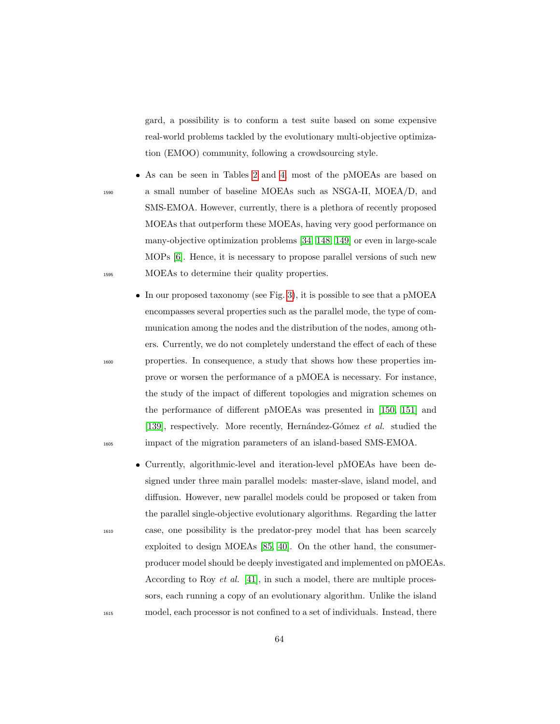gard, a possibility is to conform a test suite based on some expensive real-world problems tackled by the evolutionary multi-objective optimization (EMOO) community, following a crowdsourcing style.

- As can be seen in Tables [2](#page-19-0) and [4,](#page-35-0) most of the pMOEAs are based on <sup>1590</sup> a small number of baseline MOEAs such as NSGA-II, MOEA/D, and SMS-EMOA. However, currently, there is a plethora of recently proposed MOEAs that outperform these MOEAs, having very good performance on many-objective optimization problems [\[34,](#page-70-3) [148,](#page-88-0) [149\]](#page-88-1) or even in large-scale MOPs [\[6\]](#page-66-2). Hence, it is necessary to propose parallel versions of such new <sup>1595</sup> MOEAs to determine their quality properties.
- In our proposed taxonomy (see Fig. [3\)](#page-18-0), it is possible to see that a pMOEA encompasses several properties such as the parallel mode, the type of communication among the nodes and the distribution of the nodes, among others. Currently, we do not completely understand the effect of each of these <sup>1600</sup> properties. In consequence, a study that shows how these properties improve or worsen the performance of a pMOEA is necessary. For instance, the study of the impact of different topologies and migration schemes on the performance of different pMOEAs was presented in [\[150,](#page-88-2) [151\]](#page-88-3) and [\[139\]](#page-86-4), respectively. More recently, Hernández-Gómez et al. studied the <sup>1605</sup> impact of the migration parameters of an island-based SMS-EMOA.
- Currently, algorithmic-level and iteration-level pMOEAs have been designed under three main parallel models: master-slave, island model, and diffusion. However, new parallel models could be proposed or taken from the parallel single-objective evolutionary algorithms. Regarding the latter <sup>1610</sup> case, one possibility is the predator-prey model that has been scarcely exploited to design MOEAs [\[85,](#page-78-0) [40\]](#page-71-4). On the other hand, the consumerproducer model should be deeply investigated and implemented on pMOEAs. According to Roy et al. [\[41\]](#page-71-5), in such a model, there are multiple processors, each running a copy of an evolutionary algorithm. Unlike the island <sup>1615</sup> model, each processor is not confined to a set of individuals. Instead, there

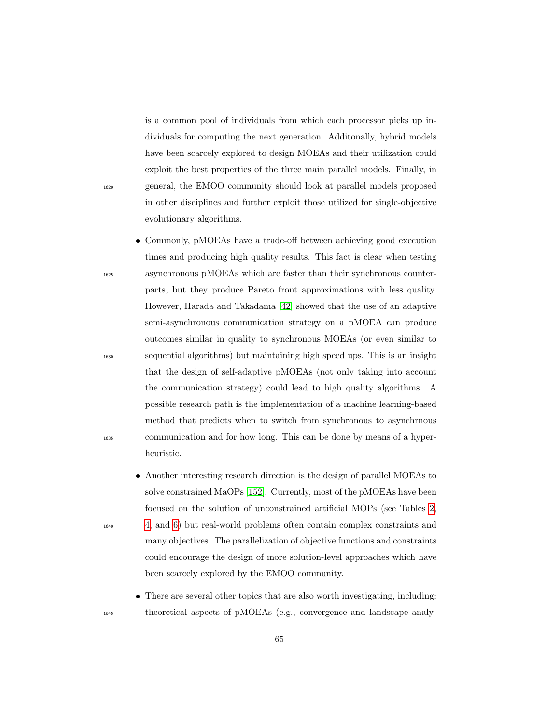is a common pool of individuals from which each processor picks up individuals for computing the next generation. Additonally, hybrid models have been scarcely explored to design MOEAs and their utilization could exploit the best properties of the three main parallel models. Finally, in <sup>1620</sup> general, the EMOO community should look at parallel models proposed in other disciplines and further exploit those utilized for single-objective evolutionary algorithms.

- Commonly, pMOEAs have a trade-off between achieving good execution times and producing high quality results. This fact is clear when testing <sup>1625</sup> asynchronous pMOEAs which are faster than their synchronous counterparts, but they produce Pareto front approximations with less quality. However, Harada and Takadama [\[42\]](#page-71-0) showed that the use of an adaptive semi-asynchronous communication strategy on a pMOEA can produce outcomes similar in quality to synchronous MOEAs (or even similar to <sup>1630</sup> sequential algorithms) but maintaining high speed ups. This is an insight that the design of self-adaptive pMOEAs (not only taking into account the communication strategy) could lead to high quality algorithms. A possible research path is the implementation of a machine learning-based method that predicts when to switch from synchronous to asynchrnous <sup>1635</sup> communication and for how long. This can be done by means of a hyperheuristic.
- Another interesting research direction is the design of parallel MOEAs to solve constrained MaOPs [\[152\]](#page-88-4). Currently, most of the pMOEAs have been focused on the solution of unconstrained artificial MOPs (see Tables [2,](#page-19-0) <sup>1640</sup> [4,](#page-35-0) and [6\)](#page-52-0) but real-world problems often contain complex constraints and many objectives. The parallelization of objective functions and constraints could encourage the design of more solution-level approaches which have been scarcely explored by the EMOO community.
- There are several other topics that are also worth investigating, including: <sup>1645</sup> theoretical aspects of pMOEAs (e.g., convergence and landscape analy-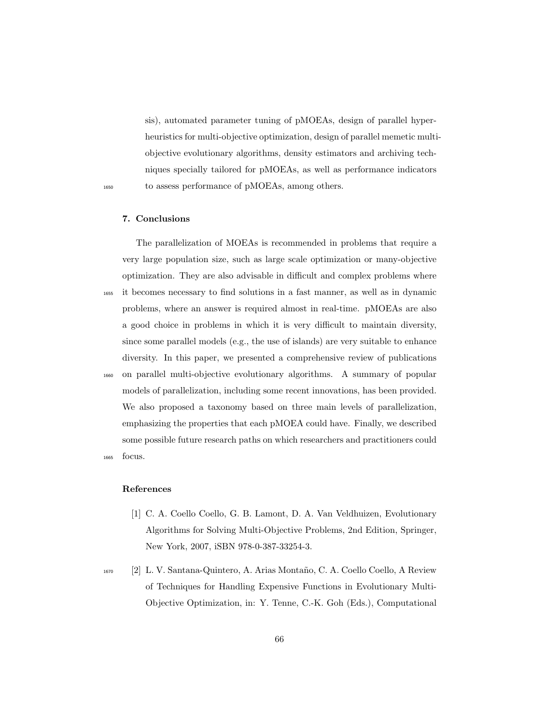sis), automated parameter tuning of pMOEAs, design of parallel hyperheuristics for multi-objective optimization, design of parallel memetic multiobjective evolutionary algorithms, density estimators and archiving techniques specially tailored for pMOEAs, as well as performance indicators <sup>1650</sup> to assess performance of pMOEAs, among others.

# 7. Conclusions

The parallelization of MOEAs is recommended in problems that require a very large population size, such as large scale optimization or many-objective optimization. They are also advisable in difficult and complex problems where <sup>1655</sup> it becomes necessary to find solutions in a fast manner, as well as in dynamic problems, where an answer is required almost in real-time. pMOEAs are also a good choice in problems in which it is very difficult to maintain diversity, since some parallel models (e.g., the use of islands) are very suitable to enhance diversity. In this paper, we presented a comprehensive review of publications <sup>1660</sup> on parallel multi-objective evolutionary algorithms. A summary of popular models of parallelization, including some recent innovations, has been provided. We also proposed a taxonomy based on three main levels of parallelization, emphasizing the properties that each pMOEA could have. Finally, we described some possible future research paths on which researchers and practitioners could <sup>1665</sup> focus.

# References

- <span id="page-65-0"></span>[1] C. A. Coello Coello, G. B. Lamont, D. A. Van Veldhuizen, Evolutionary Algorithms for Solving Multi-Objective Problems, 2nd Edition, Springer, New York, 2007, iSBN 978-0-387-33254-3.
- <sup>1670</sup> [2] L. V. Santana-Quintero, A. Arias Monta˜no, C. A. Coello Coello, A Review of Techniques for Handling Expensive Functions in Evolutionary Multi-Objective Optimization, in: Y. Tenne, C.-K. Goh (Eds.), Computational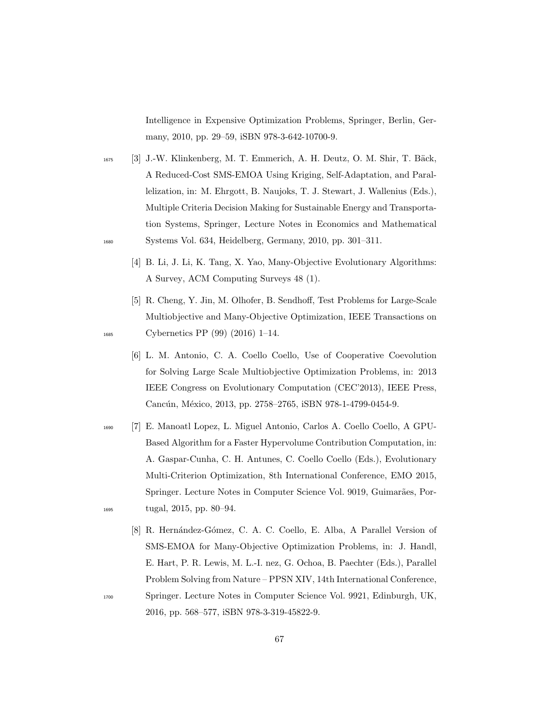Intelligence in Expensive Optimization Problems, Springer, Berlin, Germany, 2010, pp. 29–59, iSBN 978-3-642-10700-9.

- <span id="page-66-0"></span><sup>1675</sup> [3] J.-W. Klinkenberg, M. T. Emmerich, A. H. Deutz, O. M. Shir, T. Bäck, A Reduced-Cost SMS-EMOA Using Kriging, Self-Adaptation, and Parallelization, in: M. Ehrgott, B. Naujoks, T. J. Stewart, J. Wallenius (Eds.), Multiple Criteria Decision Making for Sustainable Energy and Transportation Systems, Springer, Lecture Notes in Economics and Mathematical <sup>1680</sup> Systems Vol. 634, Heidelberg, Germany, 2010, pp. 301–311.
	- [4] B. Li, J. Li, K. Tang, X. Yao, Many-Objective Evolutionary Algorithms: A Survey, ACM Computing Surveys 48 (1).
- <span id="page-66-2"></span>[5] R. Cheng, Y. Jin, M. Olhofer, B. Sendhoff, Test Problems for Large-Scale Multiobjective and Many-Objective Optimization, IEEE Transactions on <sup>1685</sup> Cybernetics PP (99) (2016) 1–14.
	- [6] L. M. Antonio, C. A. Coello Coello, Use of Cooperative Coevolution for Solving Large Scale Multiobjective Optimization Problems, in: 2013 IEEE Congress on Evolutionary Computation (CEC'2013), IEEE Press, Cancún, México, 2013, pp. 2758–2765, iSBN 978-1-4799-0454-9.
- <span id="page-66-1"></span><sup>1690</sup> [7] E. Manoatl Lopez, L. Miguel Antonio, Carlos A. Coello Coello, A GPU-Based Algorithm for a Faster Hypervolume Contribution Computation, in: A. Gaspar-Cunha, C. H. Antunes, C. Coello Coello (Eds.), Evolutionary Multi-Criterion Optimization, 8th International Conference, EMO 2015, Springer. Lecture Notes in Computer Science Vol. 9019, Guimarães, Por-<sup>1695</sup> tugal, 2015, pp. 80–94.
- [8] R. Hernández-Gómez, C. A. C. Coello, E. Alba, A Parallel Version of SMS-EMOA for Many-Objective Optimization Problems, in: J. Handl, E. Hart, P. R. Lewis, M. L.-I. nez, G. Ochoa, B. Paechter (Eds.), Parallel Problem Solving from Nature – PPSN XIV, 14th International Conference, <sup>1700</sup> Springer. Lecture Notes in Computer Science Vol. 9921, Edinburgh, UK, 2016, pp. 568–577, iSBN 978-3-319-45822-9.
	-

67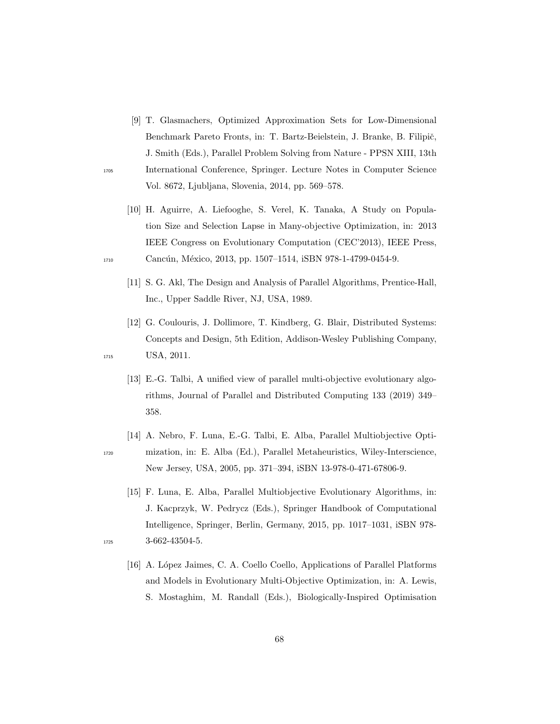- [9] T. Glasmachers, Optimized Approximation Sets for Low-Dimensional Benchmark Pareto Fronts, in: T. Bartz-Beielstein, J. Branke, B. Filipič, J. Smith (Eds.), Parallel Problem Solving from Nature - PPSN XIII, 13th <sup>1705</sup> International Conference, Springer. Lecture Notes in Computer Science Vol. 8672, Ljubljana, Slovenia, 2014, pp. 569–578.
- [10] H. Aguirre, A. Liefooghe, S. Verel, K. Tanaka, A Study on Population Size and Selection Lapse in Many-objective Optimization, in: 2013 IEEE Congress on Evolutionary Computation (CEC'2013), IEEE Press, 1710 Cancún, México, 2013, pp. 1507-1514, iSBN 978-1-4799-0454-9.
	- [11] S. G. Akl, The Design and Analysis of Parallel Algorithms, Prentice-Hall, Inc., Upper Saddle River, NJ, USA, 1989.
- <span id="page-67-0"></span>[12] G. Coulouris, J. Dollimore, T. Kindberg, G. Blair, Distributed Systems: Concepts and Design, 5th Edition, Addison-Wesley Publishing Company, 1715 USA, 2011.
	- [13] E.-G. Talbi, A unified view of parallel multi-objective evolutionary algorithms, Journal of Parallel and Distributed Computing 133 (2019) 349– 358.
- [14] A. Nebro, F. Luna, E.-G. Talbi, E. Alba, Parallel Multiobjective Opti-<sup>1720</sup> mization, in: E. Alba (Ed.), Parallel Metaheuristics, Wiley-Interscience, New Jersey, USA, 2005, pp. 371–394, iSBN 13-978-0-471-67806-9.
- [15] F. Luna, E. Alba, Parallel Multiobjective Evolutionary Algorithms, in: J. Kacprzyk, W. Pedrycz (Eds.), Springer Handbook of Computational Intelligence, Springer, Berlin, Germany, 2015, pp. 1017–1031, iSBN 978- <sup>1725</sup> 3-662-43504-5.
- 
- [16] A. L´opez Jaimes, C. A. Coello Coello, Applications of Parallel Platforms and Models in Evolutionary Multi-Objective Optimization, in: A. Lewis, S. Mostaghim, M. Randall (Eds.), Biologically-Inspired Optimisation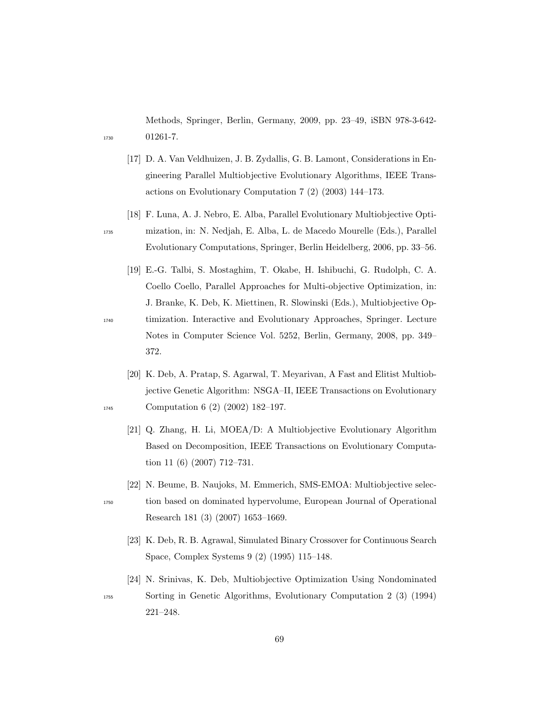Methods, Springer, Berlin, Germany, 2009, pp. 23–49, iSBN 978-3-642- <sup>1730</sup> 01261-7.

- [17] D. A. Van Veldhuizen, J. B. Zydallis, G. B. Lamont, Considerations in Engineering Parallel Multiobjective Evolutionary Algorithms, IEEE Transactions on Evolutionary Computation 7 (2) (2003) 144–173.
- [18] F. Luna, A. J. Nebro, E. Alba, Parallel Evolutionary Multiobjective Opti-<sup>1735</sup> mization, in: N. Nedjah, E. Alba, L. de Macedo Mourelle (Eds.), Parallel Evolutionary Computations, Springer, Berlin Heidelberg, 2006, pp. 33–56.
- [19] E.-G. Talbi, S. Mostaghim, T. Okabe, H. Ishibuchi, G. Rudolph, C. A. Coello Coello, Parallel Approaches for Multi-objective Optimization, in: J. Branke, K. Deb, K. Miettinen, R. Slowinski (Eds.), Multiobjective Op-<sup>1740</sup> timization. Interactive and Evolutionary Approaches, Springer. Lecture Notes in Computer Science Vol. 5252, Berlin, Germany, 2008, pp. 349– 372.
- <span id="page-68-1"></span><span id="page-68-0"></span>[20] K. Deb, A. Pratap, S. Agarwal, T. Meyarivan, A Fast and Elitist Multiobjective Genetic Algorithm: NSGA–II, IEEE Transactions on Evolutionary 1745 Computation 6 (2) (2002) 182-197.
	- [21] Q. Zhang, H. Li, MOEA/D: A Multiobjective Evolutionary Algorithm Based on Decomposition, IEEE Transactions on Evolutionary Computation 11 (6) (2007) 712–731.
	- [22] N. Beume, B. Naujoks, M. Emmerich, SMS-EMOA: Multiobjective selec-
- <sup>1750</sup> tion based on dominated hypervolume, European Journal of Operational Research 181 (3) (2007) 1653–1669.
	- [23] K. Deb, R. B. Agrawal, Simulated Binary Crossover for Continuous Search Space, Complex Systems 9 (2) (1995) 115–148.
- [24] N. Srinivas, K. Deb, Multiobjective Optimization Using Nondominated <sup>1755</sup> Sorting in Genetic Algorithms, Evolutionary Computation 2 (3) (1994) 221–248.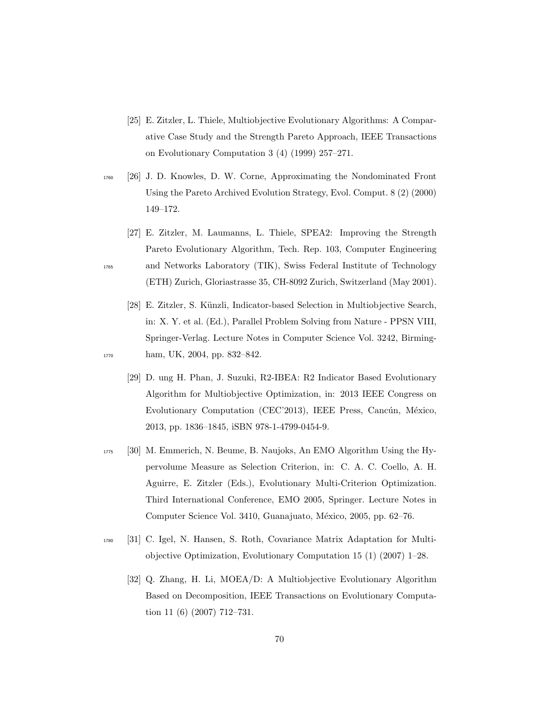- [25] E. Zitzler, L. Thiele, Multiobjective Evolutionary Algorithms: A Comparative Case Study and the Strength Pareto Approach, IEEE Transactions on Evolutionary Computation 3 (4) (1999) 257–271.
- <sup>1760</sup> [26] J. D. Knowles, D. W. Corne, Approximating the Nondominated Front Using the Pareto Archived Evolution Strategy, Evol. Comput. 8 (2) (2000) 149–172.
- [27] E. Zitzler, M. Laumanns, L. Thiele, SPEA2: Improving the Strength Pareto Evolutionary Algorithm, Tech. Rep. 103, Computer Engineering <sup>1765</sup> and Networks Laboratory (TIK), Swiss Federal Institute of Technology (ETH) Zurich, Gloriastrasse 35, CH-8092 Zurich, Switzerland (May 2001).
- <span id="page-69-0"></span>[28] E. Zitzler, S. Künzli, Indicator-based Selection in Multiobjective Search, in: X. Y. et al. (Ed.), Parallel Problem Solving from Nature - PPSN VIII, Springer-Verlag. Lecture Notes in Computer Science Vol. 3242, Birming-1770 ham, UK, 2004, pp. 832–842.
	- [29] D. ung H. Phan, J. Suzuki, R2-IBEA: R2 Indicator Based Evolutionary Algorithm for Multiobjective Optimization, in: 2013 IEEE Congress on Evolutionary Computation (CEC'2013), IEEE Press, Cancún, México, 2013, pp. 1836–1845, iSBN 978-1-4799-0454-9.
- <sup>1775</sup> [30] M. Emmerich, N. Beume, B. Naujoks, An EMO Algorithm Using the Hypervolume Measure as Selection Criterion, in: C. A. C. Coello, A. H. Aguirre, E. Zitzler (Eds.), Evolutionary Multi-Criterion Optimization. Third International Conference, EMO 2005, Springer. Lecture Notes in Computer Science Vol. 3410, Guanajuato, México, 2005, pp. 62–76.
- <sup>1780</sup> [31] C. Igel, N. Hansen, S. Roth, Covariance Matrix Adaptation for Multiobjective Optimization, Evolutionary Computation 15 (1) (2007) 1–28.
	- [32] Q. Zhang, H. Li, MOEA/D: A Multiobjective Evolutionary Algorithm Based on Decomposition, IEEE Transactions on Evolutionary Computation 11 (6) (2007) 712–731.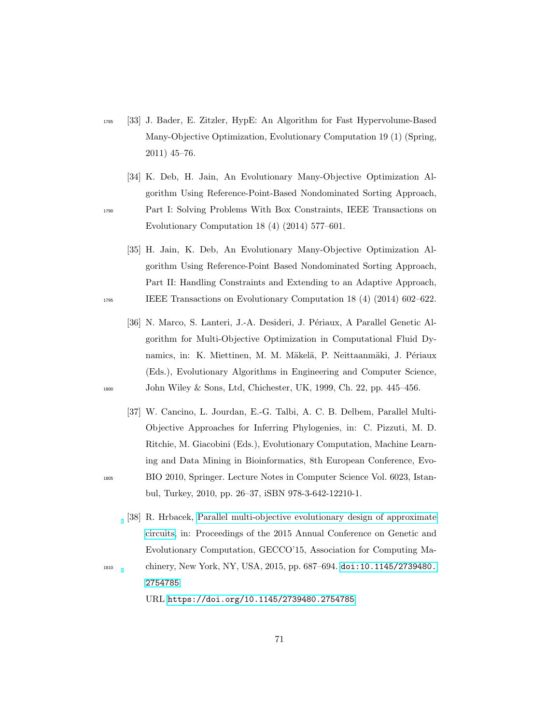- <sup>1785</sup> [33] J. Bader, E. Zitzler, HypE: An Algorithm for Fast Hypervolume-Based Many-Objective Optimization, Evolutionary Computation 19 (1) (Spring, 2011) 45–76.
- <span id="page-70-3"></span>[34] K. Deb, H. Jain, An Evolutionary Many-Objective Optimization Algorithm Using Reference-Point-Based Nondominated Sorting Approach, <sup>1790</sup> Part I: Solving Problems With Box Constraints, IEEE Transactions on Evolutionary Computation 18 (4) (2014) 577–601.
- [35] H. Jain, K. Deb, An Evolutionary Many-Objective Optimization Algorithm Using Reference-Point Based Nondominated Sorting Approach, Part II: Handling Constraints and Extending to an Adaptive Approach, <sup>1795</sup> IEEE Transactions on Evolutionary Computation 18 (4) (2014) 602–622.
- <span id="page-70-1"></span>[36] N. Marco, S. Lanteri, J.-A. Desideri, J. Périaux, A Parallel Genetic Algorithm for Multi-Objective Optimization in Computational Fluid Dynamics, in: K. Miettinen, M. M. Mäkelä, P. Neittaanmäki, J. Périaux (Eds.), Evolutionary Algorithms in Engineering and Computer Science, <sup>1800</sup> John Wiley & Sons, Ltd, Chichester, UK, 1999, Ch. 22, pp. 445–456.
- <span id="page-70-2"></span>[37] W. Cancino, L. Jourdan, E.-G. Talbi, A. C. B. Delbem, Parallel Multi-Objective Approaches for Inferring Phylogenies, in: C. Pizzuti, M. D. Ritchie, M. Giacobini (Eds.), Evolutionary Computation, Machine Learning and Data Mining in Bioinformatics, 8th European Conference, Evo-<sup>1805</sup> BIO 2010, Springer. Lecture Notes in Computer Science Vol. 6023, Istanbul, Turkey, 2010, pp. 26–37, iSBN 978-3-642-12210-1.
- <span id="page-70-0"></span>[38] R. Hrbacek, [Parallel multi-objective evolutionary design of approximate](https://doi.org/10.1145/2739480.2754785) [circuits,](https://doi.org/10.1145/2739480.2754785) in: Proceedings of the 2015 Annual Conference on Genetic and Evolutionary Computation, GECCO'15, Association for Computing Ma-<sup>1810</sup> chinery, New York, NY, USA, 2015, pp. 687–694. [doi:10.1145/2739480.](http://dx.doi.org/10.1145/2739480.2754785) [2754785](http://dx.doi.org/10.1145/2739480.2754785).

URL <https://doi.org/10.1145/2739480.2754785>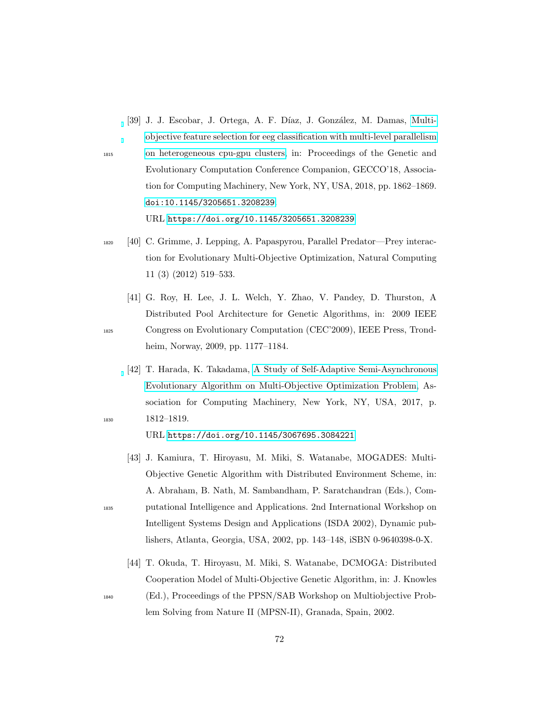- <span id="page-71-3"></span>[39] J. J. Escobar, J. Ortega, A. F. Díaz, J. González, M. Damas, [Multi](https://doi.org/10.1145/3205651.3208239)[objective feature selection for eeg classification with multi-level parallelism](https://doi.org/10.1145/3205651.3208239) <sup>1815</sup> [on heterogeneous cpu-gpu clusters,](https://doi.org/10.1145/3205651.3208239) in: Proceedings of the Genetic and Evolutionary Computation Conference Companion, GECCO'18, Association for Computing Machinery, New York, NY, USA, 2018, pp. 1862–1869. [doi:10.1145/3205651.3208239](http://dx.doi.org/10.1145/3205651.3208239). URL <https://doi.org/10.1145/3205651.3208239>
- <span id="page-71-4"></span><sup>1820</sup> [40] C. Grimme, J. Lepping, A. Papaspyrou, Parallel Predator—Prey interaction for Evolutionary Multi-Objective Optimization, Natural Computing 11 (3) (2012) 519–533.
- <span id="page-71-5"></span>[41] G. Roy, H. Lee, J. L. Welch, Y. Zhao, V. Pandey, D. Thurston, A Distributed Pool Architecture for Genetic Algorithms, in: 2009 IEEE <sup>1825</sup> Congress on Evolutionary Computation (CEC'2009), IEEE Press, Trondheim, Norway, 2009, pp. 1177–1184.
- <span id="page-71-0"></span>[42] T. Harada, K. Takadama, [A Study of Self-Adaptive Semi-Asynchronous](https://doi.org/10.1145/3067695.3084221) [Evolutionary Algorithm on Multi-Objective Optimization Problem,](https://doi.org/10.1145/3067695.3084221) Association for Computing Machinery, New York, NY, USA, 2017, p. <sup>1830</sup> 1812–1819.

<span id="page-71-2"></span>URL <https://doi.org/10.1145/3067695.3084221>

- [43] J. Kamiura, T. Hiroyasu, M. Miki, S. Watanabe, MOGADES: Multi-Objective Genetic Algorithm with Distributed Environment Scheme, in: A. Abraham, B. Nath, M. Sambandham, P. Saratchandran (Eds.), Com-<sup>1835</sup> putational Intelligence and Applications. 2nd International Workshop on Intelligent Systems Design and Applications (ISDA 2002), Dynamic publishers, Atlanta, Georgia, USA, 2002, pp. 143–148, iSBN 0-9640398-0-X.
	- [44] T. Okuda, T. Hiroyasu, M. Miki, S. Watanabe, DCMOGA: Distributed Cooperation Model of Multi-Objective Genetic Algorithm, in: J. Knowles
- <span id="page-71-1"></span><sup>1840</sup> (Ed.), Proceedings of the PPSN/SAB Workshop on Multiobjective Prob-

lem Solving from Nature II (MPSN-II), Granada, Spain, 2002.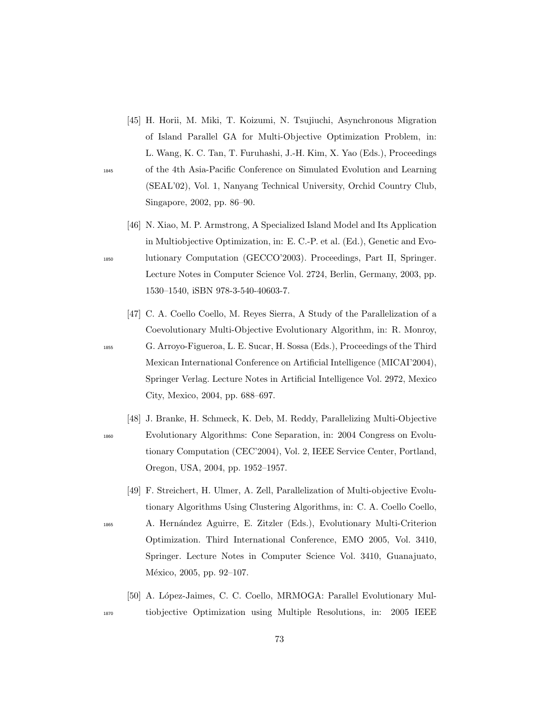- [45] H. Horii, M. Miki, T. Koizumi, N. Tsujiuchi, Asynchronous Migration of Island Parallel GA for Multi-Objective Optimization Problem, in: L. Wang, K. C. Tan, T. Furuhashi, J.-H. Kim, X. Yao (Eds.), Proceedings <sup>1845</sup> of the 4th Asia-Pacific Conference on Simulated Evolution and Learning (SEAL'02), Vol. 1, Nanyang Technical University, Orchid Country Club, Singapore, 2002, pp. 86–90.
- [46] N. Xiao, M. P. Armstrong, A Specialized Island Model and Its Application in Multiobjective Optimization, in: E. C.-P. et al. (Ed.), Genetic and Evo-<sup>1850</sup> lutionary Computation (GECCO'2003). Proceedings, Part II, Springer. Lecture Notes in Computer Science Vol. 2724, Berlin, Germany, 2003, pp. 1530–1540, iSBN 978-3-540-40603-7.
- [47] C. A. Coello Coello, M. Reyes Sierra, A Study of the Parallelization of a Coevolutionary Multi-Objective Evolutionary Algorithm, in: R. Monroy, <sup>1855</sup> G. Arroyo-Figueroa, L. E. Sucar, H. Sossa (Eds.), Proceedings of the Third Mexican International Conference on Artificial Intelligence (MICAI'2004), Springer Verlag. Lecture Notes in Artificial Intelligence Vol. 2972, Mexico City, Mexico, 2004, pp. 688–697.
- [48] J. Branke, H. Schmeck, K. Deb, M. Reddy, Parallelizing Multi-Objective <sup>1860</sup> Evolutionary Algorithms: Cone Separation, in: 2004 Congress on Evolutionary Computation (CEC'2004), Vol. 2, IEEE Service Center, Portland, Oregon, USA, 2004, pp. 1952–1957.
- [49] F. Streichert, H. Ulmer, A. Zell, Parallelization of Multi-objective Evolutionary Algorithms Using Clustering Algorithms, in: C. A. Coello Coello, <sup>1865</sup> A. Hern´andez Aguirre, E. Zitzler (Eds.), Evolutionary Multi-Criterion Optimization. Third International Conference, EMO 2005, Vol. 3410, Springer. Lecture Notes in Computer Science Vol. 3410, Guanajuato, México, 2005, pp. 92-107.
- [50] A. López-Jaimes, C. C. Coello, MRMOGA: Parallel Evolutionary Mul-<sup>1870</sup> tiobjective Optimization using Multiple Resolutions, in: 2005 IEEE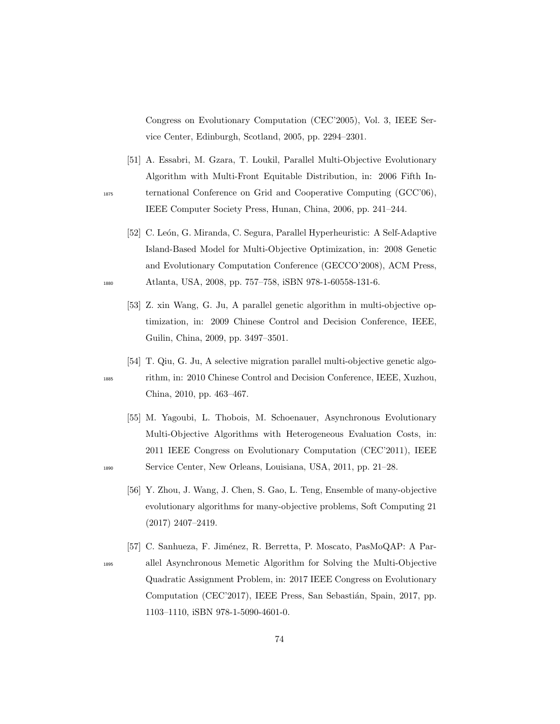Congress on Evolutionary Computation (CEC'2005), Vol. 3, IEEE Service Center, Edinburgh, Scotland, 2005, pp. 2294–2301.

- [51] A. Essabri, M. Gzara, T. Loukil, Parallel Multi-Objective Evolutionary Algorithm with Multi-Front Equitable Distribution, in: 2006 Fifth In-<sup>1875</sup> ternational Conference on Grid and Cooperative Computing (GCC'06), IEEE Computer Society Press, Hunan, China, 2006, pp. 241–244.
- [52] C. León, G. Miranda, C. Segura, Parallel Hyperheuristic: A Self-Adaptive Island-Based Model for Multi-Objective Optimization, in: 2008 Genetic and Evolutionary Computation Conference (GECCO'2008), ACM Press, <sup>1880</sup> Atlanta, USA, 2008, pp. 757–758, iSBN 978-1-60558-131-6.
	- [53] Z. xin Wang, G. Ju, A parallel genetic algorithm in multi-objective optimization, in: 2009 Chinese Control and Decision Conference, IEEE, Guilin, China, 2009, pp. 3497–3501.
- [54] T. Qiu, G. Ju, A selective migration parallel multi-objective genetic algo-<sup>1885</sup> rithm, in: 2010 Chinese Control and Decision Conference, IEEE, Xuzhou, China, 2010, pp. 463–467.
- [55] M. Yagoubi, L. Thobois, M. Schoenauer, Asynchronous Evolutionary Multi-Objective Algorithms with Heterogeneous Evaluation Costs, in: 2011 IEEE Congress on Evolutionary Computation (CEC'2011), IEEE <sup>1890</sup> Service Center, New Orleans, Louisiana, USA, 2011, pp. 21–28.
	- [56] Y. Zhou, J. Wang, J. Chen, S. Gao, L. Teng, Ensemble of many-objective evolutionary algorithms for many-objective problems, Soft Computing 21 (2017) 2407–2419.
- [57] C. Sanhueza, F. Jiménez, R. Berretta, P. Moscato, PasMoQAP: A Par-<sup>1895</sup> allel Asynchronous Memetic Algorithm for Solving the Multi-Objective Quadratic Assignment Problem, in: 2017 IEEE Congress on Evolutionary Computation (CEC'2017), IEEE Press, San Sebastián, Spain, 2017, pp. 1103–1110, iSBN 978-1-5090-4601-0.

- 
-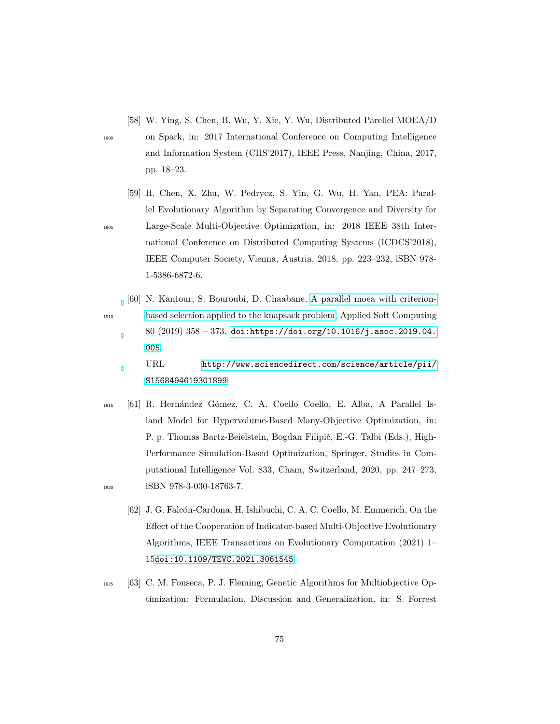[58] W. Ying, S. Chen, B. Wu, Y. Xie, Y. Wu, Distributed Parellel MOEA/D

<sup>1900</sup> on Spark, in: 2017 International Conference on Computing Intelligence and Information System (CIIS'2017), IEEE Press, Nanjing, China, 2017, pp. 18–23.

- [59] H. Chen, X. Zhu, W. Pedrycz, S. Yin, G. Wu, H. Yan, PEA: Parallel Evolutionary Algorithm by Separating Convergence and Diversity for <sup>1905</sup> Large-Scale Multi-Objective Optimization, in: 2018 IEEE 38th International Conference on Distributed Computing Systems (ICDCS'2018), IEEE Computer Society, Vienna, Austria, 2018, pp. 223–232, iSBN 978- 1-5386-6872-6.
- [60] N. Kantour, S. Bouroubi, D. Chaabane, [A parallel moea with criterion-](http://www.sciencedirect.com/science/article/pii/S1568494619301899)<sup>1910</sup> [based selection applied to the knapsack problem,](http://www.sciencedirect.com/science/article/pii/S1568494619301899) Applied Soft Computing 80 (2019) 358 – 373. [doi:https://doi.org/10.1016/j.asoc.2019.04.](http://dx.doi.org/https://doi.org/10.1016/j.asoc.2019.04.005) [005](http://dx.doi.org/https://doi.org/10.1016/j.asoc.2019.04.005).

URL [http://www.sciencedirect.com/science/article/pii/](http://www.sciencedirect.com/science/article/pii/S1568494619301899) [S1568494619301899](http://www.sciencedirect.com/science/article/pii/S1568494619301899)

- <sup>1915</sup> [61] R. Hern´andez G´omez, C. A. Coello Coello, E. Alba, A Parallel Island Model for Hypervolume-Based Many-Objective Optimization, in: P. p. Thomas Bartz-Beielstein, Bogdan Filipič, E.-G. Talbi (Eds.), High-Performance Simulation-Based Optimization, Springer, Studies in Computational Intelligence Vol. 833, Cham, Switzerland, 2020, pp. 247–273, 1920 **iSBN** 978-3-030-18763-7.
	- [62] J. G. Falcón-Cardona, H. Ishibuchi, C. A. C. Coello, M. Emmerich, On the Effect of the Cooperation of Indicator-based Multi-Objective Evolutionary Algorithms, IEEE Transactions on Evolutionary Computation (2021) 1– 15[doi:10.1109/TEVC.2021.3061545](http://dx.doi.org/10.1109/TEVC.2021.3061545).
- <sup>1925</sup> [63] C. M. Fonseca, P. J. Fleming, Genetic Algorithms for Multiobjective Optimization: Formulation, Discussion and Generalization, in: S. Forrest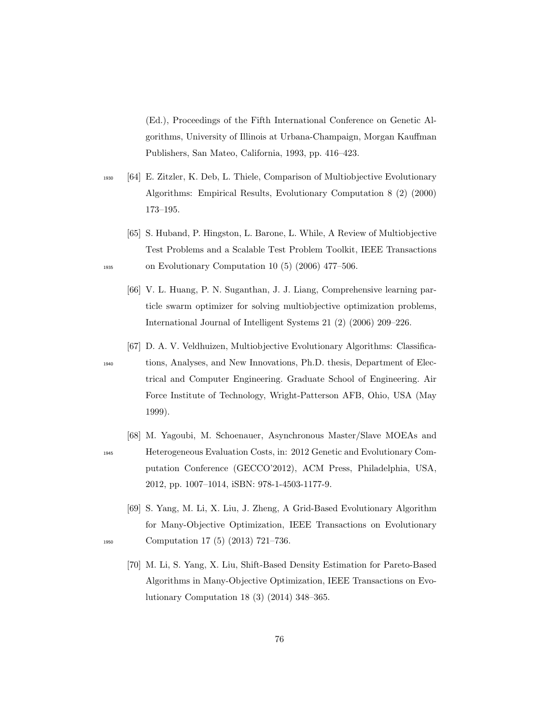(Ed.), Proceedings of the Fifth International Conference on Genetic Algorithms, University of Illinois at Urbana-Champaign, Morgan Kauffman Publishers, San Mateo, California, 1993, pp. 416–423.

- <sup>1930</sup> [64] E. Zitzler, K. Deb, L. Thiele, Comparison of Multiobjective Evolutionary Algorithms: Empirical Results, Evolutionary Computation 8 (2) (2000) 173–195.
- [65] S. Huband, P. Hingston, L. Barone, L. While, A Review of Multiobjective Test Problems and a Scalable Test Problem Toolkit, IEEE Transactions <sup>1935</sup> on Evolutionary Computation 10 (5) (2006) 477–506.
	- [66] V. L. Huang, P. N. Suganthan, J. J. Liang, Comprehensive learning particle swarm optimizer for solving multiobjective optimization problems, International Journal of Intelligent Systems 21 (2) (2006) 209–226.
	- [67] D. A. V. Veldhuizen, Multiobjective Evolutionary Algorithms: Classifica-
- 
- <sup>1940</sup> tions, Analyses, and New Innovations, Ph.D. thesis, Department of Electrical and Computer Engineering. Graduate School of Engineering. Air Force Institute of Technology, Wright-Patterson AFB, Ohio, USA (May 1999).
- [68] M. Yagoubi, M. Schoenauer, Asynchronous Master/Slave MOEAs and <sup>1945</sup> Heterogeneous Evaluation Costs, in: 2012 Genetic and Evolutionary Computation Conference (GECCO'2012), ACM Press, Philadelphia, USA, 2012, pp. 1007–1014, iSBN: 978-1-4503-1177-9.
- [69] S. Yang, M. Li, X. Liu, J. Zheng, A Grid-Based Evolutionary Algorithm for Many-Objective Optimization, IEEE Transactions on Evolutionary <sup>1950</sup> Computation 17 (5) (2013) 721–736.
	- [70] M. Li, S. Yang, X. Liu, Shift-Based Density Estimation for Pareto-Based Algorithms in Many-Objective Optimization, IEEE Transactions on Evolutionary Computation 18 (3) (2014) 348–365.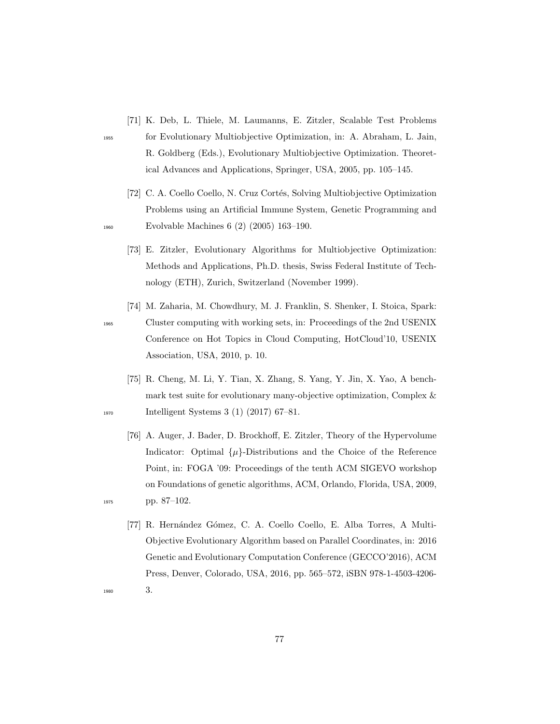- [71] K. Deb, L. Thiele, M. Laumanns, E. Zitzler, Scalable Test Problems
- 
- <sup>1955</sup> for Evolutionary Multiobjective Optimization, in: A. Abraham, L. Jain, R. Goldberg (Eds.), Evolutionary Multiobjective Optimization. Theoretical Advances and Applications, Springer, USA, 2005, pp. 105–145.
- [72] C. A. Coello Coello, N. Cruz Cortés, Solving Multiobjective Optimization Problems using an Artificial Immune System, Genetic Programming and <sup>1960</sup> Evolvable Machines 6 (2) (2005) 163–190.
	- [73] E. Zitzler, Evolutionary Algorithms for Multiobjective Optimization: Methods and Applications, Ph.D. thesis, Swiss Federal Institute of Technology (ETH), Zurich, Switzerland (November 1999).
- [74] M. Zaharia, M. Chowdhury, M. J. Franklin, S. Shenker, I. Stoica, Spark: <sup>1965</sup> Cluster computing with working sets, in: Proceedings of the 2nd USENIX Conference on Hot Topics in Cloud Computing, HotCloud'10, USENIX Association, USA, 2010, p. 10.
- [75] R. Cheng, M. Li, Y. Tian, X. Zhang, S. Yang, Y. Jin, X. Yao, A benchmark test suite for evolutionary many-objective optimization, Complex & <sup>1970</sup> Intelligent Systems 3 (1) (2017) 67–81.
- [76] A. Auger, J. Bader, D. Brockhoff, E. Zitzler, Theory of the Hypervolume Indicator: Optimal  $\{\mu\}$ -Distributions and the Choice of the Reference Point, in: FOGA '09: Proceedings of the tenth ACM SIGEVO workshop on Foundations of genetic algorithms, ACM, Orlando, Florida, USA, 2009, <sup>1975</sup> pp. 87–102.
- [77] R. Hernández Gómez, C. A. Coello Coello, E. Alba Torres, A Multi-Objective Evolutionary Algorithm based on Parallel Coordinates, in: 2016 Genetic and Evolutionary Computation Conference (GECCO'2016), ACM Press, Denver, Colorado, USA, 2016, pp. 565–572, iSBN 978-1-4503-4206- <sup>1980</sup> 3.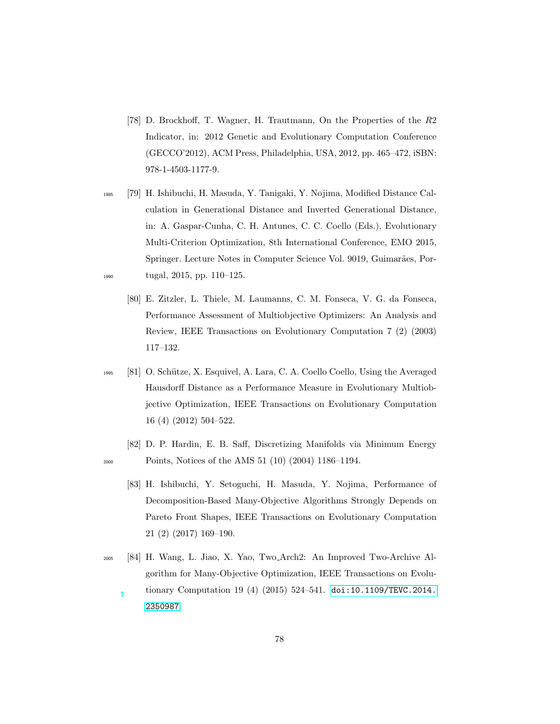- [78] D. Brockhoff, T. Wagner, H. Trautmann, On the Properties of the R2 Indicator, in: 2012 Genetic and Evolutionary Computation Conference (GECCO'2012), ACM Press, Philadelphia, USA, 2012, pp. 465–472, iSBN: 978-1-4503-1177-9.
- <sup>1985</sup> [79] H. Ishibuchi, H. Masuda, Y. Tanigaki, Y. Nojima, Modified Distance Calculation in Generational Distance and Inverted Generational Distance, in: A. Gaspar-Cunha, C. H. Antunes, C. C. Coello (Eds.), Evolutionary Multi-Criterion Optimization, 8th International Conference, EMO 2015, Springer. Lecture Notes in Computer Science Vol. 9019, Guimarães, Por-<sup>1990</sup> tugal, 2015, pp. 110–125.
	- [80] E. Zitzler, L. Thiele, M. Laumanns, C. M. Fonseca, V. G. da Fonseca, Performance Assessment of Multiobjective Optimizers: An Analysis and Review, IEEE Transactions on Evolutionary Computation 7 (2) (2003) 117–132.
- <sup>1995</sup> [81] O. Sch¨utze, X. Esquivel, A. Lara, C. A. Coello Coello, Using the Averaged Hausdorff Distance as a Performance Measure in Evolutionary Multiobjective Optimization, IEEE Transactions on Evolutionary Computation 16 (4) (2012) 504–522.
- [82] D. P. Hardin, E. B. Saff, Discretizing Manifolds via Minimum Energy <sup>2000</sup> Points, Notices of the AMS 51 (10) (2004) 1186–1194.
	- [83] H. Ishibuchi, Y. Setoguchi, H. Masuda, Y. Nojima, Performance of Decomposition-Based Many-Objective Algorithms Strongly Depends on Pareto Front Shapes, IEEE Transactions on Evolutionary Computation 21 (2) (2017) 169–190.
- <sup>2005</sup> [84] H. Wang, L. Jiao, X. Yao, Two Arch2: An Improved Two-Archive Algorithm for Many-Objective Optimization, IEEE Transactions on Evolutionary Computation 19 (4) (2015) 524–541. [doi:10.1109/TEVC.2014.](http://dx.doi.org/10.1109/TEVC.2014.2350987) [2350987](http://dx.doi.org/10.1109/TEVC.2014.2350987).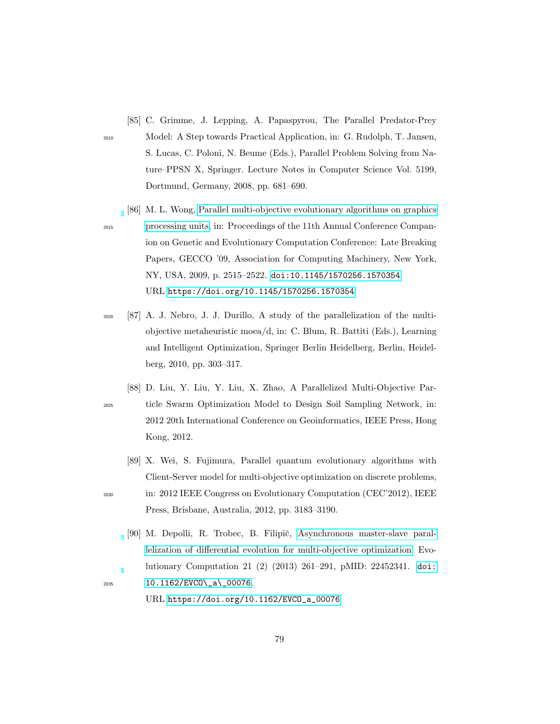- [85] C. Grimme, J. Lepping, A. Papaspyrou, The Parallel Predator-Prey <sup>2010</sup> Model: A Step towards Practical Application, in: G. Rudolph, T. Jansen, S. Lucas, C. Poloni, N. Beume (Eds.), Parallel Problem Solving from Nature–PPSN X, Springer. Lecture Notes in Computer Science Vol. 5199, Dortmund, Germany, 2008, pp. 681–690.
	- [86] M. L. Wong, [Parallel multi-objective evolutionary algorithms on graphics](https://doi.org/10.1145/1570256.1570354)

- <sup>2015</sup> [processing units,](https://doi.org/10.1145/1570256.1570354) in: Proceedings of the 11th Annual Conference Companion on Genetic and Evolutionary Computation Conference: Late Breaking Papers, GECCO '09, Association for Computing Machinery, New York, NY, USA, 2009, p. 2515–2522. [doi:10.1145/1570256.1570354](http://dx.doi.org/10.1145/1570256.1570354). URL <https://doi.org/10.1145/1570256.1570354>
- <sup>2020</sup> [87] A. J. Nebro, J. J. Durillo, A study of the parallelization of the multiobjective metaheuristic moea/d, in: C. Blum, R. Battiti (Eds.), Learning and Intelligent Optimization, Springer Berlin Heidelberg, Berlin, Heidelberg, 2010, pp. 303–317.
- [88] D. Liu, Y. Liu, Y. Liu, X. Zhao, A Parallelized Multi-Objective Par-<sup>2025</sup> ticle Swarm Optimization Model to Design Soil Sampling Network, in: 2012 20th International Conference on Geoinformatics, IEEE Press, Hong Kong, 2012.
- [89] X. Wei, S. Fujimura, Parallel quantum evolutionary algorithms with Client-Server model for multi-objective optimization on discrete problems, <sup>2030</sup> in: 2012 IEEE Congress on Evolutionary Computation (CEC'2012), IEEE Press, Brisbane, Australia, 2012, pp. 3183–3190.
- [90] M. Depolli, R. Trobec, B. Filipič, [Asynchronous master-slave paral](https://doi.org/10.1162/EVCO_a_00076)[lelization of differential evolution for multi-objective optimization,](https://doi.org/10.1162/EVCO_a_00076) Evolutionary Computation 21 (2) (2013) 261–291, pMID: 22452341. [doi:](http://dx.doi.org/10.1162/EVCO_a_00076) <sup>2035</sup> [10.1162/EVCO\\\_a\\\_00076](http://dx.doi.org/10.1162/EVCO_a_00076).
	- URL [https://doi.org/10.1162/EVCO\\_a\\_00076](https://doi.org/10.1162/EVCO_a_00076)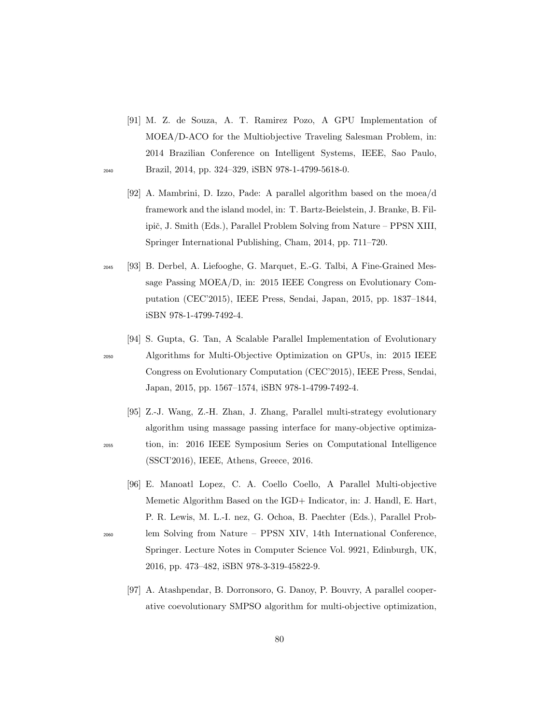- [91] M. Z. de Souza, A. T. Ramirez Pozo, A GPU Implementation of MOEA/D-ACO for the Multiobjective Traveling Salesman Problem, in: 2014 Brazilian Conference on Intelligent Systems, IEEE, Sao Paulo, <sup>2040</sup> Brazil, 2014, pp. 324–329, iSBN 978-1-4799-5618-0.
	- [92] A. Mambrini, D. Izzo, Pade: A parallel algorithm based on the moea/d framework and the island model, in: T. Bartz-Beielstein, J. Branke, B. Filipič, J. Smith (Eds.), Parallel Problem Solving from Nature – PPSN XIII, Springer International Publishing, Cham, 2014, pp. 711–720.
- <sup>2045</sup> [93] B. Derbel, A. Liefooghe, G. Marquet, E.-G. Talbi, A Fine-Grained Message Passing MOEA/D, in: 2015 IEEE Congress on Evolutionary Computation (CEC'2015), IEEE Press, Sendai, Japan, 2015, pp. 1837–1844, iSBN 978-1-4799-7492-4.

<sup>2050</sup> Algorithms for Multi-Objective Optimization on GPUs, in: 2015 IEEE Congress on Evolutionary Computation (CEC'2015), IEEE Press, Sendai, Japan, 2015, pp. 1567–1574, iSBN 978-1-4799-7492-4.

[94] S. Gupta, G. Tan, A Scalable Parallel Implementation of Evolutionary

- [95] Z.-J. Wang, Z.-H. Zhan, J. Zhang, Parallel multi-strategy evolutionary algorithm using massage passing interface for many-objective optimiza-<sup>2055</sup> tion, in: 2016 IEEE Symposium Series on Computational Intelligence (SSCI'2016), IEEE, Athens, Greece, 2016.
- [96] E. Manoatl Lopez, C. A. Coello Coello, A Parallel Multi-objective Memetic Algorithm Based on the IGD+ Indicator, in: J. Handl, E. Hart, P. R. Lewis, M. L.-I. nez, G. Ochoa, B. Paechter (Eds.), Parallel Prob-<sup>2060</sup> lem Solving from Nature – PPSN XIV, 14th International Conference, Springer. Lecture Notes in Computer Science Vol. 9921, Edinburgh, UK, 2016, pp. 473–482, iSBN 978-3-319-45822-9.
	- [97] A. Atashpendar, B. Dorronsoro, G. Danoy, P. Bouvry, A parallel cooperative coevolutionary SMPSO algorithm for multi-objective optimization,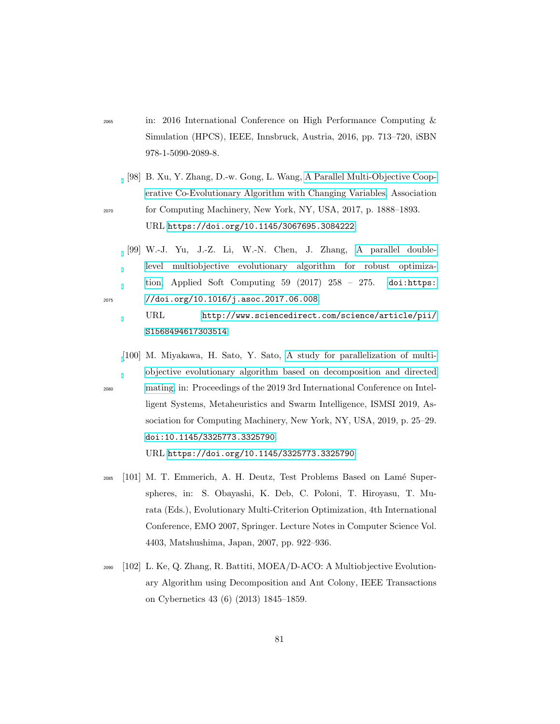- <sup>2065</sup> in: 2016 International Conference on High Performance Computing & Simulation (HPCS), IEEE, Innsbruck, Austria, 2016, pp. 713–720, iSBN 978-1-5090-2089-8.
- [98] B. Xu, Y. Zhang, D.-w. Gong, L. Wang, [A Parallel Multi-Objective Coop](https://doi.org/10.1145/3067695.3084222)[erative Co-Evolutionary Algorithm with Changing Variables,](https://doi.org/10.1145/3067695.3084222) Association <sup>2070</sup> for Computing Machinery, New York, NY, USA, 2017, p. 1888–1893. URL <https://doi.org/10.1145/3067695.3084222>
- [99] W.-J. Yu, J.-Z. Li, W.-N. Chen, J. Zhang, [A parallel double](http://www.sciencedirect.com/science/article/pii/S1568494617303514)[level multiobjective evolutionary algorithm for robust optimiza](http://www.sciencedirect.com/science/article/pii/S1568494617303514)[tion,](http://www.sciencedirect.com/science/article/pii/S1568494617303514) Applied Soft Computing  $59$  (2017)  $258 - 275$ . [doi:https:](http://dx.doi.org/https://doi.org/10.1016/j.asoc.2017.06.008) <sup>2075</sup> [//doi.org/10.1016/j.asoc.2017.06.008](http://dx.doi.org/https://doi.org/10.1016/j.asoc.2017.06.008).

URL [http://www.sciencedirect.com/science/article/pii/](http://www.sciencedirect.com/science/article/pii/S1568494617303514) [S1568494617303514](http://www.sciencedirect.com/science/article/pii/S1568494617303514)

[\[](https://doi.org/10.1145/3325773.3325790)100] M. Miyakawa, H. Sato, Y. Sato, [A study for parallelization of multi](https://doi.org/10.1145/3325773.3325790)[objective evolutionary algorithm based on decomposition and directed](https://doi.org/10.1145/3325773.3325790) <sup>2080</sup> [mating,](https://doi.org/10.1145/3325773.3325790) in: Proceedings of the 2019 3rd International Conference on Intelligent Systems, Metaheuristics and Swarm Intelligence, ISMSI 2019, Association for Computing Machinery, New York, NY, USA, 2019, p. 25–29. [doi:10.1145/3325773.3325790](http://dx.doi.org/10.1145/3325773.3325790).

URL <https://doi.org/10.1145/3325773.3325790>

- 2085 [101] M. T. Emmerich, A. H. Deutz, Test Problems Based on Lamé Superspheres, in: S. Obayashi, K. Deb, C. Poloni, T. Hiroyasu, T. Murata (Eds.), Evolutionary Multi-Criterion Optimization, 4th International Conference, EMO 2007, Springer. Lecture Notes in Computer Science Vol. 4403, Matshushima, Japan, 2007, pp. 922–936.
- <sup>2090</sup> [102] L. Ke, Q. Zhang, R. Battiti, MOEA/D-ACO: A Multiobjective Evolutionary Algorithm using Decomposition and Ant Colony, IEEE Transactions on Cybernetics 43 (6) (2013) 1845–1859.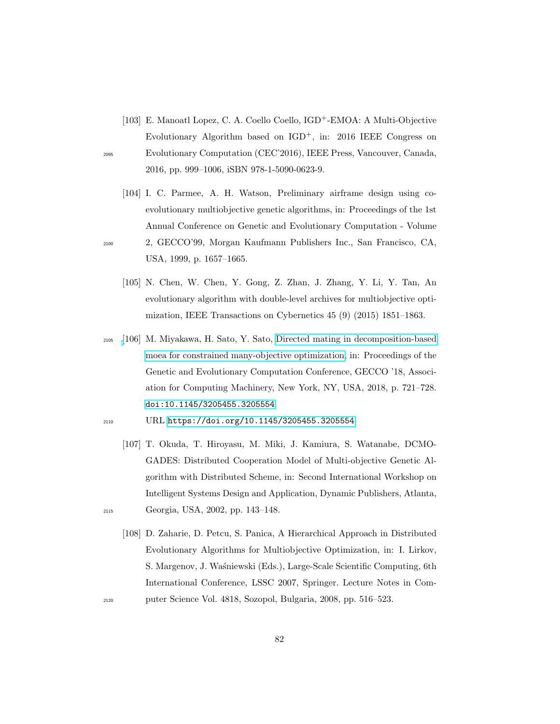- [103] E. Manoatl Lopez, C. A. Coello Coello, IGD+-EMOA: A Multi-Objective Evolutionary Algorithm based on  $IGD^+$ , in: 2016 IEEE Congress on <sup>2095</sup> Evolutionary Computation (CEC'2016), IEEE Press, Vancouver, Canada, 2016, pp. 999–1006, iSBN 978-1-5090-0623-9.
- [104] I. C. Parmee, A. H. Watson, Preliminary airframe design using coevolutionary multiobjective genetic algorithms, in: Proceedings of the 1st Annual Conference on Genetic and Evolutionary Computation - Volume <sup>2100</sup> 2, GECCO'99, Morgan Kaufmann Publishers Inc., San Francisco, CA, USA, 1999, p. 1657–1665.
	- [105] N. Chen, W. Chen, Y. Gong, Z. Zhan, J. Zhang, Y. Li, Y. Tan, An evolutionary algorithm with double-level archives for multiobjective optimization, IEEE Transactions on Cybernetics 45 (9) (2015) 1851–1863.
- <sup>2105</sup> [\[](https://doi.org/10.1145/3205455.3205554)106] M. Miyakawa, H. Sato, Y. Sato, [Directed mating in decomposition-based](https://doi.org/10.1145/3205455.3205554) [moea for constrained many-objective optimization,](https://doi.org/10.1145/3205455.3205554) in: Proceedings of the Genetic and Evolutionary Computation Conference, GECCO '18, Association for Computing Machinery, New York, NY, USA, 2018, p. 721–728. [doi:10.1145/3205455.3205554](http://dx.doi.org/10.1145/3205455.3205554).
- <sup>2110</sup> URL <https://doi.org/10.1145/3205455.3205554>
- [107] T. Okuda, T. Hiroyasu, M. Miki, J. Kamiura, S. Watanabe, DCMO-GADES: Distributed Cooperation Model of Multi-objective Genetic Algorithm with Distributed Scheme, in: Second International Workshop on Intelligent Systems Design and Application, Dynamic Publishers, Atlanta, <sup>2115</sup> Georgia, USA, 2002, pp. 143–148.
- [108] D. Zaharie, D. Petcu, S. Panica, A Hierarchical Approach in Distributed Evolutionary Algorithms for Multiobjective Optimization, in: I. Lirkov, S. Margenov, J. Waśniewski (Eds.), Large-Scale Scientific Computing, 6th International Conference, LSSC 2007, Springer. Lecture Notes in Com-<sup>2120</sup> puter Science Vol. 4818, Sozopol, Bulgaria, 2008, pp. 516–523.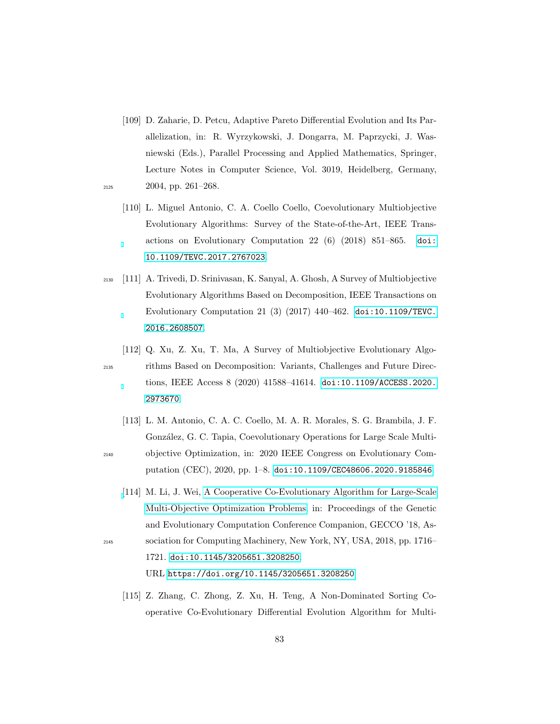- [109] D. Zaharie, D. Petcu, Adaptive Pareto Differential Evolution and Its Parallelization, in: R. Wyrzykowski, J. Dongarra, M. Paprzycki, J. Wasniewski (Eds.), Parallel Processing and Applied Mathematics, Springer, Lecture Notes in Computer Science, Vol. 3019, Heidelberg, Germany, <sup>2125</sup> 2004, pp. 261–268.
- 
- [110] L. Miguel Antonio, C. A. Coello Coello, Coevolutionary Multiobjective Evolutionary Algorithms: Survey of the State-of-the-Art, IEEE Transactions on Evolutionary Computation 22 (6) (2018) 851–865. [doi:](http://dx.doi.org/10.1109/TEVC.2017.2767023) [10.1109/TEVC.2017.2767023](http://dx.doi.org/10.1109/TEVC.2017.2767023).
- <sup>2130</sup> [111] A. Trivedi, D. Srinivasan, K. Sanyal, A. Ghosh, A Survey of Multiobjective Evolutionary Algorithms Based on Decomposition, IEEE Transactions on Evolutionary Computation 21 (3) (2017) 440–462. [doi:10.1109/TEVC.](http://dx.doi.org/10.1109/TEVC.2016.2608507) [2016.2608507](http://dx.doi.org/10.1109/TEVC.2016.2608507).
- [112] Q. Xu, Z. Xu, T. Ma, A Survey of Multiobjective Evolutionary Algo-<sup>2135</sup> rithms Based on Decomposition: Variants, Challenges and Future Directions, IEEE Access 8 (2020) 41588–41614. [doi:10.1109/ACCESS.2020.](http://dx.doi.org/10.1109/ACCESS.2020.2973670) [2973670](http://dx.doi.org/10.1109/ACCESS.2020.2973670).
- [113] L. M. Antonio, C. A. C. Coello, M. A. R. Morales, S. G. Brambila, J. F. González, G. C. Tapia, Coevolutionary Operations for Large Scale Multi-<sup>2140</sup> objective Optimization, in: 2020 IEEE Congress on Evolutionary Computation (CEC), 2020, pp. 1–8. [doi:10.1109/CEC48606.2020.9185846](http://dx.doi.org/10.1109/CEC48606.2020.9185846).
- [\[](https://doi.org/10.1145/3205651.3208250)114] M. Li, J. Wei, [A Cooperative Co-Evolutionary Algorithm for Large-Scale](https://doi.org/10.1145/3205651.3208250) [Multi-Objective Optimization Problems,](https://doi.org/10.1145/3205651.3208250) in: Proceedings of the Genetic and Evolutionary Computation Conference Companion, GECCO '18, As-<sup>2145</sup> sociation for Computing Machinery, New York, NY, USA, 2018, pp. 1716– 1721. [doi:10.1145/3205651.3208250](http://dx.doi.org/10.1145/3205651.3208250).

URL <https://doi.org/10.1145/3205651.3208250>

[115] Z. Zhang, C. Zhong, Z. Xu, H. Teng, A Non-Dominated Sorting Cooperative Co-Evolutionary Differential Evolution Algorithm for Multi-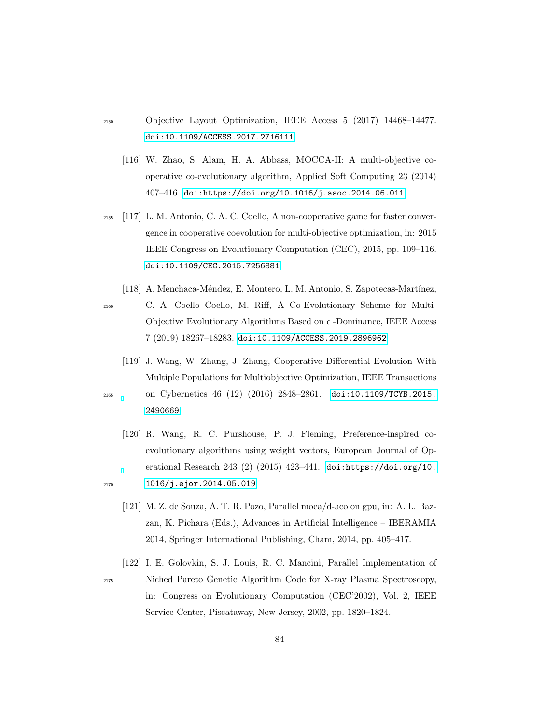- <sup>2150</sup> Objective Layout Optimization, IEEE Access 5 (2017) 14468–14477. [doi:10.1109/ACCESS.2017.2716111](http://dx.doi.org/10.1109/ACCESS.2017.2716111).
	- [116] W. Zhao, S. Alam, H. A. Abbass, MOCCA-II: A multi-objective cooperative co-evolutionary algorithm, Applied Soft Computing 23 (2014) 407–416. [doi:https://doi.org/10.1016/j.asoc.2014.06.011](http://dx.doi.org/https://doi.org/10.1016/j.asoc.2014.06.011).
- <sup>2155</sup> [117] L. M. Antonio, C. A. C. Coello, A non-cooperative game for faster convergence in cooperative coevolution for multi-objective optimization, in: 2015 IEEE Congress on Evolutionary Computation (CEC), 2015, pp. 109–116. [doi:10.1109/CEC.2015.7256881](http://dx.doi.org/10.1109/CEC.2015.7256881).
- [118] A. Menchaca-Méndez, E. Montero, L. M. Antonio, S. Zapotecas-Martínez, <sup>2160</sup> C. A. Coello Coello, M. Riff, A Co-Evolutionary Scheme for Multi-Objective Evolutionary Algorithms Based on  $\epsilon$  -Dominance, IEEE Access 7 (2019) 18267–18283. [doi:10.1109/ACCESS.2019.2896962](http://dx.doi.org/10.1109/ACCESS.2019.2896962).
- [119] J. Wang, W. Zhang, J. Zhang, Cooperative Differential Evolution With Multiple Populations for Multiobjective Optimization, IEEE Transactions <sup>2165</sup> on Cybernetics 46 (12) (2016) 2848–2861. [doi:10.1109/TCYB.2015.](http://dx.doi.org/10.1109/TCYB.2015.2490669) [2490669](http://dx.doi.org/10.1109/TCYB.2015.2490669).
- [120] R. Wang, R. C. Purshouse, P. J. Fleming, Preference-inspired coevolutionary algorithms using weight vectors, European Journal of Operational Research 243 (2) (2015) 423–441. [doi:https://doi.org/10.](http://dx.doi.org/https://doi.org/10.1016/j.ejor.2014.05.019) <sup>2170</sup> [1016/j.ejor.2014.05.019](http://dx.doi.org/https://doi.org/10.1016/j.ejor.2014.05.019).
	- [121] M. Z. de Souza, A. T. R. Pozo, Parallel moea/d-aco on gpu, in: A. L. Bazzan, K. Pichara (Eds.), Advances in Artificial Intelligence – IBERAMIA 2014, Springer International Publishing, Cham, 2014, pp. 405–417.
- [122] I. E. Golovkin, S. J. Louis, R. C. Mancini, Parallel Implementation of <sup>2175</sup> Niched Pareto Genetic Algorithm Code for X-ray Plasma Spectroscopy, in: Congress on Evolutionary Computation (CEC'2002), Vol. 2, IEEE Service Center, Piscataway, New Jersey, 2002, pp. 1820–1824.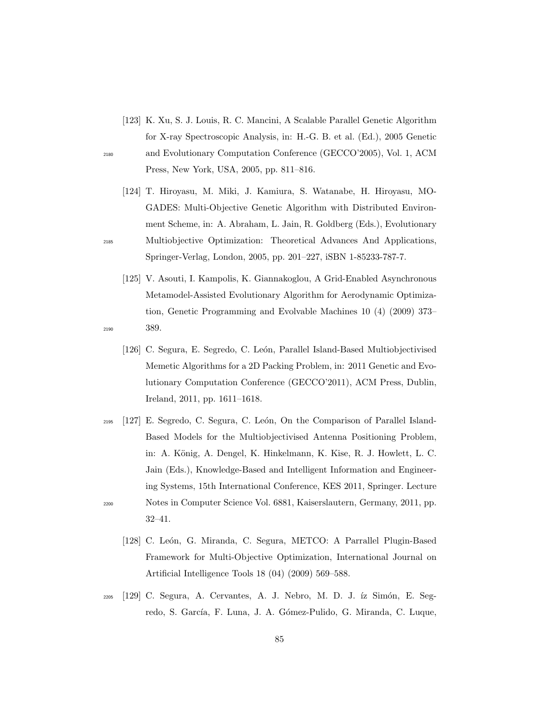- [123] K. Xu, S. J. Louis, R. C. Mancini, A Scalable Parallel Genetic Algorithm for X-ray Spectroscopic Analysis, in: H.-G. B. et al. (Ed.), 2005 Genetic <sup>2180</sup> and Evolutionary Computation Conference (GECCO'2005), Vol. 1, ACM Press, New York, USA, 2005, pp. 811–816.
- [124] T. Hiroyasu, M. Miki, J. Kamiura, S. Watanabe, H. Hiroyasu, MO-GADES: Multi-Objective Genetic Algorithm with Distributed Environment Scheme, in: A. Abraham, L. Jain, R. Goldberg (Eds.), Evolutionary <sup>2185</sup> Multiobjective Optimization: Theoretical Advances And Applications, Springer-Verlag, London, 2005, pp. 201–227, iSBN 1-85233-787-7.
- [125] V. Asouti, I. Kampolis, K. Giannakoglou, A Grid-Enabled Asynchronous Metamodel-Assisted Evolutionary Algorithm for Aerodynamic Optimization, Genetic Programming and Evolvable Machines 10 (4) (2009) 373– <sup>2190</sup> 389.
	- [126] C. Segura, E. Segredo, C. León, Parallel Island-Based Multiobjectivised Memetic Algorithms for a 2D Packing Problem, in: 2011 Genetic and Evolutionary Computation Conference (GECCO'2011), ACM Press, Dublin, Ireland, 2011, pp. 1611–1618.
- $_{2195}$  [127] E. Segredo, C. Segura, C. León, On the Comparison of Parallel Island-Based Models for the Multiobjectivised Antenna Positioning Problem, in: A. König, A. Dengel, K. Hinkelmann, K. Kise, R. J. Howlett, L. C. Jain (Eds.), Knowledge-Based and Intelligent Information and Engineering Systems, 15th International Conference, KES 2011, Springer. Lecture <sup>2200</sup> Notes in Computer Science Vol. 6881, Kaiserslautern, Germany, 2011, pp. 32–41.
	- [128] C. León, G. Miranda, C. Segura, METCO: A Parrallel Plugin-Based Framework for Multi-Objective Optimization, International Journal on Artificial Intelligence Tools 18 (04) (2009) 569–588.
- $_{2205}$  [129] C. Segura, A. Cervantes, A. J. Nebro, M. D. J.  $iz$  Simón, E. Segredo, S. García, F. Luna, J. A. Gómez-Pulido, G. Miranda, C. Luque,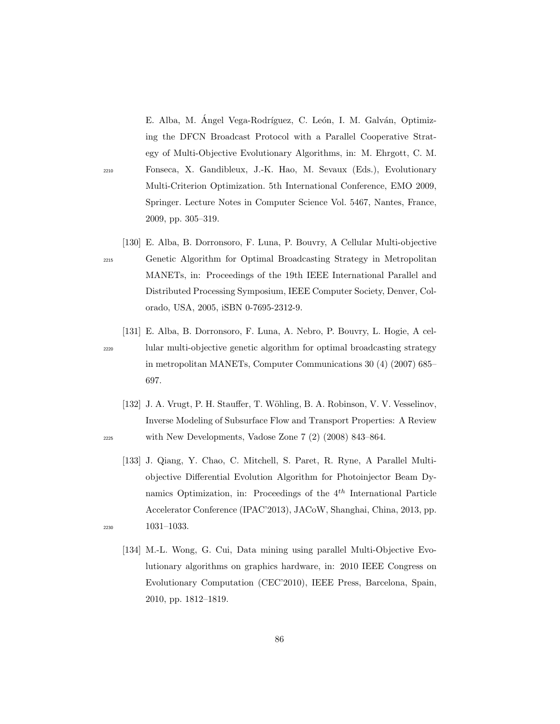E. Alba, M. Ángel Vega-Rodríguez, C. León, I. M. Galván, Optimizing the DFCN Broadcast Protocol with a Parallel Cooperative Strategy of Multi-Objective Evolutionary Algorithms, in: M. Ehrgott, C. M. <sup>2210</sup> Fonseca, X. Gandibleux, J.-K. Hao, M. Sevaux (Eds.), Evolutionary Multi-Criterion Optimization. 5th International Conference, EMO 2009, Springer. Lecture Notes in Computer Science Vol. 5467, Nantes, France, 2009, pp. 305–319.

- [130] E. Alba, B. Dorronsoro, F. Luna, P. Bouvry, A Cellular Multi-objective <sup>2215</sup> Genetic Algorithm for Optimal Broadcasting Strategy in Metropolitan MANETs, in: Proceedings of the 19th IEEE International Parallel and Distributed Processing Symposium, IEEE Computer Society, Denver, Colorado, USA, 2005, iSBN 0-7695-2312-9.
	-

[131] E. Alba, B. Dorronsoro, F. Luna, A. Nebro, P. Bouvry, L. Hogie, A cel-<sup>2220</sup> lular multi-objective genetic algorithm for optimal broadcasting strategy in metropolitan MANETs, Computer Communications 30 (4) (2007) 685– 697.

- [132] J. A. Vrugt, P. H. Stauffer, T. Wöhling, B. A. Robinson, V. V. Vesselinov, Inverse Modeling of Subsurface Flow and Transport Properties: A Review <sup>2225</sup> with New Developments, Vadose Zone 7 (2) (2008) 843–864.
- [133] J. Qiang, Y. Chao, C. Mitchell, S. Paret, R. Ryne, A Parallel Multiobjective Differential Evolution Algorithm for Photoinjector Beam Dynamics Optimization, in: Proceedings of the  $4^{th}$  International Particle Accelerator Conference (IPAC'2013), JACoW, Shanghai, China, 2013, pp. <sup>2230</sup> 1031–1033.
	- [134] M.-L. Wong, G. Cui, Data mining using parallel Multi-Objective Evolutionary algorithms on graphics hardware, in: 2010 IEEE Congress on Evolutionary Computation (CEC'2010), IEEE Press, Barcelona, Spain, 2010, pp. 1812–1819.
		-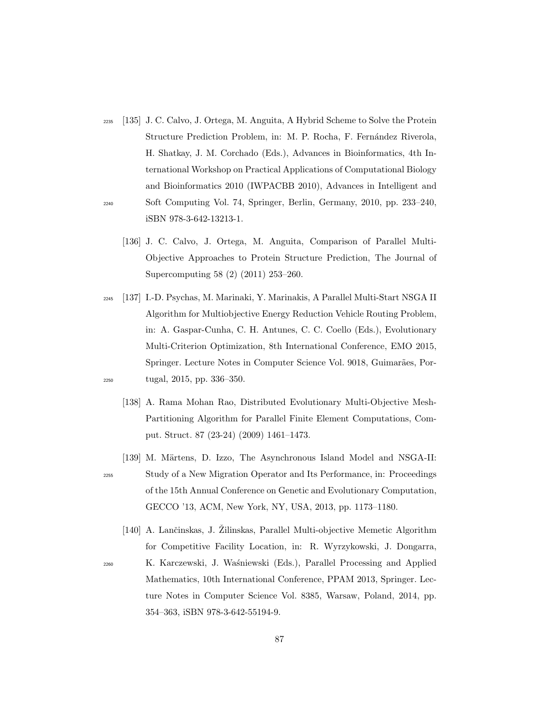- <sup>2235</sup> [135] J. C. Calvo, J. Ortega, M. Anguita, A Hybrid Scheme to Solve the Protein Structure Prediction Problem, in: M. P. Rocha, F. Fernández Riverola, H. Shatkay, J. M. Corchado (Eds.), Advances in Bioinformatics, 4th International Workshop on Practical Applications of Computational Biology and Bioinformatics 2010 (IWPACBB 2010), Advances in Intelligent and <sup>2240</sup> Soft Computing Vol. 74, Springer, Berlin, Germany, 2010, pp. 233–240, iSBN 978-3-642-13213-1.
	- [136] J. C. Calvo, J. Ortega, M. Anguita, Comparison of Parallel Multi-Objective Approaches to Protein Structure Prediction, The Journal of Supercomputing 58 (2) (2011) 253–260.
- <sup>2245</sup> [137] I.-D. Psychas, M. Marinaki, Y. Marinakis, A Parallel Multi-Start NSGA II Algorithm for Multiobjective Energy Reduction Vehicle Routing Problem, in: A. Gaspar-Cunha, C. H. Antunes, C. C. Coello (Eds.), Evolutionary Multi-Criterion Optimization, 8th International Conference, EMO 2015, Springer. Lecture Notes in Computer Science Vol. 9018, Guimarães, Por-<sup>2250</sup> tugal, 2015, pp. 336–350.
	- [138] A. Rama Mohan Rao, Distributed Evolutionary Multi-Objective Mesh-Partitioning Algorithm for Parallel Finite Element Computations, Comput. Struct. 87 (23-24) (2009) 1461–1473.
- [139] M. Märtens, D. Izzo, The Asynchronous Island Model and NSGA-II: <sup>2255</sup> Study of a New Migration Operator and Its Performance, in: Proceedings of the 15th Annual Conference on Genetic and Evolutionary Computation, GECCO '13, ACM, New York, NY, USA, 2013, pp. 1173–1180.
- [140] A. Lančinskas, J. Žilinskas, Parallel Multi-objective Memetic Algorithm for Competitive Facility Location, in: R. Wyrzykowski, J. Dongarra, <sup>2260</sup> K. Karczewski, J. Wa´sniewski (Eds.), Parallel Processing and Applied Mathematics, 10th International Conference, PPAM 2013, Springer. Lecture Notes in Computer Science Vol. 8385, Warsaw, Poland, 2014, pp. 354–363, iSBN 978-3-642-55194-9.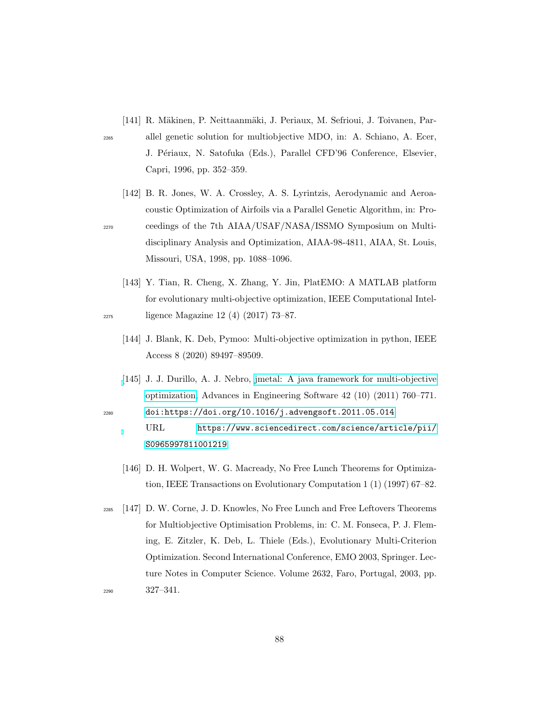- [141] R. Mäkinen, P. Neittaanmäki, J. Periaux, M. Sefrioui, J. Toivanen, Par-
- 
- <sup>2265</sup> allel genetic solution for multiobjective MDO, in: A. Schiano, A. Ecer, J. Périaux, N. Satofuka (Eds.), Parallel CFD'96 Conference, Elsevier, Capri, 1996, pp. 352–359.
- [142] B. R. Jones, W. A. Crossley, A. S. Lyrintzis, Aerodynamic and Aeroacoustic Optimization of Airfoils via a Parallel Genetic Algorithm, in: Pro-<sup>2270</sup> ceedings of the 7th AIAA/USAF/NASA/ISSMO Symposium on Multidisciplinary Analysis and Optimization, AIAA-98-4811, AIAA, St. Louis, Missouri, USA, 1998, pp. 1088–1096.
- [143] Y. Tian, R. Cheng, X. Zhang, Y. Jin, PlatEMO: A MATLAB platform for evolutionary multi-objective optimization, IEEE Computational Intel-<sup>2275</sup> ligence Magazine 12 (4) (2017) 73–87.
	- [144] J. Blank, K. Deb, Pymoo: Multi-objective optimization in python, IEEE Access 8 (2020) 89497–89509.
- [\[](https://www.sciencedirect.com/science/article/pii/S0965997811001219)145] J. J. Durillo, A. J. Nebro, [jmetal: A java framework for multi-objective](https://www.sciencedirect.com/science/article/pii/S0965997811001219) [optimization,](https://www.sciencedirect.com/science/article/pii/S0965997811001219) Advances in Engineering Software 42 (10) (2011) 760–771. <sup>2280</sup> [doi:https://doi.org/10.1016/j.advengsoft.2011.05.014](http://dx.doi.org/https://doi.org/10.1016/j.advengsoft.2011.05.014).
	- URL [https://www.sciencedirect.com/science/article/pii/](https://www.sciencedirect.com/science/article/pii/S0965997811001219) [S0965997811001219](https://www.sciencedirect.com/science/article/pii/S0965997811001219)
	- [146] D. H. Wolpert, W. G. Macready, No Free Lunch Theorems for Optimization, IEEE Transactions on Evolutionary Computation 1 (1) (1997) 67–82.
- <sup>2285</sup> [147] D. W. Corne, J. D. Knowles, No Free Lunch and Free Leftovers Theorems for Multiobjective Optimisation Problems, in: C. M. Fonseca, P. J. Fleming, E. Zitzler, K. Deb, L. Thiele (Eds.), Evolutionary Multi-Criterion Optimization. Second International Conference, EMO 2003, Springer. Lecture Notes in Computer Science. Volume 2632, Faro, Portugal, 2003, pp. <sup>2290</sup> 327–341.